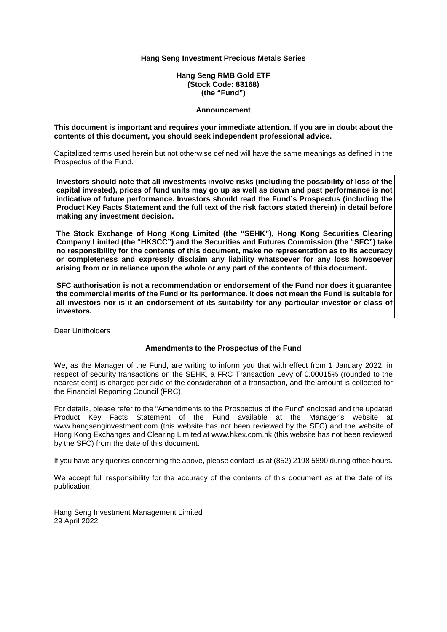**Hang Seng RMB Gold ETF (Stock Code: 83168) (the "Fund")** 

#### **Announcement**

#### **This document is important and requires your immediate attention. If you are in doubt about the contents of this document, you should seek independent professional advice.**

Capitalized terms used herein but not otherwise defined will have the same meanings as defined in the Prospectus of the Fund.

**Investors should note that all investments involve risks (including the possibility of loss of the capital invested), prices of fund units may go up as well as down and past performance is not indicative of future performance. Investors should read the Fund's Prospectus (including the Product Key Facts Statement and the full text of the risk factors stated therein) in detail before making any investment decision.** 

**The Stock Exchange of Hong Kong Limited (the "SEHK"), Hong Kong Securities Clearing Company Limited (the "HKSCC") and the Securities and Futures Commission (the "SFC") take no responsibility for the contents of this document, make no representation as to its accuracy or completeness and expressly disclaim any liability whatsoever for any loss howsoever arising from or in reliance upon the whole or any part of the contents of this document.** 

**SFC authorisation is not a recommendation or endorsement of the Fund nor does it guarantee the commercial merits of the Fund or its performance. It does not mean the Fund is suitable for all investors nor is it an endorsement of its suitability for any particular investor or class of investors.** 

Dear Unitholders

#### **Amendments to the Prospectus of the Fund**

We, as the Manager of the Fund, are writing to inform you that with effect from 1 January 2022, in respect of security transactions on the SEHK, a FRC Transaction Levy of 0.00015% (rounded to the nearest cent) is charged per side of the consideration of a transaction, and the amount is collected for the Financial Reporting Council (FRC).

For details, please refer to the "Amendments to the Prospectus of the Fund" enclosed and the updated Product Key Facts Statement of the Fund available at the Manager's website at www.hangsenginvestment.com (this website has not been reviewed by the SFC) and the website of Hong Kong Exchanges and Clearing Limited at www.hkex.com.hk (this website has not been reviewed by the SFC) from the date of this document.

If you have any queries concerning the above, please contact us at (852) 2198 5890 during office hours.

We accept full responsibility for the accuracy of the contents of this document as at the date of its publication.

Hang Seng Investment Management Limited 29 April 2022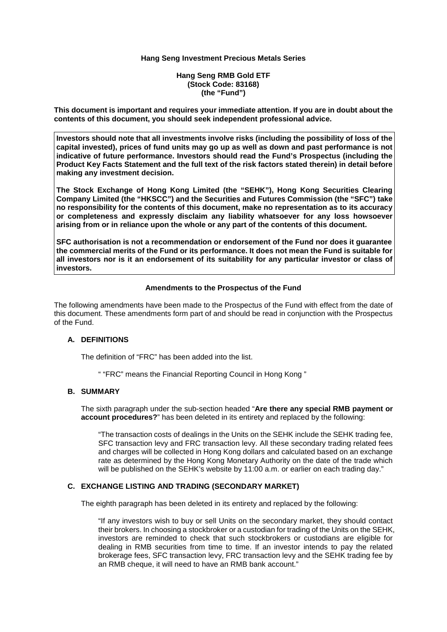#### **Hang Seng RMB Gold ETF (Stock Code: 83168) (the "Fund")**

**This document is important and requires your immediate attention. If you are in doubt about the contents of this document, you should seek independent professional advice.** 

**Investors should note that all investments involve risks (including the possibility of loss of the capital invested), prices of fund units may go up as well as down and past performance is not indicative of future performance. Investors should read the Fund's Prospectus (including the Product Key Facts Statement and the full text of the risk factors stated therein) in detail before making any investment decision.** 

**The Stock Exchange of Hong Kong Limited (the "SEHK"), Hong Kong Securities Clearing Company Limited (the "HKSCC") and the Securities and Futures Commission (the "SFC") take no responsibility for the contents of this document, make no representation as to its accuracy or completeness and expressly disclaim any liability whatsoever for any loss howsoever arising from or in reliance upon the whole or any part of the contents of this document.** 

**SFC authorisation is not a recommendation or endorsement of the Fund nor does it guarantee the commercial merits of the Fund or its performance. It does not mean the Fund is suitable for all investors nor is it an endorsement of its suitability for any particular investor or class of investors.** 

#### **Amendments to the Prospectus of the Fund**

The following amendments have been made to the Prospectus of the Fund with effect from the date of this document. These amendments form part of and should be read in conjunction with the Prospectus of the Fund.

#### **A. DEFINITIONS**

The definition of "FRC" has been added into the list.

" "FRC" means the Financial Reporting Council in Hong Kong "

# **B. SUMMARY**

The sixth paragraph under the sub-section headed "**Are there any special RMB payment or account procedures?**" has been deleted in its entirety and replaced by the following:

"The transaction costs of dealings in the Units on the SEHK include the SEHK trading fee, SFC transaction levy and FRC transaction levy. All these secondary trading related fees and charges will be collected in Hong Kong dollars and calculated based on an exchange rate as determined by the Hong Kong Monetary Authority on the date of the trade which will be published on the SEHK's website by 11:00 a.m. or earlier on each trading day."

#### **C. EXCHANGE LISTING AND TRADING (SECONDARY MARKET)**

The eighth paragraph has been deleted in its entirety and replaced by the following:

"If any investors wish to buy or sell Units on the secondary market, they should contact their brokers. In choosing a stockbroker or a custodian for trading of the Units on the SEHK, investors are reminded to check that such stockbrokers or custodians are eligible for dealing in RMB securities from time to time. If an investor intends to pay the related brokerage fees, SFC transaction levy, FRC transaction levy and the SEHK trading fee by an RMB cheque, it will need to have an RMB bank account."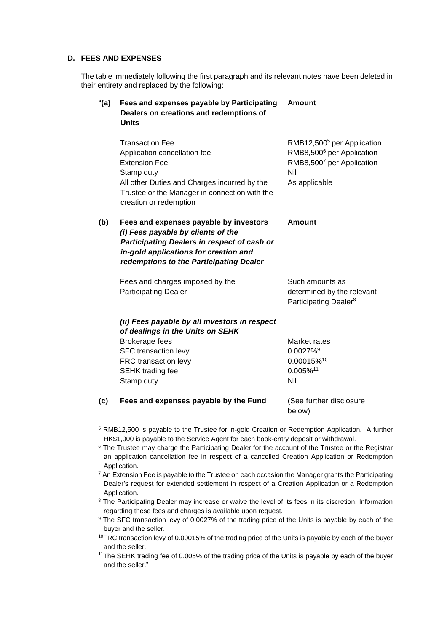#### **D. FEES AND EXPENSES**

The table immediately following the first paragraph and its relevant notes have been deleted in their entirety and replaced by the following:

| " $(a)$ | Fees and expenses payable by Participating<br>Dealers on creations and redemptions of<br><b>Units</b>                                                                                                                   | <b>Amount</b>                                                                                                                        |
|---------|-------------------------------------------------------------------------------------------------------------------------------------------------------------------------------------------------------------------------|--------------------------------------------------------------------------------------------------------------------------------------|
|         | <b>Transaction Fee</b><br>Application cancellation fee<br><b>Extension Fee</b><br>Stamp duty<br>All other Duties and Charges incurred by the<br>Trustee or the Manager in connection with the<br>creation or redemption | RMB12,500 <sup>5</sup> per Application<br>RMB8,500 <sup>6</sup> per Application<br>RMB8,5007 per Application<br>Nil<br>As applicable |
| (b)     | Fees and expenses payable by investors<br>(i) Fees payable by clients of the<br>Participating Dealers in respect of cash or<br>in-gold applications for creation and<br>redemptions to the Participating Dealer         | Amount                                                                                                                               |
|         | Fees and charges imposed by the<br><b>Participating Dealer</b>                                                                                                                                                          | Such amounts as<br>determined by the relevant<br>Participating Dealer <sup>8</sup>                                                   |
|         | (ii) Fees payable by all investors in respect<br>of dealings in the Units on SEHK<br><b>Brokerage fees</b><br>SFC transaction levy<br>FRC transaction levy<br>SEHK trading fee<br>Stamp duty                            | Market rates<br>$0.0027\%$ <sup>9</sup><br>0.00015%10<br>0.005%11<br>Nil                                                             |
| (c)     | Fees and expenses payable by the Fund                                                                                                                                                                                   | (See further disclosure<br>below)                                                                                                    |

- <sup>5</sup> RMB12,500 is payable to the Trustee for in-gold Creation or Redemption Application. A further HK\$1,000 is payable to the Service Agent for each book-entry deposit or withdrawal.
- <sup>6</sup> The Trustee may charge the Participating Dealer for the account of the Trustee or the Registrar an application cancellation fee in respect of a cancelled Creation Application or Redemption Application.
- <sup>7</sup> An Extension Fee is payable to the Trustee on each occasion the Manager grants the Participating Dealer's request for extended settlement in respect of a Creation Application or a Redemption Application.
- <sup>8</sup> The Participating Dealer may increase or waive the level of its fees in its discretion. Information regarding these fees and charges is available upon request.
- <sup>9</sup> The SFC transaction levy of 0.0027% of the trading price of the Units is payable by each of the buyer and the seller.
- <sup>10</sup>FRC transaction levy of 0.00015% of the trading price of the Units is payable by each of the buyer and the seller.
- <sup>11</sup>The SEHK trading fee of 0.005% of the trading price of the Units is payable by each of the buyer and the seller."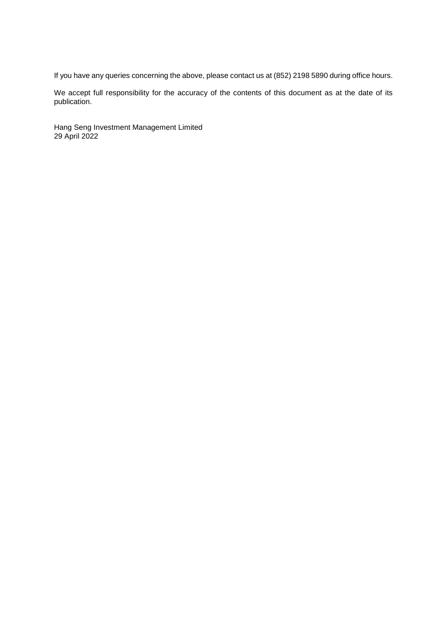If you have any queries concerning the above, please contact us at (852) 2198 5890 during office hours.

We accept full responsibility for the accuracy of the contents of this document as at the date of its publication.

Hang Seng Investment Management Limited 29 April 2022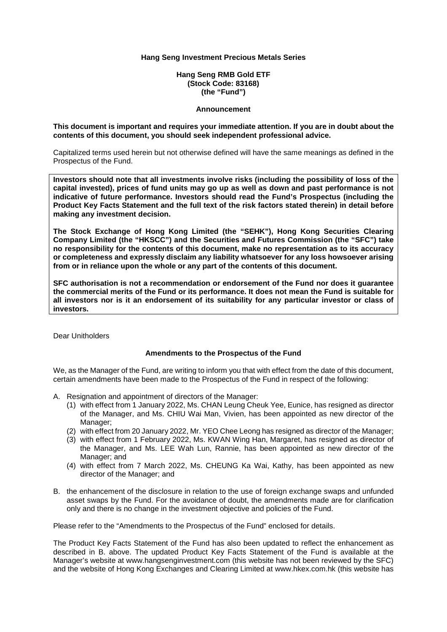**Hang Seng RMB Gold ETF (Stock Code: 83168) (the "Fund")** 

#### **Announcement**

**This document is important and requires your immediate attention. If you are in doubt about the contents of this document, you should seek independent professional advice.** 

Capitalized terms used herein but not otherwise defined will have the same meanings as defined in the Prospectus of the Fund.

**Investors should note that all investments involve risks (including the possibility of loss of the capital invested), prices of fund units may go up as well as down and past performance is not indicative of future performance. Investors should read the Fund's Prospectus (including the Product Key Facts Statement and the full text of the risk factors stated therein) in detail before making any investment decision.** 

**The Stock Exchange of Hong Kong Limited (the "SEHK"), Hong Kong Securities Clearing Company Limited (the "HKSCC") and the Securities and Futures Commission (the "SFC") take no responsibility for the contents of this document, make no representation as to its accuracy or completeness and expressly disclaim any liability whatsoever for any loss howsoever arising from or in reliance upon the whole or any part of the contents of this document.** 

**SFC authorisation is not a recommendation or endorsement of the Fund nor does it guarantee the commercial merits of the Fund or its performance. It does not mean the Fund is suitable for all investors nor is it an endorsement of its suitability for any particular investor or class of investors.**

Dear Unitholders

#### **Amendments to the Prospectus of the Fund**

We, as the Manager of the Fund, are writing to inform you that with effect from the date of this document, certain amendments have been made to the Prospectus of the Fund in respect of the following:

- A. Resignation and appointment of directors of the Manager:
	- (1) with effect from 1 January 2022, Ms. CHAN Leung Cheuk Yee, Eunice, has resigned as director of the Manager, and Ms. CHIU Wai Man, Vivien, has been appointed as new director of the Manager;
	- (2) with effect from 20 January 2022, Mr. YEO Chee Leong has resigned as director of the Manager;
	- (3) with effect from 1 February 2022, Ms. KWAN Wing Han, Margaret, has resigned as director of the Manager, and Ms. LEE Wah Lun, Rannie, has been appointed as new director of the Manager; and
	- (4) with effect from 7 March 2022, Ms. CHEUNG Ka Wai, Kathy, has been appointed as new director of the Manager; and
- B. the enhancement of the disclosure in relation to the use of foreign exchange swaps and unfunded asset swaps by the Fund. For the avoidance of doubt, the amendments made are for clarification only and there is no change in the investment objective and policies of the Fund.

Please refer to the "Amendments to the Prospectus of the Fund" enclosed for details.

The Product Key Facts Statement of the Fund has also been updated to reflect the enhancement as described in B. above. The updated Product Key Facts Statement of the Fund is available at the Manager's website at www.hangsenginvestment.com (this website has not been reviewed by the SFC) and the website of Hong Kong Exchanges and Clearing Limited at www.hkex.com.hk (this website has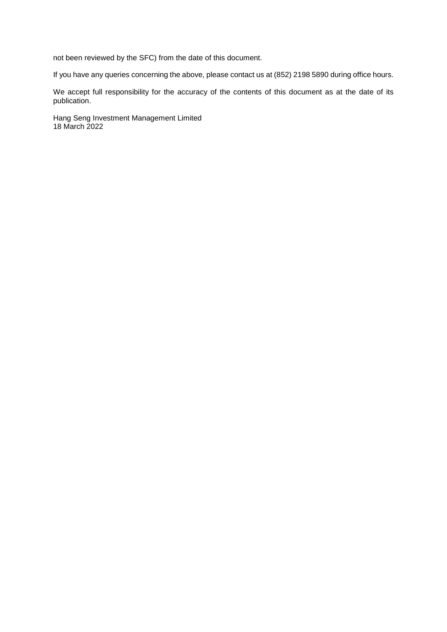not been reviewed by the SFC) from the date of this document.

If you have any queries concerning the above, please contact us at (852) 2198 5890 during office hours.

We accept full responsibility for the accuracy of the contents of this document as at the date of its publication.

Hang Seng Investment Management Limited 18 March 2022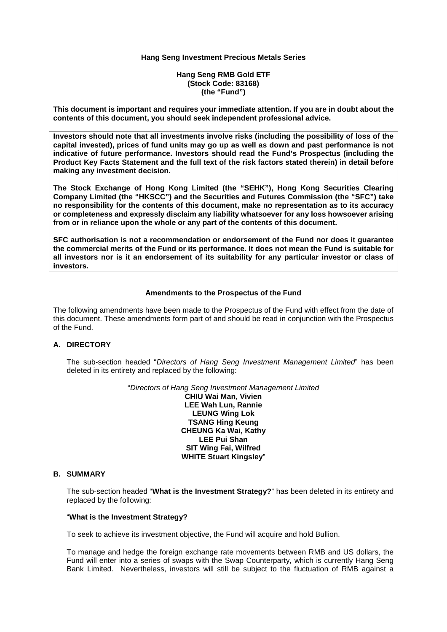**Hang Seng RMB Gold ETF (Stock Code: 83168) (the "Fund")** 

**This document is important and requires your immediate attention. If you are in doubt about the contents of this document, you should seek independent professional advice.** 

**Investors should note that all investments involve risks (including the possibility of loss of the capital invested), prices of fund units may go up as well as down and past performance is not indicative of future performance. Investors should read the Fund's Prospectus (including the Product Key Facts Statement and the full text of the risk factors stated therein) in detail before making any investment decision.** 

**The Stock Exchange of Hong Kong Limited (the "SEHK"), Hong Kong Securities Clearing Company Limited (the "HKSCC") and the Securities and Futures Commission (the "SFC") take no responsibility for the contents of this document, make no representation as to its accuracy or completeness and expressly disclaim any liability whatsoever for any loss howsoever arising from or in reliance upon the whole or any part of the contents of this document.** 

**SFC authorisation is not a recommendation or endorsement of the Fund nor does it guarantee the commercial merits of the Fund or its performance. It does not mean the Fund is suitable for all investors nor is it an endorsement of its suitability for any particular investor or class of investors.**

#### **Amendments to the Prospectus of the Fund**

The following amendments have been made to the Prospectus of the Fund with effect from the date of this document. These amendments form part of and should be read in conjunction with the Prospectus of the Fund.

#### **A. DIRECTORY**

The sub-section headed "*Directors of Hang Seng Investment Management Limited*" has been deleted in its entirety and replaced by the following:

"*Directors of Hang Seng Investment Management Limited* 

**CHIU Wai Man, Vivien LEE Wah Lun, Rannie LEUNG Wing Lok TSANG Hing Keung CHEUNG Ka Wai, Kathy LEE Pui Shan SIT Wing Fai, Wilfred WHITE Stuart Kingsley**"

#### **B. SUMMARY**

The sub-section headed "**What is the Investment Strategy?**" has been deleted in its entirety and replaced by the following:

#### "**What is the Investment Strategy?**

To seek to achieve its investment objective, the Fund will acquire and hold Bullion.

To manage and hedge the foreign exchange rate movements between RMB and US dollars, the Fund will enter into a series of swaps with the Swap Counterparty, which is currently Hang Seng Bank Limited. Nevertheless, investors will still be subject to the fluctuation of RMB against a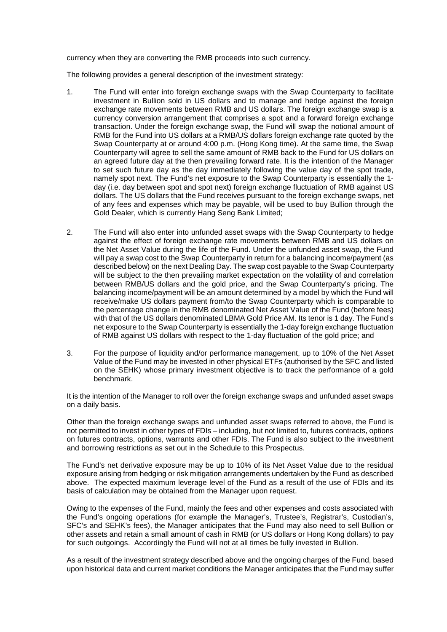currency when they are converting the RMB proceeds into such currency.

The following provides a general description of the investment strategy:

- 1. The Fund will enter into foreign exchange swaps with the Swap Counterparty to facilitate investment in Bullion sold in US dollars and to manage and hedge against the foreign exchange rate movements between RMB and US dollars. The foreign exchange swap is a currency conversion arrangement that comprises a spot and a forward foreign exchange transaction. Under the foreign exchange swap, the Fund will swap the notional amount of RMB for the Fund into US dollars at a RMB/US dollars foreign exchange rate quoted by the Swap Counterparty at or around 4:00 p.m. (Hong Kong time). At the same time, the Swap Counterparty will agree to sell the same amount of RMB back to the Fund for US dollars on an agreed future day at the then prevailing forward rate. It is the intention of the Manager to set such future day as the day immediately following the value day of the spot trade, namely spot next. The Fund's net exposure to the Swap Counterparty is essentially the 1 day (i.e. day between spot and spot next) foreign exchange fluctuation of RMB against US dollars. The US dollars that the Fund receives pursuant to the foreign exchange swaps, net of any fees and expenses which may be payable, will be used to buy Bullion through the Gold Dealer, which is currently Hang Seng Bank Limited;
- 2. The Fund will also enter into unfunded asset swaps with the Swap Counterparty to hedge against the effect of foreign exchange rate movements between RMB and US dollars on the Net Asset Value during the life of the Fund. Under the unfunded asset swap, the Fund will pay a swap cost to the Swap Counterparty in return for a balancing income/payment (as described below) on the next Dealing Day. The swap cost payable to the Swap Counterparty will be subject to the then prevailing market expectation on the volatility of and correlation between RMB/US dollars and the gold price, and the Swap Counterparty's pricing. The balancing income/payment will be an amount determined by a model by which the Fund will receive/make US dollars payment from/to the Swap Counterparty which is comparable to the percentage change in the RMB denominated Net Asset Value of the Fund (before fees) with that of the US dollars denominated LBMA Gold Price AM. Its tenor is 1 day. The Fund's net exposure to the Swap Counterparty is essentially the 1-day foreign exchange fluctuation of RMB against US dollars with respect to the 1-day fluctuation of the gold price; and
- 3. For the purpose of liquidity and/or performance management, up to 10% of the Net Asset Value of the Fund may be invested in other physical ETFs (authorised by the SFC and listed on the SEHK) whose primary investment objective is to track the performance of a gold benchmark.

It is the intention of the Manager to roll over the foreign exchange swaps and unfunded asset swaps on a daily basis.

Other than the foreign exchange swaps and unfunded asset swaps referred to above, the Fund is not permitted to invest in other types of FDIs – including, but not limited to, futures contracts, options on futures contracts, options, warrants and other FDIs. The Fund is also subject to the investment and borrowing restrictions as set out in the Schedule to this Prospectus.

The Fund's net derivative exposure may be up to 10% of its Net Asset Value due to the residual exposure arising from hedging or risk mitigation arrangements undertaken by the Fund as described above. The expected maximum leverage level of the Fund as a result of the use of FDIs and its basis of calculation may be obtained from the Manager upon request.

Owing to the expenses of the Fund, mainly the fees and other expenses and costs associated with the Fund's ongoing operations (for example the Manager's, Trustee's, Registrar's, Custodian's, SFC's and SEHK's fees), the Manager anticipates that the Fund may also need to sell Bullion or other assets and retain a small amount of cash in RMB (or US dollars or Hong Kong dollars) to pay for such outgoings. Accordingly the Fund will not at all times be fully invested in Bullion.

As a result of the investment strategy described above and the ongoing charges of the Fund, based upon historical data and current market conditions the Manager anticipates that the Fund may suffer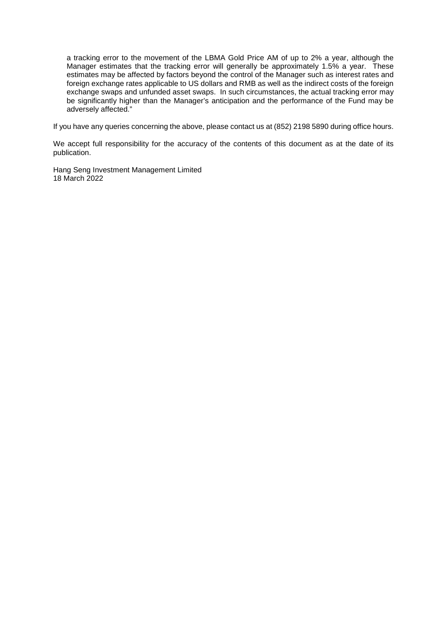a tracking error to the movement of the LBMA Gold Price AM of up to 2% a year, although the Manager estimates that the tracking error will generally be approximately 1.5% a year. These estimates may be affected by factors beyond the control of the Manager such as interest rates and foreign exchange rates applicable to US dollars and RMB as well as the indirect costs of the foreign exchange swaps and unfunded asset swaps. In such circumstances, the actual tracking error may be significantly higher than the Manager's anticipation and the performance of the Fund may be adversely affected."

If you have any queries concerning the above, please contact us at (852) 2198 5890 during office hours.

We accept full responsibility for the accuracy of the contents of this document as at the date of its publication.

Hang Seng Investment Management Limited 18 March 2022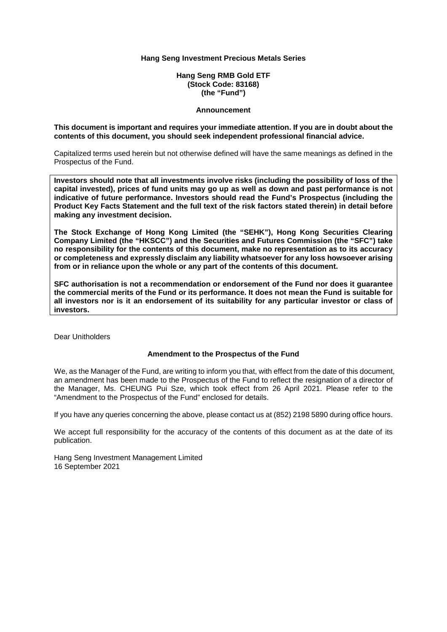**Hang Seng RMB Gold ETF (Stock Code: 83168) (the "Fund")** 

#### **Announcement**

#### **This document is important and requires your immediate attention. If you are in doubt about the contents of this document, you should seek independent professional financial advice.**

Capitalized terms used herein but not otherwise defined will have the same meanings as defined in the Prospectus of the Fund.

**Investors should note that all investments involve risks (including the possibility of loss of the capital invested), prices of fund units may go up as well as down and past performance is not indicative of future performance. Investors should read the Fund's Prospectus (including the Product Key Facts Statement and the full text of the risk factors stated therein) in detail before making any investment decision.** 

**The Stock Exchange of Hong Kong Limited (the "SEHK"), Hong Kong Securities Clearing Company Limited (the "HKSCC") and the Securities and Futures Commission (the "SFC") take no responsibility for the contents of this document, make no representation as to its accuracy or completeness and expressly disclaim any liability whatsoever for any loss howsoever arising from or in reliance upon the whole or any part of the contents of this document.** 

**SFC authorisation is not a recommendation or endorsement of the Fund nor does it guarantee the commercial merits of the Fund or its performance. It does not mean the Fund is suitable for all investors nor is it an endorsement of its suitability for any particular investor or class of investors.**

Dear Unitholders

#### **Amendment to the Prospectus of the Fund**

We, as the Manager of the Fund, are writing to inform you that, with effect from the date of this document, an amendment has been made to the Prospectus of the Fund to reflect the resignation of a director of the Manager, Ms. CHEUNG Pui Sze, which took effect from 26 April 2021. Please refer to the "Amendment to the Prospectus of the Fund" enclosed for details.

If you have any queries concerning the above, please contact us at (852) 2198 5890 during office hours.

We accept full responsibility for the accuracy of the contents of this document as at the date of its publication.

Hang Seng Investment Management Limited 16 September 2021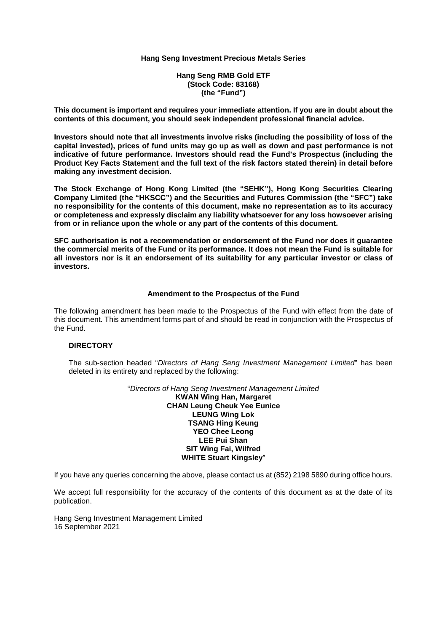**Hang Seng RMB Gold ETF (Stock Code: 83168) (the "Fund")** 

**This document is important and requires your immediate attention. If you are in doubt about the contents of this document, you should seek independent professional financial advice.** 

**Investors should note that all investments involve risks (including the possibility of loss of the capital invested), prices of fund units may go up as well as down and past performance is not indicative of future performance. Investors should read the Fund's Prospectus (including the Product Key Facts Statement and the full text of the risk factors stated therein) in detail before making any investment decision.** 

**The Stock Exchange of Hong Kong Limited (the "SEHK"), Hong Kong Securities Clearing Company Limited (the "HKSCC") and the Securities and Futures Commission (the "SFC") take no responsibility for the contents of this document, make no representation as to its accuracy or completeness and expressly disclaim any liability whatsoever for any loss howsoever arising from or in reliance upon the whole or any part of the contents of this document.** 

**SFC authorisation is not a recommendation or endorsement of the Fund nor does it guarantee the commercial merits of the Fund or its performance. It does not mean the Fund is suitable for all investors nor is it an endorsement of its suitability for any particular investor or class of investors.**

#### **Amendment to the Prospectus of the Fund**

The following amendment has been made to the Prospectus of the Fund with effect from the date of this document. This amendment forms part of and should be read in conjunction with the Prospectus of the Fund.

# **DIRECTORY**

The sub-section headed "*Directors of Hang Seng Investment Management Limited*" has been deleted in its entirety and replaced by the following:

> "*Directors of Hang Seng Investment Management Limited* **KWAN Wing Han, Margaret CHAN Leung Cheuk Yee Eunice LEUNG Wing Lok TSANG Hing Keung YEO Chee Leong LEE Pui Shan SIT Wing Fai, Wilfred WHITE Stuart Kingsley**"

If you have any queries concerning the above, please contact us at (852) 2198 5890 during office hours.

We accept full responsibility for the accuracy of the contents of this document as at the date of its publication.

Hang Seng Investment Management Limited 16 September 2021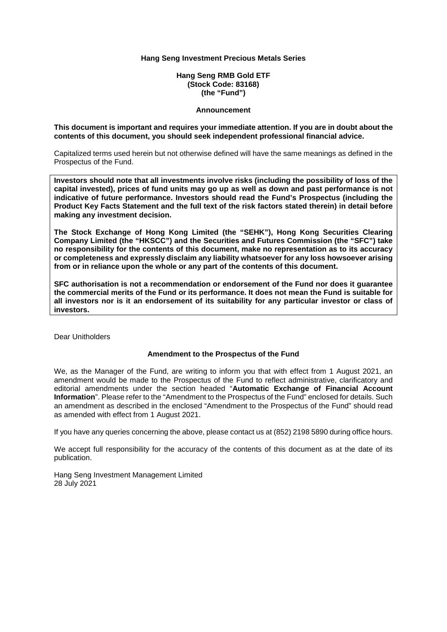**Hang Seng RMB Gold ETF (Stock Code: 83168) (the "Fund")** 

#### **Announcement**

#### **This document is important and requires your immediate attention. If you are in doubt about the contents of this document, you should seek independent professional financial advice.**

Capitalized terms used herein but not otherwise defined will have the same meanings as defined in the Prospectus of the Fund.

**Investors should note that all investments involve risks (including the possibility of loss of the capital invested), prices of fund units may go up as well as down and past performance is not indicative of future performance. Investors should read the Fund's Prospectus (including the Product Key Facts Statement and the full text of the risk factors stated therein) in detail before making any investment decision.** 

**The Stock Exchange of Hong Kong Limited (the "SEHK"), Hong Kong Securities Clearing Company Limited (the "HKSCC") and the Securities and Futures Commission (the "SFC") take no responsibility for the contents of this document, make no representation as to its accuracy or completeness and expressly disclaim any liability whatsoever for any loss howsoever arising from or in reliance upon the whole or any part of the contents of this document.** 

**SFC authorisation is not a recommendation or endorsement of the Fund nor does it guarantee the commercial merits of the Fund or its performance. It does not mean the Fund is suitable for all investors nor is it an endorsement of its suitability for any particular investor or class of investors.**

Dear Unitholders

#### **Amendment to the Prospectus of the Fund**

We, as the Manager of the Fund, are writing to inform you that with effect from 1 August 2021, an amendment would be made to the Prospectus of the Fund to reflect administrative, clarificatory and editorial amendments under the section headed "**Automatic Exchange of Financial Account Information**". Please refer to the "Amendment to the Prospectus of the Fund" enclosed for details. Such an amendment as described in the enclosed "Amendment to the Prospectus of the Fund" should read as amended with effect from 1 August 2021.

If you have any queries concerning the above, please contact us at (852) 2198 5890 during office hours.

We accept full responsibility for the accuracy of the contents of this document as at the date of its publication.

Hang Seng Investment Management Limited 28 July 2021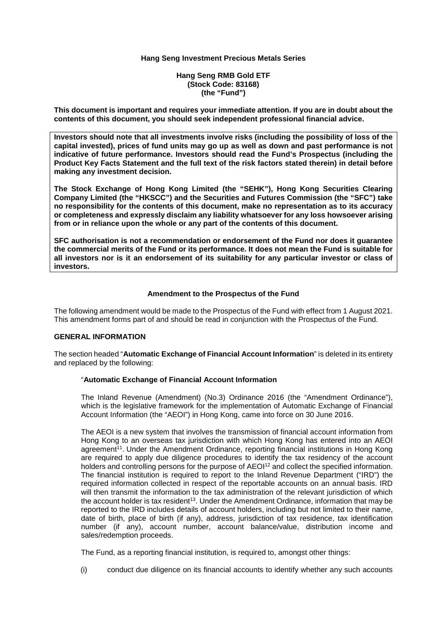**Hang Seng RMB Gold ETF (Stock Code: 83168) (the "Fund")** 

**This document is important and requires your immediate attention. If you are in doubt about the contents of this document, you should seek independent professional financial advice.** 

**Investors should note that all investments involve risks (including the possibility of loss of the capital invested), prices of fund units may go up as well as down and past performance is not indicative of future performance. Investors should read the Fund's Prospectus (including the Product Key Facts Statement and the full text of the risk factors stated therein) in detail before making any investment decision.** 

**The Stock Exchange of Hong Kong Limited (the "SEHK"), Hong Kong Securities Clearing Company Limited (the "HKSCC") and the Securities and Futures Commission (the "SFC") take no responsibility for the contents of this document, make no representation as to its accuracy or completeness and expressly disclaim any liability whatsoever for any loss howsoever arising from or in reliance upon the whole or any part of the contents of this document.** 

**SFC authorisation is not a recommendation or endorsement of the Fund nor does it guarantee the commercial merits of the Fund or its performance. It does not mean the Fund is suitable for all investors nor is it an endorsement of its suitability for any particular investor or class of investors.**

#### **Amendment to the Prospectus of the Fund**

The following amendment would be made to the Prospectus of the Fund with effect from 1 August 2021. This amendment forms part of and should be read in conjunction with the Prospectus of the Fund.

#### **GENERAL INFORMATION**

The section headed "**Automatic Exchange of Financial Account Information**" is deleted in its entirety and replaced by the following:

#### "**Automatic Exchange of Financial Account Information**

The Inland Revenue (Amendment) (No.3) Ordinance 2016 (the "Amendment Ordinance"), which is the legislative framework for the implementation of Automatic Exchange of Financial Account Information (the "AEOI") in Hong Kong, came into force on 30 June 2016.

The AEOI is a new system that involves the transmission of financial account information from Hong Kong to an overseas tax jurisdiction with which Hong Kong has entered into an AEOI agreement<sup>11</sup>. Under the Amendment Ordinance, reporting financial institutions in Hong Kong are required to apply due diligence procedures to identify the tax residency of the account holders and controlling persons for the purpose of AEOI<sup>12</sup> and collect the specified information. The financial institution is required to report to the Inland Revenue Department ("IRD") the required information collected in respect of the reportable accounts on an annual basis. IRD will then transmit the information to the tax administration of the relevant jurisdiction of which the account holder is tax resident<sup>13</sup>. Under the Amendment Ordinance, information that may be reported to the IRD includes details of account holders, including but not limited to their name, date of birth, place of birth (if any), address, jurisdiction of tax residence, tax identification number (if any), account number, account balance/value, distribution income and sales/redemption proceeds.

The Fund, as a reporting financial institution, is required to, amongst other things:

(i) conduct due diligence on its financial accounts to identify whether any such accounts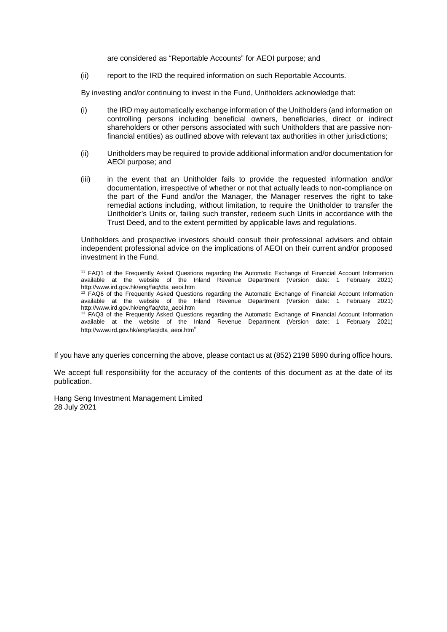are considered as "Reportable Accounts" for AEOI purpose; and

(ii) report to the IRD the required information on such Reportable Accounts.

By investing and/or continuing to invest in the Fund, Unitholders acknowledge that:

- (i) the IRD may automatically exchange information of the Unitholders (and information on controlling persons including beneficial owners, beneficiaries, direct or indirect shareholders or other persons associated with such Unitholders that are passive nonfinancial entities) as outlined above with relevant tax authorities in other jurisdictions;
- (ii) Unitholders may be required to provide additional information and/or documentation for AEOI purpose; and
- (iii) in the event that an Unitholder fails to provide the requested information and/or documentation, irrespective of whether or not that actually leads to non-compliance on the part of the Fund and/or the Manager, the Manager reserves the right to take remedial actions including, without limitation, to require the Unitholder to transfer the Unitholder's Units or, failing such transfer, redeem such Units in accordance with the Trust Deed, and to the extent permitted by applicable laws and regulations.

Unitholders and prospective investors should consult their professional advisers and obtain independent professional advice on the implications of AEOI on their current and/or proposed investment in the Fund.

<sup>11</sup> FAQ1 of the Frequently Asked Questions regarding the Automatic Exchange of Financial Account Information available at the website of the Inland Revenue Department (Version date: 1 February 2021) http://www.ird.gov.hk/eng/faq/dta\_aeoi.htm <sup>12</sup> FAQ6 of the Frequently Asked Questions regarding the Automatic Exchange of Financial Account Information available at the website of the Inland Revenue Department (Version date: 1 February 2021) http://www.ird.gov.hk/eng/faq/dta\_aeoi.htm <sup>13</sup> FAQ3 of the Frequently Asked Questions regarding the Automatic Exchange of Financial Account Information available at the website of the Inland Revenue Department (Version date: 1 February 2021) http://www.ird.gov.hk/eng/faq/dta\_aeoi.htm"

If you have any queries concerning the above, please contact us at (852) 2198 5890 during office hours.

We accept full responsibility for the accuracy of the contents of this document as at the date of its publication.

Hang Seng Investment Management Limited 28 July 2021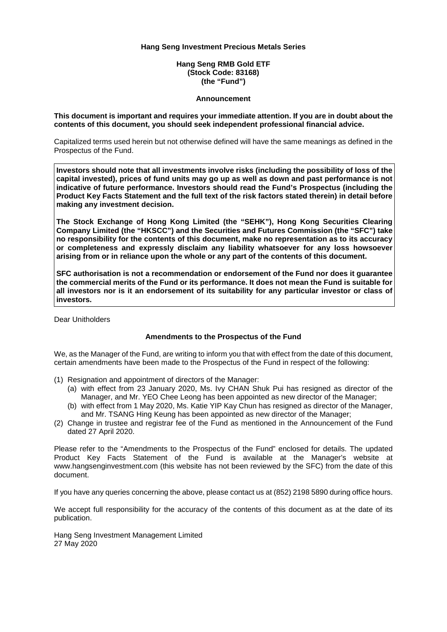**Hang Seng RMB Gold ETF (Stock Code: 83168) (the "Fund")** 

#### **Announcement**

**This document is important and requires your immediate attention. If you are in doubt about the contents of this document, you should seek independent professional financial advice.** 

Capitalized terms used herein but not otherwise defined will have the same meanings as defined in the Prospectus of the Fund.

**Investors should note that all investments involve risks (including the possibility of loss of the capital invested), prices of fund units may go up as well as down and past performance is not indicative of future performance. Investors should read the Fund's Prospectus (including the Product Key Facts Statement and the full text of the risk factors stated therein) in detail before making any investment decision.** 

**The Stock Exchange of Hong Kong Limited (the "SEHK"), Hong Kong Securities Clearing Company Limited (the "HKSCC") and the Securities and Futures Commission (the "SFC") take no responsibility for the contents of this document, make no representation as to its accuracy or completeness and expressly disclaim any liability whatsoever for any loss howsoever arising from or in reliance upon the whole or any part of the contents of this document.** 

**SFC authorisation is not a recommendation or endorsement of the Fund nor does it guarantee the commercial merits of the Fund or its performance. It does not mean the Fund is suitable for all investors nor is it an endorsement of its suitability for any particular investor or class of investors.** 

Dear Unitholders

#### **Amendments to the Prospectus of the Fund**

We, as the Manager of the Fund, are writing to inform you that with effect from the date of this document, certain amendments have been made to the Prospectus of the Fund in respect of the following:

- (1) Resignation and appointment of directors of the Manager:
	- (a) with effect from 23 January 2020, Ms. Ivy CHAN Shuk Pui has resigned as director of the Manager, and Mr. YEO Chee Leong has been appointed as new director of the Manager;
	- (b) with effect from 1 May 2020, Ms. Katie YIP Kay Chun has resigned as director of the Manager, and Mr. TSANG Hing Keung has been appointed as new director of the Manager;
- (2) Change in trustee and registrar fee of the Fund as mentioned in the Announcement of the Fund dated 27 April 2020.

Please refer to the "Amendments to the Prospectus of the Fund" enclosed for details. The updated Product Key Facts Statement of the Fund is available at the Manager's website at www.hangsenginvestment.com (this website has not been reviewed by the SFC) from the date of this document.

If you have any queries concerning the above, please contact us at (852) 2198 5890 during office hours.

We accept full responsibility for the accuracy of the contents of this document as at the date of its publication.

Hang Seng Investment Management Limited 27 May 2020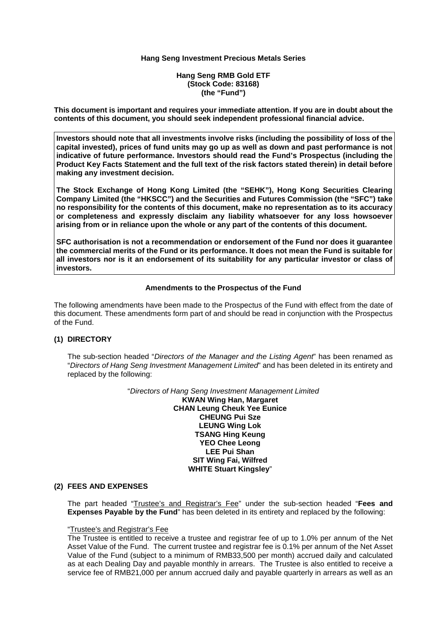**Hang Seng RMB Gold ETF (Stock Code: 83168) (the "Fund")** 

**This document is important and requires your immediate attention. If you are in doubt about the contents of this document, you should seek independent professional financial advice.** 

**Investors should note that all investments involve risks (including the possibility of loss of the capital invested), prices of fund units may go up as well as down and past performance is not indicative of future performance. Investors should read the Fund's Prospectus (including the Product Key Facts Statement and the full text of the risk factors stated therein) in detail before making any investment decision.** 

**The Stock Exchange of Hong Kong Limited (the "SEHK"), Hong Kong Securities Clearing Company Limited (the "HKSCC") and the Securities and Futures Commission (the "SFC") take no responsibility for the contents of this document, make no representation as to its accuracy or completeness and expressly disclaim any liability whatsoever for any loss howsoever arising from or in reliance upon the whole or any part of the contents of this document.** 

**SFC authorisation is not a recommendation or endorsement of the Fund nor does it guarantee the commercial merits of the Fund or its performance. It does not mean the Fund is suitable for all investors nor is it an endorsement of its suitability for any particular investor or class of investors.** 

#### **Amendments to the Prospectus of the Fund**

The following amendments have been made to the Prospectus of the Fund with effect from the date of this document. These amendments form part of and should be read in conjunction with the Prospectus of the Fund.

#### **(1) DIRECTORY**

The sub-section headed "*Directors of the Manager and the Listing Agent*" has been renamed as "*Directors of Hang Seng Investment Management Limited*" and has been deleted in its entirety and replaced by the following:

> "*Directors of Hang Seng Investment Management Limited*  **KWAN Wing Han, Margaret CHAN Leung Cheuk Yee Eunice CHEUNG Pui Sze LEUNG Wing Lok TSANG Hing Keung YEO Chee Leong LEE Pui Shan SIT Wing Fai, Wilfred WHITE Stuart Kingsley**"

#### **(2) FEES AND EXPENSES**

The part headed "Trustee's and Registrar's Fee" under the sub-section headed "**Fees and Expenses Payable by the Fund**" has been deleted in its entirety and replaced by the following:

#### "Trustee's and Registrar's Fee

The Trustee is entitled to receive a trustee and registrar fee of up to 1.0% per annum of the Net Asset Value of the Fund. The current trustee and registrar fee is 0.1% per annum of the Net Asset Value of the Fund (subject to a minimum of RMB33,500 per month) accrued daily and calculated as at each Dealing Day and payable monthly in arrears. The Trustee is also entitled to receive a service fee of RMB21,000 per annum accrued daily and payable quarterly in arrears as well as an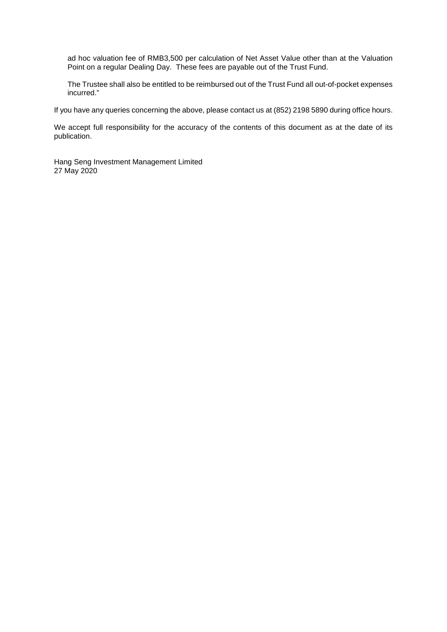ad hoc valuation fee of RMB3,500 per calculation of Net Asset Value other than at the Valuation Point on a regular Dealing Day. These fees are payable out of the Trust Fund.

The Trustee shall also be entitled to be reimbursed out of the Trust Fund all out-of-pocket expenses incurred."

If you have any queries concerning the above, please contact us at (852) 2198 5890 during office hours.

We accept full responsibility for the accuracy of the contents of this document as at the date of its publication.

Hang Seng Investment Management Limited 27 May 2020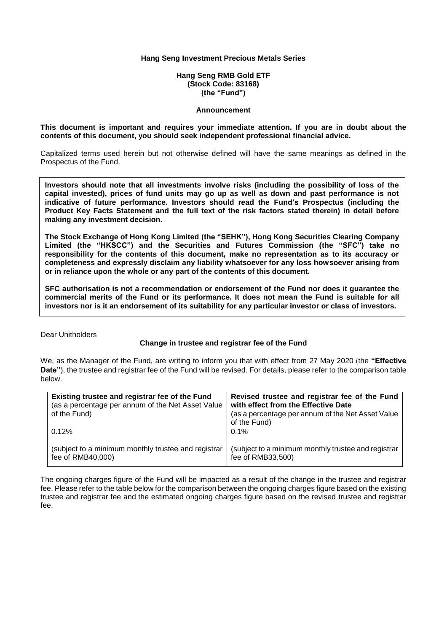**Hang Seng RMB Gold ETF (Stock Code: 83168) (the "Fund")**

#### **Announcement**

#### **This document is important and requires your immediate attention. If you are in doubt about the contents of this document, you should seek independent professional financial advice.**

Capitalized terms used herein but not otherwise defined will have the same meanings as defined in the Prospectus of the Fund.

**Investors should note that all investments involve risks (including the possibility of loss of the capital invested), prices of fund units may go up as well as down and past performance is not indicative of future performance. Investors should read the Fund's Prospectus (including the Product Key Facts Statement and the full text of the risk factors stated therein) in detail before making any investment decision.**

**The Stock Exchange of Hong Kong Limited (the "SEHK"), Hong Kong Securities Clearing Company Limited (the "HKSCC") and the Securities and Futures Commission (the "SFC") take no responsibility for the contents of this document, make no representation as to its accuracy or completeness and expressly disclaim any liability whatsoever for any loss howsoever arising from or in reliance upon the whole or any part of the contents of this document.**

**SFC authorisation is not a recommendation or endorsement of the Fund nor does it guarantee the commercial merits of the Fund or its performance. It does not mean the Fund is suitable for all investors nor is it an endorsement of its suitability for any particular investor or class of investors.**

Dear Unitholders

#### **Change in trustee and registrar fee of the Fund**

We, as the Manager of the Fund, are writing to inform you that with effect from 27 May 2020 (the **"Effective Date"**), the trustee and registrar fee of the Fund will be revised. For details, please refer to the comparison table below.

| Existing trustee and registrar fee of the Fund<br>(as a percentage per annum of the Net Asset Value<br>of the Fund) | Revised trustee and registrar fee of the Fund<br>with effect from the Effective Date<br>(as a percentage per annum of the Net Asset Value<br>of the Fund) |
|---------------------------------------------------------------------------------------------------------------------|-----------------------------------------------------------------------------------------------------------------------------------------------------------|
| $0.12\%$                                                                                                            | $0.1\%$                                                                                                                                                   |
| (subject to a minimum monthly trustee and registrar<br>fee of RMB40,000)                                            | (subject to a minimum monthly trustee and registrar<br>fee of RMB33,500)                                                                                  |

The ongoing charges figure of the Fund will be impacted as a result of the change in the trustee and registrar fee. Please refer to the table below for the comparison between the ongoing charges figure based on the existing trustee and registrar fee and the estimated ongoing charges figure based on the revised trustee and registrar fee.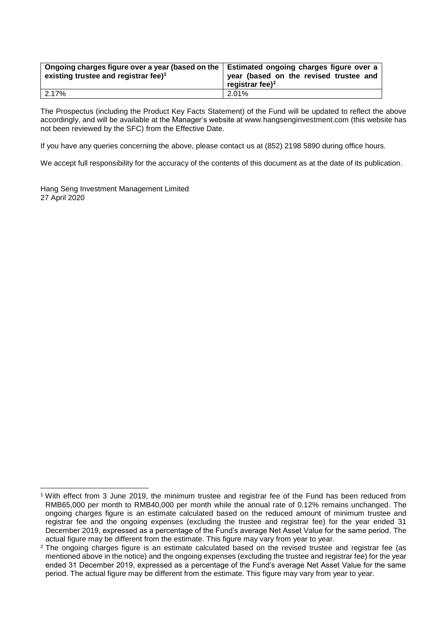| Ongoing charges figure over a year (based on the   Estimated ongoing charges figure over a | year (based on the revised trustee and |
|--------------------------------------------------------------------------------------------|----------------------------------------|
| existing trustee and registrar fee) <sup>1</sup>                                           | registrar fee $)^2$                    |
| 2.17%                                                                                      | 2.01%                                  |

The Prospectus (including the Product Key Facts Statement) of the Fund will be updated to reflect the above accordingly, and will be available at the Manager's website at www.hangsenginvestment.com (this website has not been reviewed by the SFC) from the Effective Date.

If you have any queries concerning the above, please contact us at (852) 2198 5890 during office hours.

We accept full responsibility for the accuracy of the contents of this document as at the date of its publication.

Hang Seng Investment Management Limited 27 April 2020

<sup>-</sup><sup>1</sup> With effect from 3 June 2019, the minimum trustee and registrar fee of the Fund has been reduced from RMB65,000 per month to RMB40,000 per month while the annual rate of 0.12% remains unchanged. The ongoing charges figure is an estimate calculated based on the reduced amount of minimum trustee and registrar fee and the ongoing expenses (excluding the trustee and registrar fee) for the year ended 31 December 2019, expressed as a percentage of the Fund's average Net Asset Value for the same period. The actual figure may be different from the estimate. This figure may vary from year to year.

<sup>2</sup> The ongoing charges figure is an estimate calculated based on the revised trustee and registrar fee (as mentioned above in the notice) and the ongoing expenses (excluding the trustee and registrar fee) for the year ended 31 December 2019, expressed as a percentage of the Fund's average Net Asset Value for the same period. The actual figure may be different from the estimate. This figure may vary from year to year.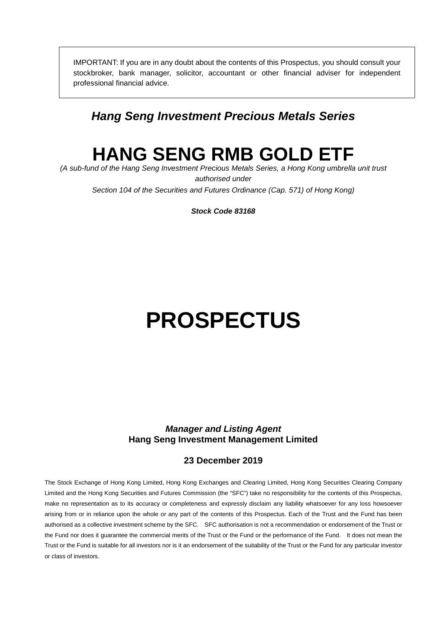IMPORTANT: If you are in any doubt about the contents of this Prospectus, you should consult your stockbroker, bank manager, solicitor, accountant or other financial adviser for independent professional financial advice.

# *Hang Seng Investment Precious Metals Series*

# **HANG SENG RMB GOLD ETF**

*(A sub-fund of the Hang Seng Investment Precious Metals Series, a Hong Kong umbrella unit trust authorised under Section 104 of the Securities and Futures Ordinance (Cap. 571) of Hong Kong)* 

*Stock Code 83168* 

# **PROSPECTUS**

# *Manager and Listing Agent*  **Hang Seng Investment Management Limited**

# **23 December 2019**

The Stock Exchange of Hong Kong Limited, Hong Kong Exchanges and Clearing Limited, Hong Kong Securities Clearing Company Limited and the Hong Kong Securities and Futures Commission (the "SFC") take no responsibility for the contents of this Prospectus, make no representation as to its accuracy or completeness and expressly disclaim any liability whatsoever for any loss howsoever arising from or in reliance upon the whole or any part of the contents of this Prospectus. Each of the Trust and the Fund has been authorised as a collective investment scheme by the SFC. SFC authorisation is not a recommendation or endorsement of the Trust or the Fund nor does it guarantee the commercial merits of the Trust or the Fund or the performance of the Fund. It does not mean the Trust or the Fund is suitable for all investors nor is it an endorsement of the suitability of the Trust or the Fund for any particular investor or class of investors.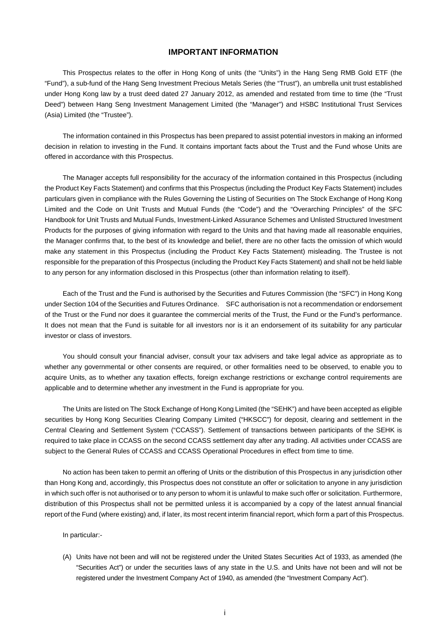#### **IMPORTANT INFORMATION**

This Prospectus relates to the offer in Hong Kong of units (the "Units") in the Hang Seng RMB Gold ETF (the "Fund"), a sub-fund of the Hang Seng Investment Precious Metals Series (the "Trust"), an umbrella unit trust established under Hong Kong law by a trust deed dated 27 January 2012, as amended and restated from time to time (the "Trust Deed") between Hang Seng Investment Management Limited (the "Manager") and HSBC Institutional Trust Services (Asia) Limited (the "Trustee").

The information contained in this Prospectus has been prepared to assist potential investors in making an informed decision in relation to investing in the Fund. It contains important facts about the Trust and the Fund whose Units are offered in accordance with this Prospectus.

The Manager accepts full responsibility for the accuracy of the information contained in this Prospectus (including the Product Key Facts Statement) and confirms that this Prospectus (including the Product Key Facts Statement) includes particulars given in compliance with the Rules Governing the Listing of Securities on The Stock Exchange of Hong Kong Limited and the Code on Unit Trusts and Mutual Funds (the "Code") and the "Overarching Principles" of the SFC Handbook for Unit Trusts and Mutual Funds, Investment-Linked Assurance Schemes and Unlisted Structured Investment Products for the purposes of giving information with regard to the Units and that having made all reasonable enquiries, the Manager confirms that, to the best of its knowledge and belief, there are no other facts the omission of which would make any statement in this Prospectus (including the Product Key Facts Statement) misleading. The Trustee is not responsible for the preparation of this Prospectus (including the Product Key Facts Statement) and shall not be held liable to any person for any information disclosed in this Prospectus (other than information relating to itself).

Each of the Trust and the Fund is authorised by the Securities and Futures Commission (the "SFC") in Hong Kong under Section 104 of the Securities and Futures Ordinance. SFC authorisation is not a recommendation or endorsement of the Trust or the Fund nor does it guarantee the commercial merits of the Trust, the Fund or the Fund's performance. It does not mean that the Fund is suitable for all investors nor is it an endorsement of its suitability for any particular investor or class of investors.

You should consult your financial adviser, consult your tax advisers and take legal advice as appropriate as to whether any governmental or other consents are required, or other formalities need to be observed, to enable you to acquire Units, as to whether any taxation effects, foreign exchange restrictions or exchange control requirements are applicable and to determine whether any investment in the Fund is appropriate for you.

The Units are listed on The Stock Exchange of Hong Kong Limited (the "SEHK") and have been accepted as eligible securities by Hong Kong Securities Clearing Company Limited ("HKSCC") for deposit, clearing and settlement in the Central Clearing and Settlement System ("CCASS"). Settlement of transactions between participants of the SEHK is required to take place in CCASS on the second CCASS settlement day after any trading. All activities under CCASS are subject to the General Rules of CCASS and CCASS Operational Procedures in effect from time to time.

No action has been taken to permit an offering of Units or the distribution of this Prospectus in any jurisdiction other than Hong Kong and, accordingly, this Prospectus does not constitute an offer or solicitation to anyone in any jurisdiction in which such offer is not authorised or to any person to whom it is unlawful to make such offer or solicitation. Furthermore, distribution of this Prospectus shall not be permitted unless it is accompanied by a copy of the latest annual financial report of the Fund (where existing) and, if later, its most recent interim financial report, which form a part of this Prospectus.

In particular:-

(A) Units have not been and will not be registered under the United States Securities Act of 1933, as amended (the "Securities Act") or under the securities laws of any state in the U.S. and Units have not been and will not be registered under the Investment Company Act of 1940, as amended (the "Investment Company Act").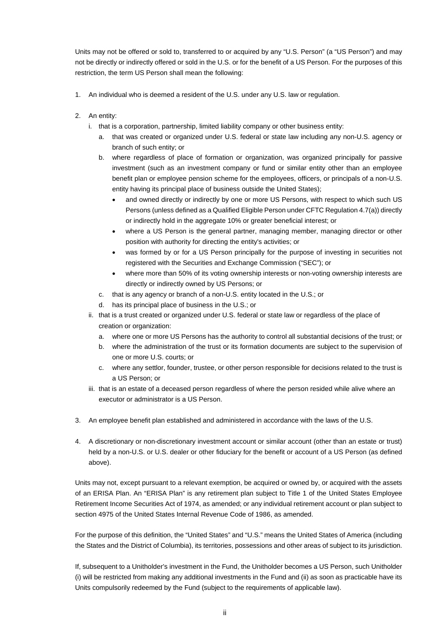Units may not be offered or sold to, transferred to or acquired by any "U.S. Person" (a "US Person") and may not be directly or indirectly offered or sold in the U.S. or for the benefit of a US Person. For the purposes of this restriction, the term US Person shall mean the following:

- 1. An individual who is deemed a resident of the U.S. under any U.S. law or regulation.
- 2. An entity:
	- i. that is a corporation, partnership, limited liability company or other business entity:
		- a. that was created or organized under U.S. federal or state law including any non-U.S. agency or branch of such entity; or
		- b. where regardless of place of formation or organization, was organized principally for passive investment (such as an investment company or fund or similar entity other than an employee benefit plan or employee pension scheme for the employees, officers, or principals of a non-U.S. entity having its principal place of business outside the United States);
			- and owned directly or indirectly by one or more US Persons, with respect to which such US Persons (unless defined as a Qualified Eligible Person under CFTC Regulation 4.7(a)) directly or indirectly hold in the aggregate 10% or greater beneficial interest; or
			- where a US Person is the general partner, managing member, managing director or other position with authority for directing the entity's activities; or
			- was formed by or for a US Person principally for the purpose of investing in securities not registered with the Securities and Exchange Commission ("SEC"); or
			- where more than 50% of its voting ownership interests or non-voting ownership interests are directly or indirectly owned by US Persons; or
		- c. that is any agency or branch of a non-U.S. entity located in the U.S.; or
		- d. has its principal place of business in the U.S.; or
	- ii. that is a trust created or organized under U.S. federal or state law or regardless of the place of creation or organization:
		- a. where one or more US Persons has the authority to control all substantial decisions of the trust; or
		- b. where the administration of the trust or its formation documents are subject to the supervision of one or more U.S. courts; or
		- c. where any settlor, founder, trustee, or other person responsible for decisions related to the trust is a US Person; or
	- iii. that is an estate of a deceased person regardless of where the person resided while alive where an executor or administrator is a US Person.
- 3. An employee benefit plan established and administered in accordance with the laws of the U.S.
- 4. A discretionary or non-discretionary investment account or similar account (other than an estate or trust) held by a non-U.S. or U.S. dealer or other fiduciary for the benefit or account of a US Person (as defined above).

Units may not, except pursuant to a relevant exemption, be acquired or owned by, or acquired with the assets of an ERISA Plan. An "ERISA Plan" is any retirement plan subject to Title 1 of the United States Employee Retirement Income Securities Act of 1974, as amended; or any individual retirement account or plan subject to section 4975 of the United States Internal Revenue Code of 1986, as amended.

For the purpose of this definition, the "United States" and "U.S." means the United States of America (including the States and the District of Columbia), its territories, possessions and other areas of subject to its jurisdiction.

If, subsequent to a Unitholder's investment in the Fund, the Unitholder becomes a US Person, such Unitholder (i) will be restricted from making any additional investments in the Fund and (ii) as soon as practicable have its Units compulsorily redeemed by the Fund (subject to the requirements of applicable law).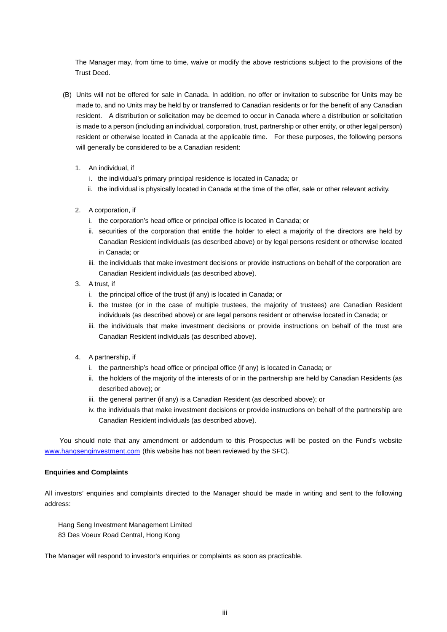The Manager may, from time to time, waive or modify the above restrictions subject to the provisions of the Trust Deed.

- (B) Units will not be offered for sale in Canada. In addition, no offer or invitation to subscribe for Units may be made to, and no Units may be held by or transferred to Canadian residents or for the benefit of any Canadian resident. A distribution or solicitation may be deemed to occur in Canada where a distribution or solicitation is made to a person (including an individual, corporation, trust, partnership or other entity, or other legal person) resident or otherwise located in Canada at the applicable time. For these purposes, the following persons will generally be considered to be a Canadian resident:
	- 1. An individual, if
		- i. the individual's primary principal residence is located in Canada; or
		- ii. the individual is physically located in Canada at the time of the offer, sale or other relevant activity.
	- 2. A corporation, if
		- i. the corporation's head office or principal office is located in Canada; or
		- ii. securities of the corporation that entitle the holder to elect a majority of the directors are held by Canadian Resident individuals (as described above) or by legal persons resident or otherwise located in Canada; or
		- iii. the individuals that make investment decisions or provide instructions on behalf of the corporation are Canadian Resident individuals (as described above).
	- 3. A trust, if
		- i. the principal office of the trust (if any) is located in Canada; or
		- ii. the trustee (or in the case of multiple trustees, the majority of trustees) are Canadian Resident individuals (as described above) or are legal persons resident or otherwise located in Canada; or
		- iii. the individuals that make investment decisions or provide instructions on behalf of the trust are Canadian Resident individuals (as described above).
	- 4. A partnership, if
		- i. the partnership's head office or principal office (if any) is located in Canada; or
		- ii. the holders of the majority of the interests of or in the partnership are held by Canadian Residents (as described above); or
		- iii. the general partner (if any) is a Canadian Resident (as described above); or
		- iv. the individuals that make investment decisions or provide instructions on behalf of the partnership are Canadian Resident individuals (as described above).

 You should note that any amendment or addendum to this Prospectus will be posted on the Fund's website www.hangsenginvestment.com (this website has not been reviewed by the SFC).

#### **Enquiries and Complaints**

All investors' enquiries and complaints directed to the Manager should be made in writing and sent to the following address:

Hang Seng Investment Management Limited 83 Des Voeux Road Central, Hong Kong

The Manager will respond to investor's enquiries or complaints as soon as practicable.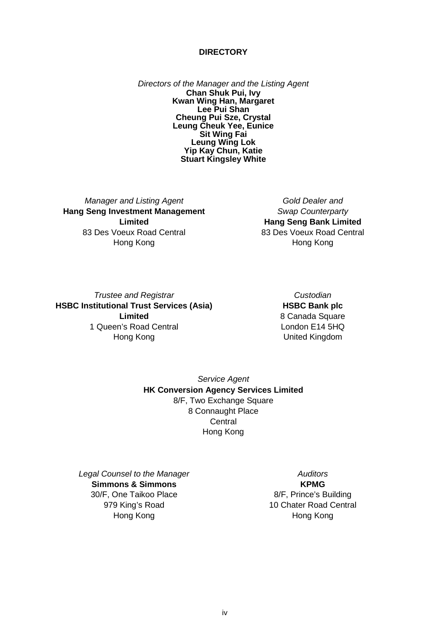#### **DIRECTORY**

*Directors of the Manager and the Listing Agent*  **Chan Shuk Pui, Ivy Kwan Wing Han, Margaret Lee Pui Shan Cheung Pui Sze, Crystal Leung Cheuk Yee, Eunice Sit Wing Fai Leung Wing Lok Yip Kay Chun, Katie Stuart Kingsley White** 

*Manager and Listing Agent*  **Hang Seng Investment Management Limited**  83 Des Voeux Road Central Hong Kong

*Gold Dealer and Swap Counterparty* **Hang Seng Bank Limited**  83 Des Voeux Road Central Hong Kong

*Trustee and Registrar*  **HSBC Institutional Trust Services (Asia) Limited**  1 Queen's Road Central Hong Kong

*Custodian*  **HSBC Bank plc**  8 Canada Square London E14 5HQ United Kingdom

*Service Agent*  **HK Conversion Agency Services Limited**  8/F, Two Exchange Square 8 Connaught Place **Central** Hong Kong

*Legal Counsel to the Manager*  **Simmons & Simmons**  30/F, One Taikoo Place 979 King's Road Hong Kong

*Auditors*  **KPMG**  8/F, Prince's Building 10 Chater Road Central Hong Kong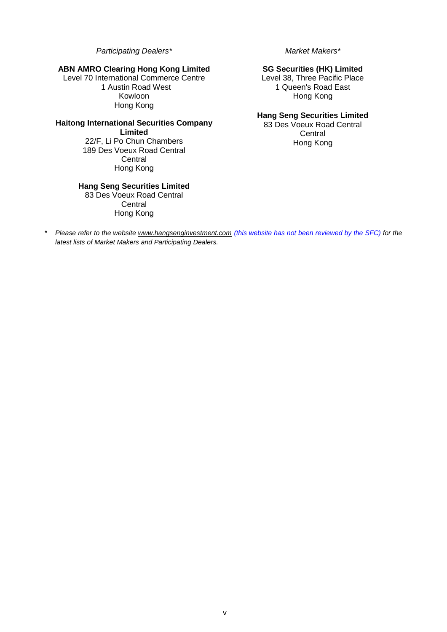*Participating Dealers\** 

# **ABN AMRO Clearing Hong Kong Limited**

Level 70 International Commerce Centre 1 Austin Road West Kowloon Hong Kong

#### **Haitong International Securities Company Limited**  22/F, Li Po Chun Chambers

189 Des Voeux Road Central **Central** Hong Kong

# **Hang Seng Securities Limited**

83 Des Voeux Road Central **Central** Hong Kong

*Market Makers\** 

# **SG Securities (HK) Limited**

Level 38, Three Pacific Place 1 Queen's Road East Hong Kong

# **Hang Seng Securities Limited**

83 Des Voeux Road Central **Central** Hong Kong

\* *Please refer to the website www.hangsenginvestment.com (this website has not been reviewed by the SFC) for the latest lists of Market Makers and Participating Dealers.*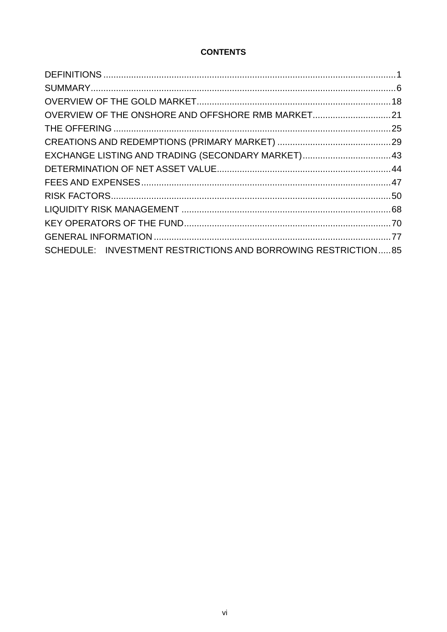# **CONTENTS**

| OVERVIEW OF THE ONSHORE AND OFFSHORE RMB MARKET21             |  |
|---------------------------------------------------------------|--|
|                                                               |  |
|                                                               |  |
| EXCHANGE LISTING AND TRADING (SECONDARY MARKET) 43            |  |
|                                                               |  |
|                                                               |  |
|                                                               |  |
|                                                               |  |
|                                                               |  |
|                                                               |  |
| SCHEDULE: INVESTMENT RESTRICTIONS AND BORROWING RESTRICTION85 |  |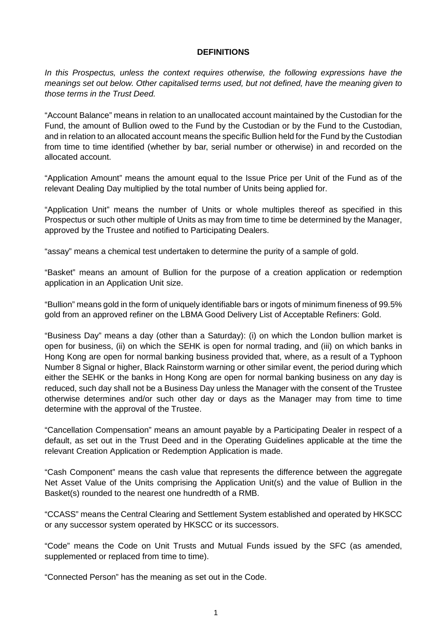# **DEFINITIONS**

*In this Prospectus, unless the context requires otherwise, the following expressions have the meanings set out below. Other capitalised terms used, but not defined, have the meaning given to those terms in the Trust Deed.* 

"Account Balance" means in relation to an unallocated account maintained by the Custodian for the Fund, the amount of Bullion owed to the Fund by the Custodian or by the Fund to the Custodian, and in relation to an allocated account means the specific Bullion held for the Fund by the Custodian from time to time identified (whether by bar, serial number or otherwise) in and recorded on the allocated account.

"Application Amount" means the amount equal to the Issue Price per Unit of the Fund as of the relevant Dealing Day multiplied by the total number of Units being applied for.

"Application Unit" means the number of Units or whole multiples thereof as specified in this Prospectus or such other multiple of Units as may from time to time be determined by the Manager, approved by the Trustee and notified to Participating Dealers.

"assay" means a chemical test undertaken to determine the purity of a sample of gold.

"Basket" means an amount of Bullion for the purpose of a creation application or redemption application in an Application Unit size.

"Bullion" means gold in the form of uniquely identifiable bars or ingots of minimum fineness of 99.5% gold from an approved refiner on the LBMA Good Delivery List of Acceptable Refiners: Gold.

"Business Day" means a day (other than a Saturday): (i) on which the London bullion market is open for business, (ii) on which the SEHK is open for normal trading, and (iii) on which banks in Hong Kong are open for normal banking business provided that, where, as a result of a Typhoon Number 8 Signal or higher, Black Rainstorm warning or other similar event, the period during which either the SEHK or the banks in Hong Kong are open for normal banking business on any day is reduced, such day shall not be a Business Day unless the Manager with the consent of the Trustee otherwise determines and/or such other day or days as the Manager may from time to time determine with the approval of the Trustee.

"Cancellation Compensation" means an amount payable by a Participating Dealer in respect of a default, as set out in the Trust Deed and in the Operating Guidelines applicable at the time the relevant Creation Application or Redemption Application is made.

"Cash Component" means the cash value that represents the difference between the aggregate Net Asset Value of the Units comprising the Application Unit(s) and the value of Bullion in the Basket(s) rounded to the nearest one hundredth of a RMB.

"CCASS" means the Central Clearing and Settlement System established and operated by HKSCC or any successor system operated by HKSCC or its successors.

"Code" means the Code on Unit Trusts and Mutual Funds issued by the SFC (as amended, supplemented or replaced from time to time).

"Connected Person" has the meaning as set out in the Code.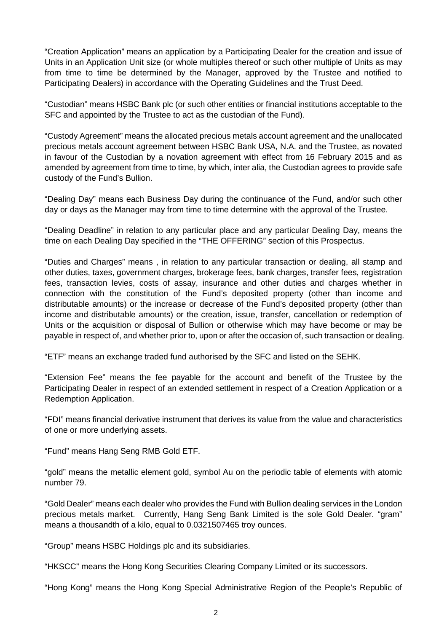"Creation Application" means an application by a Participating Dealer for the creation and issue of Units in an Application Unit size (or whole multiples thereof or such other multiple of Units as may from time to time be determined by the Manager, approved by the Trustee and notified to Participating Dealers) in accordance with the Operating Guidelines and the Trust Deed.

"Custodian" means HSBC Bank plc (or such other entities or financial institutions acceptable to the SFC and appointed by the Trustee to act as the custodian of the Fund).

"Custody Agreement" means the allocated precious metals account agreement and the unallocated precious metals account agreement between HSBC Bank USA, N.A. and the Trustee, as novated in favour of the Custodian by a novation agreement with effect from 16 February 2015 and as amended by agreement from time to time, by which, inter alia, the Custodian agrees to provide safe custody of the Fund's Bullion.

"Dealing Day" means each Business Day during the continuance of the Fund, and/or such other day or days as the Manager may from time to time determine with the approval of the Trustee.

"Dealing Deadline" in relation to any particular place and any particular Dealing Day, means the time on each Dealing Day specified in the "THE OFFERING" section of this Prospectus.

"Duties and Charges" means , in relation to any particular transaction or dealing, all stamp and other duties, taxes, government charges, brokerage fees, bank charges, transfer fees, registration fees, transaction levies, costs of assay, insurance and other duties and charges whether in connection with the constitution of the Fund's deposited property (other than income and distributable amounts) or the increase or decrease of the Fund's deposited property (other than income and distributable amounts) or the creation, issue, transfer, cancellation or redemption of Units or the acquisition or disposal of Bullion or otherwise which may have become or may be payable in respect of, and whether prior to, upon or after the occasion of, such transaction or dealing.

"ETF" means an exchange traded fund authorised by the SFC and listed on the SEHK.

"Extension Fee" means the fee payable for the account and benefit of the Trustee by the Participating Dealer in respect of an extended settlement in respect of a Creation Application or a Redemption Application.

"FDI" means financial derivative instrument that derives its value from the value and characteristics of one or more underlying assets.

"Fund" means Hang Seng RMB Gold ETF.

"gold" means the metallic element gold, symbol Au on the periodic table of elements with atomic number 79.

"Gold Dealer" means each dealer who provides the Fund with Bullion dealing services in the London precious metals market. Currently, Hang Seng Bank Limited is the sole Gold Dealer. "gram" means a thousandth of a kilo, equal to 0.0321507465 troy ounces.

"Group" means HSBC Holdings plc and its subsidiaries.

"HKSCC" means the Hong Kong Securities Clearing Company Limited or its successors.

"Hong Kong" means the Hong Kong Special Administrative Region of the People's Republic of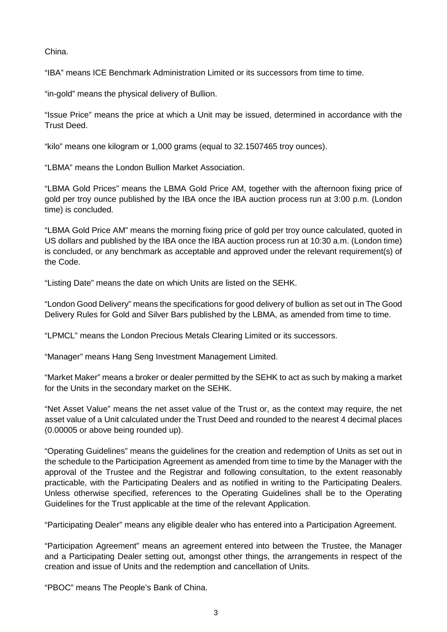China.

"IBA" means ICE Benchmark Administration Limited or its successors from time to time.

"in-gold" means the physical delivery of Bullion.

"Issue Price" means the price at which a Unit may be issued, determined in accordance with the Trust Deed.

"kilo" means one kilogram or 1,000 grams (equal to 32.1507465 troy ounces).

"LBMA" means the London Bullion Market Association.

"LBMA Gold Prices" means the LBMA Gold Price AM, together with the afternoon fixing price of gold per troy ounce published by the IBA once the IBA auction process run at 3:00 p.m. (London time) is concluded.

"LBMA Gold Price AM" means the morning fixing price of gold per troy ounce calculated, quoted in US dollars and published by the IBA once the IBA auction process run at 10:30 a.m. (London time) is concluded, or any benchmark as acceptable and approved under the relevant requirement(s) of the Code.

"Listing Date" means the date on which Units are listed on the SEHK.

"London Good Delivery" means the specifications for good delivery of bullion as set out in The Good Delivery Rules for Gold and Silver Bars published by the LBMA, as amended from time to time.

"LPMCL" means the London Precious Metals Clearing Limited or its successors.

"Manager" means Hang Seng Investment Management Limited.

"Market Maker" means a broker or dealer permitted by the SEHK to act as such by making a market for the Units in the secondary market on the SEHK.

"Net Asset Value" means the net asset value of the Trust or, as the context may require, the net asset value of a Unit calculated under the Trust Deed and rounded to the nearest 4 decimal places (0.00005 or above being rounded up).

"Operating Guidelines" means the guidelines for the creation and redemption of Units as set out in the schedule to the Participation Agreement as amended from time to time by the Manager with the approval of the Trustee and the Registrar and following consultation, to the extent reasonably practicable, with the Participating Dealers and as notified in writing to the Participating Dealers. Unless otherwise specified, references to the Operating Guidelines shall be to the Operating Guidelines for the Trust applicable at the time of the relevant Application.

"Participating Dealer" means any eligible dealer who has entered into a Participation Agreement.

"Participation Agreement" means an agreement entered into between the Trustee, the Manager and a Participating Dealer setting out, amongst other things, the arrangements in respect of the creation and issue of Units and the redemption and cancellation of Units.

"PBOC" means The People's Bank of China.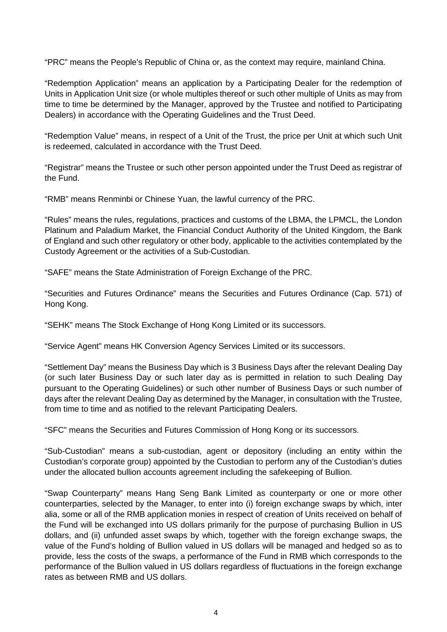"PRC" means the People's Republic of China or, as the context may require, mainland China.

"Redemption Application" means an application by a Participating Dealer for the redemption of Units in Application Unit size (or whole multiples thereof or such other multiple of Units as may from time to time be determined by the Manager, approved by the Trustee and notified to Participating Dealers) in accordance with the Operating Guidelines and the Trust Deed.

"Redemption Value" means, in respect of a Unit of the Trust, the price per Unit at which such Unit is redeemed, calculated in accordance with the Trust Deed.

"Registrar" means the Trustee or such other person appointed under the Trust Deed as registrar of the Fund.

"RMB" means Renminbi or Chinese Yuan, the lawful currency of the PRC.

"Rules" means the rules, regulations, practices and customs of the LBMA, the LPMCL, the London Platinum and Paladium Market, the Financial Conduct Authority of the United Kingdom, the Bank of England and such other regulatory or other body, applicable to the activities contemplated by the Custody Agreement or the activities of a Sub-Custodian.

"SAFE" means the State Administration of Foreign Exchange of the PRC.

"Securities and Futures Ordinance" means the Securities and Futures Ordinance (Cap. 571) of Hong Kong.

"SEHK" means The Stock Exchange of Hong Kong Limited or its successors.

"Service Agent" means HK Conversion Agency Services Limited or its successors.

"Settlement Day" means the Business Day which is 3 Business Days after the relevant Dealing Day (or such later Business Day or such later day as is permitted in relation to such Dealing Day pursuant to the Operating Guidelines) or such other number of Business Days or such number of days after the relevant Dealing Day as determined by the Manager, in consultation with the Trustee, from time to time and as notified to the relevant Participating Dealers.

"SFC" means the Securities and Futures Commission of Hong Kong or its successors.

"Sub-Custodian" means a sub-custodian, agent or depository (including an entity within the Custodian's corporate group) appointed by the Custodian to perform any of the Custodian's duties under the allocated bullion accounts agreement including the safekeeping of Bullion.

"Swap Counterparty" means Hang Seng Bank Limited as counterparty or one or more other counterparties, selected by the Manager, to enter into (i) foreign exchange swaps by which, inter alia, some or all of the RMB application monies in respect of creation of Units received on behalf of the Fund will be exchanged into US dollars primarily for the purpose of purchasing Bullion in US dollars, and (ii) unfunded asset swaps by which, together with the foreign exchange swaps, the value of the Fund's holding of Bullion valued in US dollars will be managed and hedged so as to provide, less the costs of the swaps, a performance of the Fund in RMB which corresponds to the performance of the Bullion valued in US dollars regardless of fluctuations in the foreign exchange rates as between RMB and US dollars.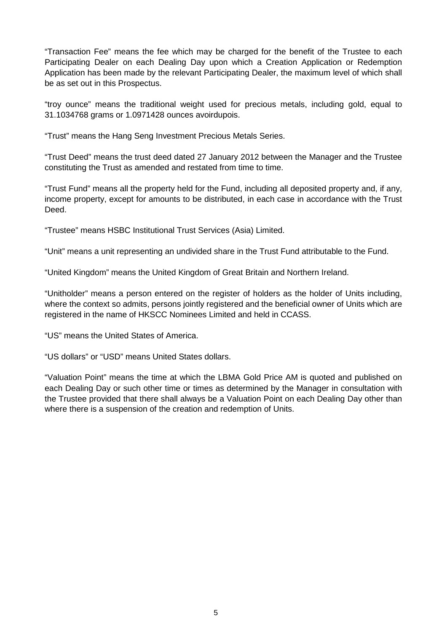"Transaction Fee" means the fee which may be charged for the benefit of the Trustee to each Participating Dealer on each Dealing Day upon which a Creation Application or Redemption Application has been made by the relevant Participating Dealer, the maximum level of which shall be as set out in this Prospectus.

"troy ounce" means the traditional weight used for precious metals, including gold, equal to 31.1034768 grams or 1.0971428 ounces avoirdupois.

"Trust" means the Hang Seng Investment Precious Metals Series.

"Trust Deed" means the trust deed dated 27 January 2012 between the Manager and the Trustee constituting the Trust as amended and restated from time to time.

"Trust Fund" means all the property held for the Fund, including all deposited property and, if any, income property, except for amounts to be distributed, in each case in accordance with the Trust Deed.

"Trustee" means HSBC Institutional Trust Services (Asia) Limited.

"Unit" means a unit representing an undivided share in the Trust Fund attributable to the Fund.

"United Kingdom" means the United Kingdom of Great Britain and Northern Ireland.

"Unitholder" means a person entered on the register of holders as the holder of Units including, where the context so admits, persons jointly registered and the beneficial owner of Units which are registered in the name of HKSCC Nominees Limited and held in CCASS.

"US" means the United States of America.

"US dollars" or "USD" means United States dollars.

"Valuation Point" means the time at which the LBMA Gold Price AM is quoted and published on each Dealing Day or such other time or times as determined by the Manager in consultation with the Trustee provided that there shall always be a Valuation Point on each Dealing Day other than where there is a suspension of the creation and redemption of Units.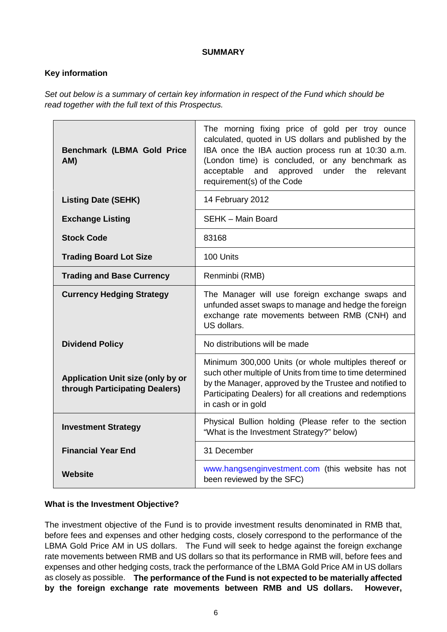# **SUMMARY**

# **Key information**

*Set out below is a summary of certain key information in respect of the Fund which should be read together with the full text of this Prospectus.* 

| <b>Benchmark (LBMA Gold Price</b><br>AM)                            | The morning fixing price of gold per troy ounce<br>calculated, quoted in US dollars and published by the<br>IBA once the IBA auction process run at 10:30 a.m.<br>(London time) is concluded, or any benchmark as<br>and<br>approved<br>under<br>acceptable<br>the<br>relevant<br>requirement(s) of the Code |  |
|---------------------------------------------------------------------|--------------------------------------------------------------------------------------------------------------------------------------------------------------------------------------------------------------------------------------------------------------------------------------------------------------|--|
| <b>Listing Date (SEHK)</b>                                          | 14 February 2012                                                                                                                                                                                                                                                                                             |  |
| <b>Exchange Listing</b>                                             | <b>SEHK - Main Board</b>                                                                                                                                                                                                                                                                                     |  |
| <b>Stock Code</b>                                                   | 83168                                                                                                                                                                                                                                                                                                        |  |
| <b>Trading Board Lot Size</b>                                       | 100 Units                                                                                                                                                                                                                                                                                                    |  |
| <b>Trading and Base Currency</b>                                    | Renminbi (RMB)                                                                                                                                                                                                                                                                                               |  |
| <b>Currency Hedging Strategy</b>                                    | The Manager will use foreign exchange swaps and<br>unfunded asset swaps to manage and hedge the foreign<br>exchange rate movements between RMB (CNH) and<br>US dollars.                                                                                                                                      |  |
| <b>Dividend Policy</b>                                              | No distributions will be made                                                                                                                                                                                                                                                                                |  |
| Application Unit size (only by or<br>through Participating Dealers) | Minimum 300,000 Units (or whole multiples thereof or<br>such other multiple of Units from time to time determined<br>by the Manager, approved by the Trustee and notified to<br>Participating Dealers) for all creations and redemptions<br>in cash or in gold                                               |  |
| <b>Investment Strategy</b>                                          | Physical Bullion holding (Please refer to the section<br>"What is the Investment Strategy?" below)                                                                                                                                                                                                           |  |
| <b>Financial Year End</b>                                           | 31 December                                                                                                                                                                                                                                                                                                  |  |
| Website                                                             | www.hangsenginvestment.com (this website has not<br>been reviewed by the SFC)                                                                                                                                                                                                                                |  |

# **What is the Investment Objective?**

The investment objective of the Fund is to provide investment results denominated in RMB that, before fees and expenses and other hedging costs, closely correspond to the performance of the LBMA Gold Price AM in US dollars. The Fund will seek to hedge against the foreign exchange rate movements between RMB and US dollars so that its performance in RMB will, before fees and expenses and other hedging costs, track the performance of the LBMA Gold Price AM in US dollars as closely as possible. **The performance of the Fund is not expected to be materially affected by the foreign exchange rate movements between RMB and US dollars. However,**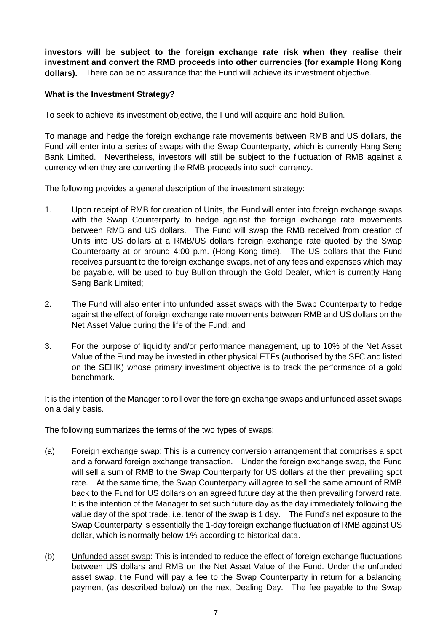**investors will be subject to the foreign exchange rate risk when they realise their investment and convert the RMB proceeds into other currencies (for example Hong Kong dollars).** There can be no assurance that the Fund will achieve its investment objective.

# **What is the Investment Strategy?**

To seek to achieve its investment objective, the Fund will acquire and hold Bullion.

To manage and hedge the foreign exchange rate movements between RMB and US dollars, the Fund will enter into a series of swaps with the Swap Counterparty, which is currently Hang Seng Bank Limited. Nevertheless, investors will still be subject to the fluctuation of RMB against a currency when they are converting the RMB proceeds into such currency.

The following provides a general description of the investment strategy:

- 1. Upon receipt of RMB for creation of Units, the Fund will enter into foreign exchange swaps with the Swap Counterparty to hedge against the foreign exchange rate movements between RMB and US dollars. The Fund will swap the RMB received from creation of Units into US dollars at a RMB/US dollars foreign exchange rate quoted by the Swap Counterparty at or around 4:00 p.m. (Hong Kong time). The US dollars that the Fund receives pursuant to the foreign exchange swaps, net of any fees and expenses which may be payable, will be used to buy Bullion through the Gold Dealer, which is currently Hang Seng Bank Limited;
- 2. The Fund will also enter into unfunded asset swaps with the Swap Counterparty to hedge against the effect of foreign exchange rate movements between RMB and US dollars on the Net Asset Value during the life of the Fund; and
- 3. For the purpose of liquidity and/or performance management, up to 10% of the Net Asset Value of the Fund may be invested in other physical ETFs (authorised by the SFC and listed on the SEHK) whose primary investment objective is to track the performance of a gold benchmark.

It is the intention of the Manager to roll over the foreign exchange swaps and unfunded asset swaps on a daily basis.

The following summarizes the terms of the two types of swaps:

- (a) Foreign exchange swap: This is a currency conversion arrangement that comprises a spot and a forward foreign exchange transaction. Under the foreign exchange swap, the Fund will sell a sum of RMB to the Swap Counterparty for US dollars at the then prevailing spot rate. At the same time, the Swap Counterparty will agree to sell the same amount of RMB back to the Fund for US dollars on an agreed future day at the then prevailing forward rate. It is the intention of the Manager to set such future day as the day immediately following the value day of the spot trade, i.e. tenor of the swap is 1 day. The Fund's net exposure to the Swap Counterparty is essentially the 1-day foreign exchange fluctuation of RMB against US dollar, which is normally below 1% according to historical data.
- (b) Unfunded asset swap: This is intended to reduce the effect of foreign exchange fluctuations between US dollars and RMB on the Net Asset Value of the Fund. Under the unfunded asset swap, the Fund will pay a fee to the Swap Counterparty in return for a balancing payment (as described below) on the next Dealing Day. The fee payable to the Swap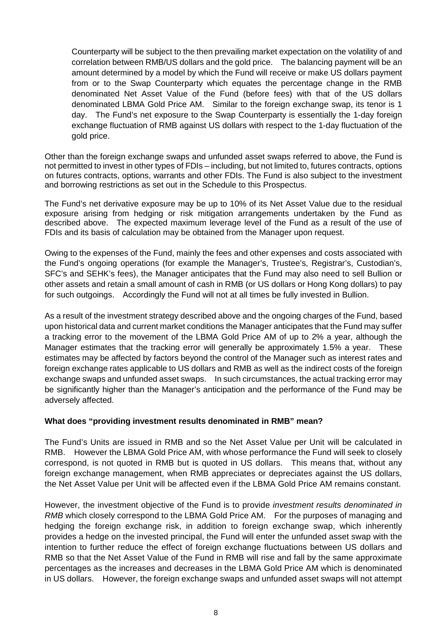Counterparty will be subject to the then prevailing market expectation on the volatility of and correlation between RMB/US dollars and the gold price. The balancing payment will be an amount determined by a model by which the Fund will receive or make US dollars payment from or to the Swap Counterparty which equates the percentage change in the RMB denominated Net Asset Value of the Fund (before fees) with that of the US dollars denominated LBMA Gold Price AM. Similar to the foreign exchange swap, its tenor is 1 day. The Fund's net exposure to the Swap Counterparty is essentially the 1-day foreign exchange fluctuation of RMB against US dollars with respect to the 1-day fluctuation of the gold price.

Other than the foreign exchange swaps and unfunded asset swaps referred to above, the Fund is not permitted to invest in other types of FDIs – including, but not limited to, futures contracts, options on futures contracts, options, warrants and other FDIs. The Fund is also subject to the investment and borrowing restrictions as set out in the Schedule to this Prospectus.

The Fund's net derivative exposure may be up to 10% of its Net Asset Value due to the residual exposure arising from hedging or risk mitigation arrangements undertaken by the Fund as described above. The expected maximum leverage level of the Fund as a result of the use of FDIs and its basis of calculation may be obtained from the Manager upon request.

Owing to the expenses of the Fund, mainly the fees and other expenses and costs associated with the Fund's ongoing operations (for example the Manager's, Trustee's, Registrar's, Custodian's, SFC's and SEHK's fees), the Manager anticipates that the Fund may also need to sell Bullion or other assets and retain a small amount of cash in RMB (or US dollars or Hong Kong dollars) to pay for such outgoings. Accordingly the Fund will not at all times be fully invested in Bullion.

As a result of the investment strategy described above and the ongoing charges of the Fund, based upon historical data and current market conditions the Manager anticipates that the Fund may suffer a tracking error to the movement of the LBMA Gold Price AM of up to 2% a year, although the Manager estimates that the tracking error will generally be approximately 1.5% a year. These estimates may be affected by factors beyond the control of the Manager such as interest rates and foreign exchange rates applicable to US dollars and RMB as well as the indirect costs of the foreign exchange swaps and unfunded asset swaps. In such circumstances, the actual tracking error may be significantly higher than the Manager's anticipation and the performance of the Fund may be adversely affected.

# **What does "providing investment results denominated in RMB" mean?**

The Fund's Units are issued in RMB and so the Net Asset Value per Unit will be calculated in RMB. However the LBMA Gold Price AM, with whose performance the Fund will seek to closely correspond, is not quoted in RMB but is quoted in US dollars. This means that, without any foreign exchange management, when RMB appreciates or depreciates against the US dollars, the Net Asset Value per Unit will be affected even if the LBMA Gold Price AM remains constant.

However, the investment objective of the Fund is to provide *investment results denominated in RMB* which closely correspond to the LBMA Gold Price AM. For the purposes of managing and hedging the foreign exchange risk, in addition to foreign exchange swap, which inherently provides a hedge on the invested principal, the Fund will enter the unfunded asset swap with the intention to further reduce the effect of foreign exchange fluctuations between US dollars and RMB so that the Net Asset Value of the Fund in RMB will rise and fall by the same approximate percentages as the increases and decreases in the LBMA Gold Price AM which is denominated in US dollars. However, the foreign exchange swaps and unfunded asset swaps will not attempt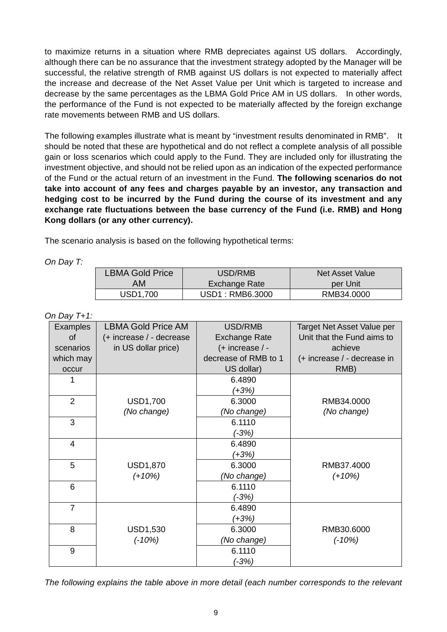to maximize returns in a situation where RMB depreciates against US dollars. Accordingly, although there can be no assurance that the investment strategy adopted by the Manager will be successful, the relative strength of RMB against US dollars is not expected to materially affect the increase and decrease of the Net Asset Value per Unit which is targeted to increase and decrease by the same percentages as the LBMA Gold Price AM in US dollars. In other words, the performance of the Fund is not expected to be materially affected by the foreign exchange rate movements between RMB and US dollars.

The following examples illustrate what is meant by "investment results denominated in RMB". It should be noted that these are hypothetical and do not reflect a complete analysis of all possible gain or loss scenarios which could apply to the Fund. They are included only for illustrating the investment objective, and should not be relied upon as an indication of the expected performance of the Fund or the actual return of an investment in the Fund. **The following scenarios do not take into account of any fees and charges payable by an investor, any transaction and hedging cost to be incurred by the Fund during the course of its investment and any exchange rate fluctuations between the base currency of the Fund (i.e. RMB) and Hong Kong dollars (or any other currency).**

The scenario analysis is based on the following hypothetical terms:

*On Day T:* 

| <b>LBMA Gold Price</b> | USD/RMB              | Net Asset Value |  |
|------------------------|----------------------|-----------------|--|
| AM                     | <b>Exchange Rate</b> | per Unit        |  |
| <b>USD1,700</b>        | USD1: RMB6.3000      | RMB34.0000      |  |

*On Day T+1:* 

| <b>Examples</b> | <b>LBMA Gold Price AM</b> | USD/RMB              | Target Net Asset Value per  |
|-----------------|---------------------------|----------------------|-----------------------------|
| <b>of</b>       | (+ increase / - decrease  | <b>Exchange Rate</b> | Unit that the Fund aims to  |
| scenarios       | in US dollar price)       | (+ increase / -      | achieve                     |
| which may       |                           | decrease of RMB to 1 | (+ increase / - decrease in |
| occur           |                           | US dollar)           | RMB)                        |
|                 |                           | 6.4890               |                             |
|                 |                           | $(+3%)$              |                             |
| $\overline{2}$  | <b>USD1,700</b>           | 6.3000               | RMB34.0000                  |
|                 | (No change)               | (No change)          | (No change)                 |
| 3               |                           | 6.1110               |                             |
|                 |                           | (-3%)                |                             |
| $\overline{4}$  |                           | 6.4890               |                             |
|                 |                           | (+3%)                |                             |
| 5               | <b>USD1,870</b>           | 6.3000               | RMB37.4000                  |
|                 | $(+10%)$                  | (No change)          | $(+10%)$                    |
| 6               |                           | 6.1110               |                             |
|                 |                           | $(-3%)$              |                             |
| $\overline{7}$  |                           | 6.4890               |                             |
|                 |                           | $(+3%)$              |                             |
| 8               | <b>USD1,530</b>           | 6.3000               | RMB30.6000                  |
|                 | $(-10%)$                  | (No change)          | $(-10%)$                    |
| 9               |                           | 6.1110               |                             |
|                 |                           | (-3%)                |                             |

*The following explains the table above in more detail (each number corresponds to the relevant*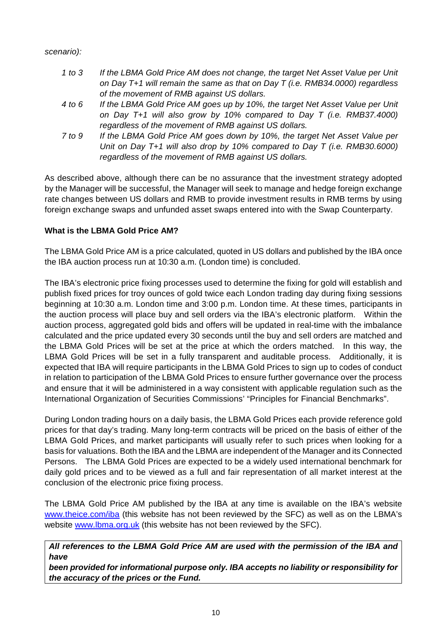# *scenario):*

- *1 to 3 If the LBMA Gold Price AM does not change, the target Net Asset Value per Unit on Day T+1 will remain the same as that on Day T (i.e. RMB34.0000) regardless of the movement of RMB against US dollars.*
- *4 to 6 If the LBMA Gold Price AM goes up by 10%, the target Net Asset Value per Unit on Day T+1 will also grow by 10% compared to Day T (i.e. RMB37.4000) regardless of the movement of RMB against US dollars.*
- *7 to 9 If the LBMA Gold Price AM goes down by 10%, the target Net Asset Value per Unit on Day T+1 will also drop by 10% compared to Day T (i.e. RMB30.6000) regardless of the movement of RMB against US dollars.*

As described above, although there can be no assurance that the investment strategy adopted by the Manager will be successful, the Manager will seek to manage and hedge foreign exchange rate changes between US dollars and RMB to provide investment results in RMB terms by using foreign exchange swaps and unfunded asset swaps entered into with the Swap Counterparty.

# **What is the LBMA Gold Price AM?**

The LBMA Gold Price AM is a price calculated, quoted in US dollars and published by the IBA once the IBA auction process run at 10:30 a.m. (London time) is concluded.

The IBA's electronic price fixing processes used to determine the fixing for gold will establish and publish fixed prices for troy ounces of gold twice each London trading day during fixing sessions beginning at 10:30 a.m. London time and 3:00 p.m. London time. At these times, participants in the auction process will place buy and sell orders via the IBA's electronic platform. Within the auction process, aggregated gold bids and offers will be updated in real-time with the imbalance calculated and the price updated every 30 seconds until the buy and sell orders are matched and the LBMA Gold Prices will be set at the price at which the orders matched. In this way, the LBMA Gold Prices will be set in a fully transparent and auditable process. Additionally, it is expected that IBA will require participants in the LBMA Gold Prices to sign up to codes of conduct in relation to participation of the LBMA Gold Prices to ensure further governance over the process and ensure that it will be administered in a way consistent with applicable regulation such as the International Organization of Securities Commissions' "Principles for Financial Benchmarks".

During London trading hours on a daily basis, the LBMA Gold Prices each provide reference gold prices for that day's trading. Many long-term contracts will be priced on the basis of either of the LBMA Gold Prices, and market participants will usually refer to such prices when looking for a basis for valuations. Both the IBA and the LBMA are independent of the Manager and its Connected Persons. The LBMA Gold Prices are expected to be a widely used international benchmark for daily gold prices and to be viewed as a full and fair representation of all market interest at the conclusion of the electronic price fixing process.

The LBMA Gold Price AM published by the IBA at any time is available on the IBA's website www.theice.com/iba (this website has not been reviewed by the SFC) as well as on the LBMA's website www.lbma.org.uk (this website has not been reviewed by the SFC).

*All references to the LBMA Gold Price AM are used with the permission of the IBA and have* 

*been provided for informational purpose only. IBA accepts no liability or responsibility for the accuracy of the prices or the Fund.*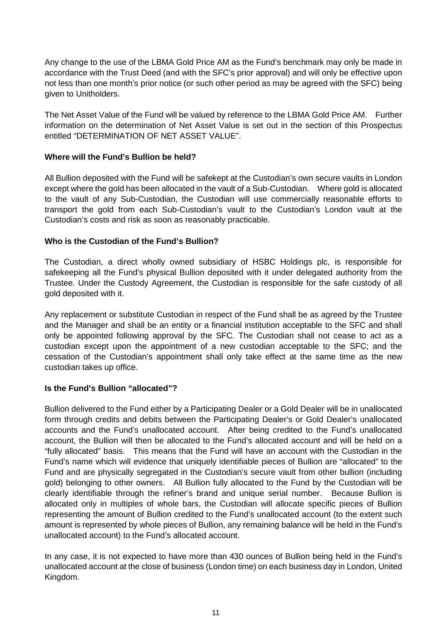Any change to the use of the LBMA Gold Price AM as the Fund's benchmark may only be made in accordance with the Trust Deed (and with the SFC's prior approval) and will only be effective upon not less than one month's prior notice (or such other period as may be agreed with the SFC) being given to Unitholders.

The Net Asset Value of the Fund will be valued by reference to the LBMA Gold Price AM. Further information on the determination of Net Asset Value is set out in the section of this Prospectus entitled "DETERMINATION OF NET ASSET VALUE".

## **Where will the Fund's Bullion be held?**

All Bullion deposited with the Fund will be safekept at the Custodian's own secure vaults in London except where the gold has been allocated in the vault of a Sub-Custodian. Where gold is allocated to the vault of any Sub-Custodian, the Custodian will use commercially reasonable efforts to transport the gold from each Sub-Custodian's vault to the Custodian's London vault at the Custodian's costs and risk as soon as reasonably practicable.

# **Who is the Custodian of the Fund's Bullion?**

The Custodian, a direct wholly owned subsidiary of HSBC Holdings plc, is responsible for safekeeping all the Fund's physical Bullion deposited with it under delegated authority from the Trustee. Under the Custody Agreement, the Custodian is responsible for the safe custody of all gold deposited with it.

Any replacement or substitute Custodian in respect of the Fund shall be as agreed by the Trustee and the Manager and shall be an entity or a financial institution acceptable to the SFC and shall only be appointed following approval by the SFC. The Custodian shall not cease to act as a custodian except upon the appointment of a new custodian acceptable to the SFC; and the cessation of the Custodian's appointment shall only take effect at the same time as the new custodian takes up office.

# **Is the Fund's Bullion "allocated"?**

Bullion delivered to the Fund either by a Participating Dealer or a Gold Dealer will be in unallocated form through credits and debits between the Participating Dealer's or Gold Dealer's unallocated accounts and the Fund's unallocated account. After being credited to the Fund's unallocated account, the Bullion will then be allocated to the Fund's allocated account and will be held on a "fully allocated" basis. This means that the Fund will have an account with the Custodian in the Fund's name which will evidence that uniquely identifiable pieces of Bullion are "allocated" to the Fund and are physically segregated in the Custodian's secure vault from other bullion (including gold) belonging to other owners. All Bullion fully allocated to the Fund by the Custodian will be clearly identifiable through the refiner's brand and unique serial number. Because Bullion is allocated only in multiples of whole bars, the Custodian will allocate specific pieces of Bullion representing the amount of Bullion credited to the Fund's unallocated account (to the extent such amount is represented by whole pieces of Bullion, any remaining balance will be held in the Fund's unallocated account) to the Fund's allocated account.

In any case, it is not expected to have more than 430 ounces of Bullion being held in the Fund's unallocated account at the close of business (London time) on each business day in London, United Kingdom.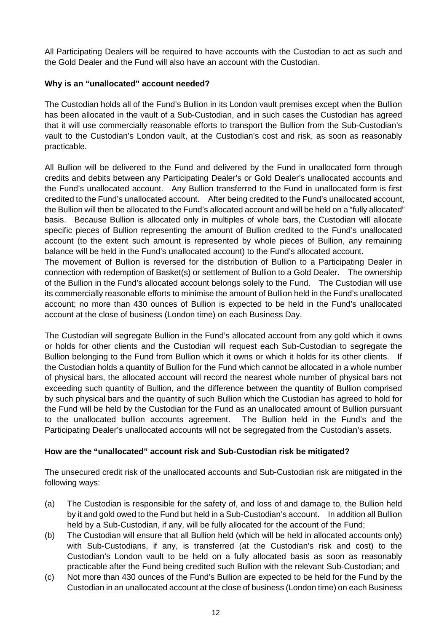All Participating Dealers will be required to have accounts with the Custodian to act as such and the Gold Dealer and the Fund will also have an account with the Custodian.

# **Why is an "unallocated" account needed?**

The Custodian holds all of the Fund's Bullion in its London vault premises except when the Bullion has been allocated in the vault of a Sub-Custodian, and in such cases the Custodian has agreed that it will use commercially reasonable efforts to transport the Bullion from the Sub-Custodian's vault to the Custodian's London vault, at the Custodian's cost and risk, as soon as reasonably practicable.

All Bullion will be delivered to the Fund and delivered by the Fund in unallocated form through credits and debits between any Participating Dealer's or Gold Dealer's unallocated accounts and the Fund's unallocated account. Any Bullion transferred to the Fund in unallocated form is first credited to the Fund's unallocated account. After being credited to the Fund's unallocated account, the Bullion will then be allocated to the Fund's allocated account and will be held on a "fully allocated" basis. Because Bullion is allocated only in multiples of whole bars, the Custodian will allocate specific pieces of Bullion representing the amount of Bullion credited to the Fund's unallocated account (to the extent such amount is represented by whole pieces of Bullion, any remaining balance will be held in the Fund's unallocated account) to the Fund's allocated account.

The movement of Bullion is reversed for the distribution of Bullion to a Participating Dealer in connection with redemption of Basket(s) or settlement of Bullion to a Gold Dealer. The ownership of the Bullion in the Fund's allocated account belongs solely to the Fund. The Custodian will use its commercially reasonable efforts to minimise the amount of Bullion held in the Fund's unallocated account; no more than 430 ounces of Bullion is expected to be held in the Fund's unallocated account at the close of business (London time) on each Business Day.

The Custodian will segregate Bullion in the Fund's allocated account from any gold which it owns or holds for other clients and the Custodian will request each Sub-Custodian to segregate the Bullion belonging to the Fund from Bullion which it owns or which it holds for its other clients. If the Custodian holds a quantity of Bullion for the Fund which cannot be allocated in a whole number of physical bars, the allocated account will record the nearest whole number of physical bars not exceeding such quantity of Bullion, and the difference between the quantity of Bullion comprised by such physical bars and the quantity of such Bullion which the Custodian has agreed to hold for the Fund will be held by the Custodian for the Fund as an unallocated amount of Bullion pursuant to the unallocated bullion accounts agreement. The Bullion held in the Fund's and the Participating Dealer's unallocated accounts will not be segregated from the Custodian's assets.

# **How are the "unallocated" account risk and Sub-Custodian risk be mitigated?**

The unsecured credit risk of the unallocated accounts and Sub-Custodian risk are mitigated in the following ways:

- (a) The Custodian is responsible for the safety of, and loss of and damage to, the Bullion held by it and gold owed to the Fund but held in a Sub-Custodian's account. In addition all Bullion held by a Sub-Custodian, if any, will be fully allocated for the account of the Fund;
- (b) The Custodian will ensure that all Bullion held (which will be held in allocated accounts only) with Sub-Custodians, if any, is transferred (at the Custodian's risk and cost) to the Custodian's London vault to be held on a fully allocated basis as soon as reasonably practicable after the Fund being credited such Bullion with the relevant Sub-Custodian; and
- (c) Not more than 430 ounces of the Fund's Bullion are expected to be held for the Fund by the Custodian in an unallocated account at the close of business (London time) on each Business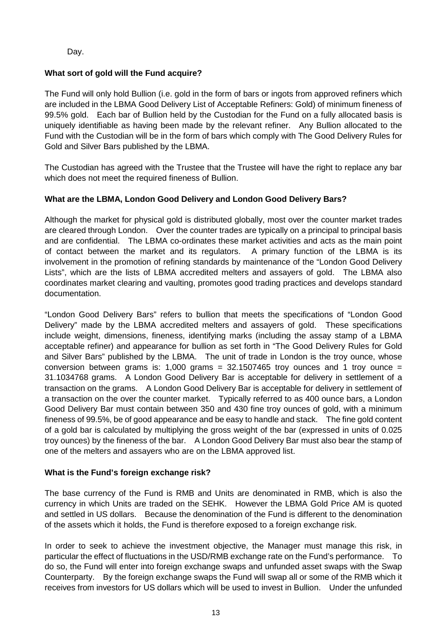Day.

# **What sort of gold will the Fund acquire?**

The Fund will only hold Bullion (i.e. gold in the form of bars or ingots from approved refiners which are included in the LBMA Good Delivery List of Acceptable Refiners: Gold) of minimum fineness of 99.5% gold. Each bar of Bullion held by the Custodian for the Fund on a fully allocated basis is uniquely identifiable as having been made by the relevant refiner. Any Bullion allocated to the Fund with the Custodian will be in the form of bars which comply with The Good Delivery Rules for Gold and Silver Bars published by the LBMA.

The Custodian has agreed with the Trustee that the Trustee will have the right to replace any bar which does not meet the required fineness of Bullion.

# **What are the LBMA, London Good Delivery and London Good Delivery Bars?**

Although the market for physical gold is distributed globally, most over the counter market trades are cleared through London. Over the counter trades are typically on a principal to principal basis and are confidential. The LBMA co-ordinates these market activities and acts as the main point of contact between the market and its regulators. A primary function of the LBMA is its involvement in the promotion of refining standards by maintenance of the "London Good Delivery Lists", which are the lists of LBMA accredited melters and assayers of gold. The LBMA also coordinates market clearing and vaulting, promotes good trading practices and develops standard documentation.

"London Good Delivery Bars" refers to bullion that meets the specifications of "London Good Delivery" made by the LBMA accredited melters and assayers of gold. These specifications include weight, dimensions, fineness, identifying marks (including the assay stamp of a LBMA acceptable refiner) and appearance for bullion as set forth in "The Good Delivery Rules for Gold and Silver Bars" published by the LBMA. The unit of trade in London is the troy ounce, whose conversion between grams is: 1,000 grams =  $32.1507465$  troy ounces and 1 troy ounce = 31.1034768 grams. A London Good Delivery Bar is acceptable for delivery in settlement of a transaction on the grams. A London Good Delivery Bar is acceptable for delivery in settlement of a transaction on the over the counter market. Typically referred to as 400 ounce bars, a London Good Delivery Bar must contain between 350 and 430 fine troy ounces of gold, with a minimum fineness of 99.5%, be of good appearance and be easy to handle and stack. The fine gold content of a gold bar is calculated by multiplying the gross weight of the bar (expressed in units of 0.025 troy ounces) by the fineness of the bar. A London Good Delivery Bar must also bear the stamp of one of the melters and assayers who are on the LBMA approved list.

# **What is the Fund's foreign exchange risk?**

The base currency of the Fund is RMB and Units are denominated in RMB, which is also the currency in which Units are traded on the SEHK. However the LBMA Gold Price AM is quoted and settled in US dollars. Because the denomination of the Fund is different to the denomination of the assets which it holds, the Fund is therefore exposed to a foreign exchange risk.

In order to seek to achieve the investment objective, the Manager must manage this risk, in particular the effect of fluctuations in the USD/RMB exchange rate on the Fund's performance. To do so, the Fund will enter into foreign exchange swaps and unfunded asset swaps with the Swap Counterparty. By the foreign exchange swaps the Fund will swap all or some of the RMB which it receives from investors for US dollars which will be used to invest in Bullion. Under the unfunded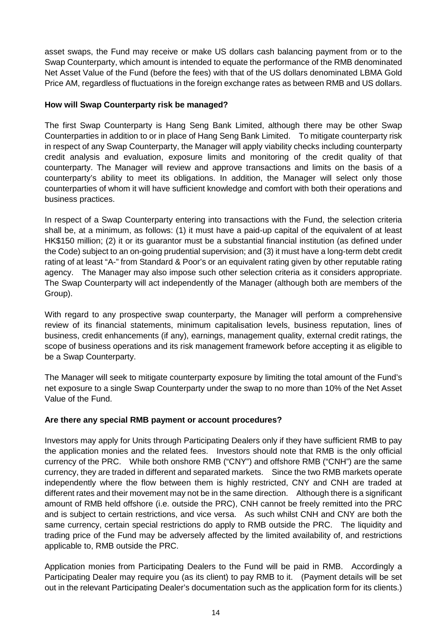asset swaps, the Fund may receive or make US dollars cash balancing payment from or to the Swap Counterparty, which amount is intended to equate the performance of the RMB denominated Net Asset Value of the Fund (before the fees) with that of the US dollars denominated LBMA Gold Price AM, regardless of fluctuations in the foreign exchange rates as between RMB and US dollars.

# **How will Swap Counterparty risk be managed?**

The first Swap Counterparty is Hang Seng Bank Limited, although there may be other Swap Counterparties in addition to or in place of Hang Seng Bank Limited. To mitigate counterparty risk in respect of any Swap Counterparty, the Manager will apply viability checks including counterparty credit analysis and evaluation, exposure limits and monitoring of the credit quality of that counterparty. The Manager will review and approve transactions and limits on the basis of a counterparty's ability to meet its obligations. In addition, the Manager will select only those counterparties of whom it will have sufficient knowledge and comfort with both their operations and business practices.

In respect of a Swap Counterparty entering into transactions with the Fund, the selection criteria shall be, at a minimum, as follows: (1) it must have a paid-up capital of the equivalent of at least HK\$150 million; (2) it or its guarantor must be a substantial financial institution (as defined under the Code) subject to an on-going prudential supervision; and (3) it must have a long-term debt credit rating of at least "A-" from Standard & Poor's or an equivalent rating given by other reputable rating agency. The Manager may also impose such other selection criteria as it considers appropriate. The Swap Counterparty will act independently of the Manager (although both are members of the Group).

With regard to any prospective swap counterparty, the Manager will perform a comprehensive review of its financial statements, minimum capitalisation levels, business reputation, lines of business, credit enhancements (if any), earnings, management quality, external credit ratings, the scope of business operations and its risk management framework before accepting it as eligible to be a Swap Counterparty.

The Manager will seek to mitigate counterparty exposure by limiting the total amount of the Fund's net exposure to a single Swap Counterparty under the swap to no more than 10% of the Net Asset Value of the Fund.

# **Are there any special RMB payment or account procedures?**

Investors may apply for Units through Participating Dealers only if they have sufficient RMB to pay the application monies and the related fees. Investors should note that RMB is the only official currency of the PRC. While both onshore RMB ("CNY") and offshore RMB ("CNH") are the same currency, they are traded in different and separated markets. Since the two RMB markets operate independently where the flow between them is highly restricted, CNY and CNH are traded at different rates and their movement may not be in the same direction. Although there is a significant amount of RMB held offshore (i.e. outside the PRC), CNH cannot be freely remitted into the PRC and is subject to certain restrictions, and vice versa. As such whilst CNH and CNY are both the same currency, certain special restrictions do apply to RMB outside the PRC. The liquidity and trading price of the Fund may be adversely affected by the limited availability of, and restrictions applicable to, RMB outside the PRC.

Application monies from Participating Dealers to the Fund will be paid in RMB. Accordingly a Participating Dealer may require you (as its client) to pay RMB to it. (Payment details will be set out in the relevant Participating Dealer's documentation such as the application form for its clients.)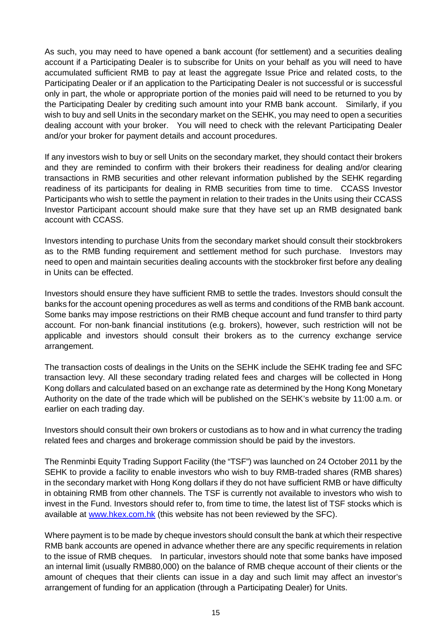As such, you may need to have opened a bank account (for settlement) and a securities dealing account if a Participating Dealer is to subscribe for Units on your behalf as you will need to have accumulated sufficient RMB to pay at least the aggregate Issue Price and related costs, to the Participating Dealer or if an application to the Participating Dealer is not successful or is successful only in part, the whole or appropriate portion of the monies paid will need to be returned to you by the Participating Dealer by crediting such amount into your RMB bank account. Similarly, if you wish to buy and sell Units in the secondary market on the SEHK, you may need to open a securities dealing account with your broker. You will need to check with the relevant Participating Dealer and/or your broker for payment details and account procedures.

If any investors wish to buy or sell Units on the secondary market, they should contact their brokers and they are reminded to confirm with their brokers their readiness for dealing and/or clearing transactions in RMB securities and other relevant information published by the SEHK regarding readiness of its participants for dealing in RMB securities from time to time. CCASS Investor Participants who wish to settle the payment in relation to their trades in the Units using their CCASS Investor Participant account should make sure that they have set up an RMB designated bank account with CCASS.

Investors intending to purchase Units from the secondary market should consult their stockbrokers as to the RMB funding requirement and settlement method for such purchase. Investors may need to open and maintain securities dealing accounts with the stockbroker first before any dealing in Units can be effected.

Investors should ensure they have sufficient RMB to settle the trades. Investors should consult the banks for the account opening procedures as well as terms and conditions of the RMB bank account. Some banks may impose restrictions on their RMB cheque account and fund transfer to third party account. For non-bank financial institutions (e.g. brokers), however, such restriction will not be applicable and investors should consult their brokers as to the currency exchange service arrangement.

The transaction costs of dealings in the Units on the SEHK include the SEHK trading fee and SFC transaction levy. All these secondary trading related fees and charges will be collected in Hong Kong dollars and calculated based on an exchange rate as determined by the Hong Kong Monetary Authority on the date of the trade which will be published on the SEHK's website by 11:00 a.m. or earlier on each trading day.

Investors should consult their own brokers or custodians as to how and in what currency the trading related fees and charges and brokerage commission should be paid by the investors.

The Renminbi Equity Trading Support Facility (the "TSF") was launched on 24 October 2011 by the SEHK to provide a facility to enable investors who wish to buy RMB-traded shares (RMB shares) in the secondary market with Hong Kong dollars if they do not have sufficient RMB or have difficulty in obtaining RMB from other channels. The TSF is currently not available to investors who wish to invest in the Fund. Investors should refer to, from time to time, the latest list of TSF stocks which is available at www.hkex.com.hk (this website has not been reviewed by the SFC).

Where payment is to be made by cheque investors should consult the bank at which their respective RMB bank accounts are opened in advance whether there are any specific requirements in relation to the issue of RMB cheques. In particular, investors should note that some banks have imposed an internal limit (usually RMB80,000) on the balance of RMB cheque account of their clients or the amount of cheques that their clients can issue in a day and such limit may affect an investor's arrangement of funding for an application (through a Participating Dealer) for Units.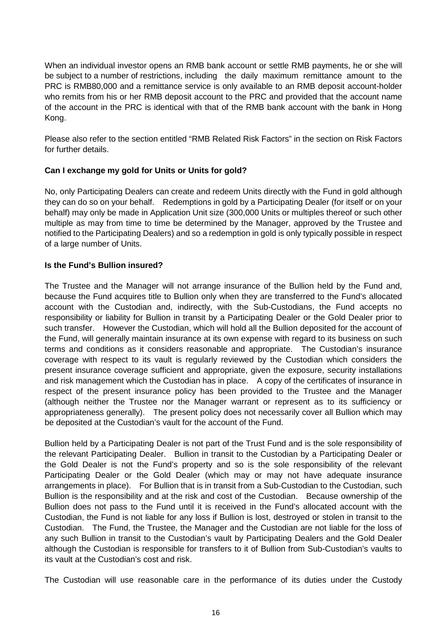When an individual investor opens an RMB bank account or settle RMB payments, he or she will be subject to a number of restrictions, including the daily maximum remittance amount to the PRC is RMB80,000 and a remittance service is only available to an RMB deposit account-holder who remits from his or her RMB deposit account to the PRC and provided that the account name of the account in the PRC is identical with that of the RMB bank account with the bank in Hong Kong.

Please also refer to the section entitled "RMB Related Risk Factors" in the section on Risk Factors for further details.

# **Can I exchange my gold for Units or Units for gold?**

No, only Participating Dealers can create and redeem Units directly with the Fund in gold although they can do so on your behalf. Redemptions in gold by a Participating Dealer (for itself or on your behalf) may only be made in Application Unit size (300,000 Units or multiples thereof or such other multiple as may from time to time be determined by the Manager, approved by the Trustee and notified to the Participating Dealers) and so a redemption in gold is only typically possible in respect of a large number of Units.

# **Is the Fund's Bullion insured?**

The Trustee and the Manager will not arrange insurance of the Bullion held by the Fund and, because the Fund acquires title to Bullion only when they are transferred to the Fund's allocated account with the Custodian and, indirectly, with the Sub-Custodians, the Fund accepts no responsibility or liability for Bullion in transit by a Participating Dealer or the Gold Dealer prior to such transfer. However the Custodian, which will hold all the Bullion deposited for the account of the Fund, will generally maintain insurance at its own expense with regard to its business on such terms and conditions as it considers reasonable and appropriate. The Custodian's insurance coverage with respect to its vault is regularly reviewed by the Custodian which considers the present insurance coverage sufficient and appropriate, given the exposure, security installations and risk management which the Custodian has in place. A copy of the certificates of insurance in respect of the present insurance policy has been provided to the Trustee and the Manager (although neither the Trustee nor the Manager warrant or represent as to its sufficiency or appropriateness generally). The present policy does not necessarily cover all Bullion which may be deposited at the Custodian's vault for the account of the Fund.

Bullion held by a Participating Dealer is not part of the Trust Fund and is the sole responsibility of the relevant Participating Dealer. Bullion in transit to the Custodian by a Participating Dealer or the Gold Dealer is not the Fund's property and so is the sole responsibility of the relevant Participating Dealer or the Gold Dealer (which may or may not have adequate insurance arrangements in place). For Bullion that is in transit from a Sub-Custodian to the Custodian, such Bullion is the responsibility and at the risk and cost of the Custodian. Because ownership of the Bullion does not pass to the Fund until it is received in the Fund's allocated account with the Custodian, the Fund is not liable for any loss if Bullion is lost, destroyed or stolen in transit to the Custodian. The Fund, the Trustee, the Manager and the Custodian are not liable for the loss of any such Bullion in transit to the Custodian's vault by Participating Dealers and the Gold Dealer although the Custodian is responsible for transfers to it of Bullion from Sub-Custodian's vaults to its vault at the Custodian's cost and risk.

The Custodian will use reasonable care in the performance of its duties under the Custody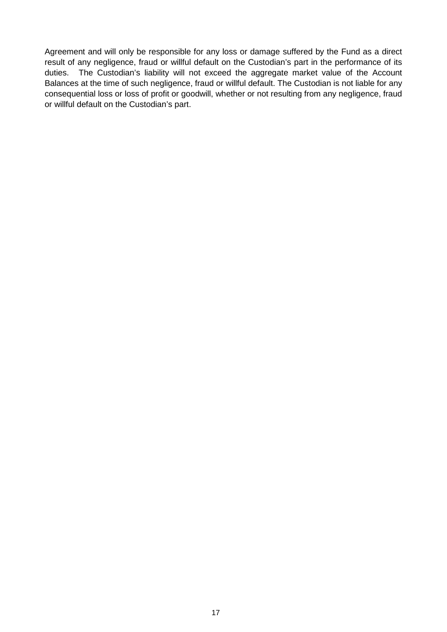Agreement and will only be responsible for any loss or damage suffered by the Fund as a direct result of any negligence, fraud or willful default on the Custodian's part in the performance of its duties. The Custodian's liability will not exceed the aggregate market value of the Account Balances at the time of such negligence, fraud or willful default. The Custodian is not liable for any consequential loss or loss of profit or goodwill, whether or not resulting from any negligence, fraud or willful default on the Custodian's part.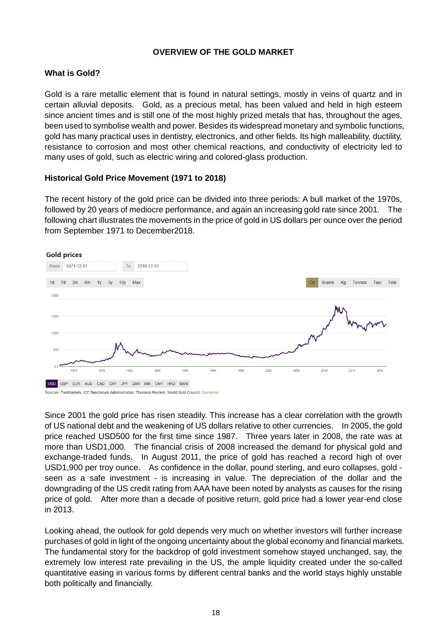# **OVERVIEW OF THE GOLD MARKET**

## **What is Gold?**

Gold is a rare metallic element that is found in natural settings, mostly in veins of quartz and in certain alluvial deposits. Gold, as a precious metal, has been valued and held in high esteem since ancient times and is still one of the most highly prized metals that has, throughout the ages, been used to symbolise wealth and power. Besides its widespread monetary and symbolic functions, gold has many practical uses in dentistry, electronics, and other fields. Its high malleability, ductility, resistance to corrosion and most other chemical reactions, and conductivity of electricity led to many uses of gold, such as electric wiring and colored-glass production.

## **Historical Gold Price Movement (1971 to 2018)**

The recent history of the gold price can be divided into three periods: A bull market of the 1970s, followed by 20 years of mediocre performance, and again an increasing gold rate since 2001. The following chart illustrates the movements in the price of gold in US dollars per ounce over the period from September 1971 to December2018.



Since 2001 the gold price has risen steadily. This increase has a clear correlation with the growth of US national debt and the weakening of US dollars relative to other currencies. In 2005, the gold price reached USD500 for the first time since 1987. Three years later in 2008, the rate was at more than USD1,000. The financial crisis of 2008 increased the demand for physical gold and exchange-traded funds. In August 2011, the price of gold has reached a record high of over USD1,900 per troy ounce. As confidence in the dollar, pound sterling, and euro collapses, gold seen as a safe investment - is increasing in value. The depreciation of the dollar and the downgrading of the US credit rating from AAA have been noted by analysts as causes for the rising price of gold. After more than a decade of positive return, gold price had a lower year-end close in 2013.

Looking ahead, the outlook for gold depends very much on whether investors will further increase purchases of gold in light of the ongoing uncertainty about the global economy and financial markets. The fundamental story for the backdrop of gold investment somehow stayed unchanged, say, the extremely low interest rate prevailing in the US, the ample liquidity created under the so-called quantitative easing in various forms by different central banks and the world stays highly unstable both politically and financially.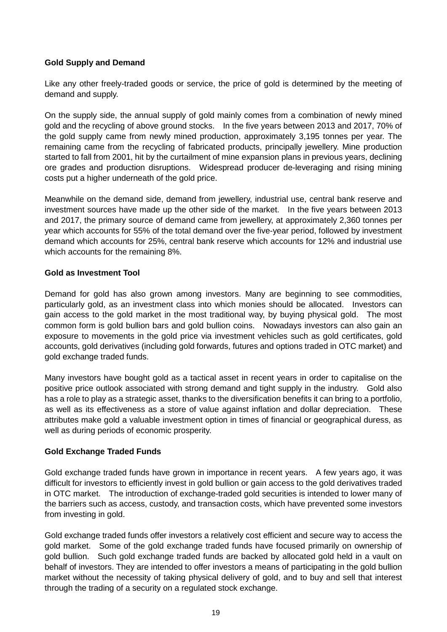# **Gold Supply and Demand**

Like any other freely-traded goods or service, the price of gold is determined by the meeting of demand and supply.

On the supply side, the annual supply of gold mainly comes from a combination of newly mined gold and the recycling of above ground stocks. In the five years between 2013 and 2017, 70% of the gold supply came from newly mined production, approximately 3,195 tonnes per year. The remaining came from the recycling of fabricated products, principally jewellery. Mine production started to fall from 2001, hit by the curtailment of mine expansion plans in previous years, declining ore grades and production disruptions. Widespread producer de-leveraging and rising mining costs put a higher underneath of the gold price.

Meanwhile on the demand side, demand from jewellery, industrial use, central bank reserve and investment sources have made up the other side of the market. In the five years between 2013 and 2017, the primary source of demand came from jewellery, at approximately 2,360 tonnes per year which accounts for 55% of the total demand over the five-year period, followed by investment demand which accounts for 25%, central bank reserve which accounts for 12% and industrial use which accounts for the remaining 8%.

# **Gold as Investment Tool**

Demand for gold has also grown among investors. Many are beginning to see commodities, particularly gold, as an investment class into which monies should be allocated. Investors can gain access to the gold market in the most traditional way, by buying physical gold. The most common form is gold bullion bars and gold bullion coins. Nowadays investors can also gain an exposure to movements in the gold price via investment vehicles such as gold certificates, gold accounts, gold derivatives (including gold forwards, futures and options traded in OTC market) and gold exchange traded funds.

Many investors have bought gold as a tactical asset in recent years in order to capitalise on the positive price outlook associated with strong demand and tight supply in the industry. Gold also has a role to play as a strategic asset, thanks to the diversification benefits it can bring to a portfolio, as well as its effectiveness as a store of value against inflation and dollar depreciation. These attributes make gold a valuable investment option in times of financial or geographical duress, as well as during periods of economic prosperity.

# **Gold Exchange Traded Funds**

Gold exchange traded funds have grown in importance in recent years. A few years ago, it was difficult for investors to efficiently invest in gold bullion or gain access to the gold derivatives traded in OTC market. The introduction of exchange-traded gold securities is intended to lower many of the barriers such as access, custody, and transaction costs, which have prevented some investors from investing in gold.

Gold exchange traded funds offer investors a relatively cost efficient and secure way to access the gold market. Some of the gold exchange traded funds have focused primarily on ownership of gold bullion. Such gold exchange traded funds are backed by allocated gold held in a vault on behalf of investors. They are intended to offer investors a means of participating in the gold bullion market without the necessity of taking physical delivery of gold, and to buy and sell that interest through the trading of a security on a regulated stock exchange.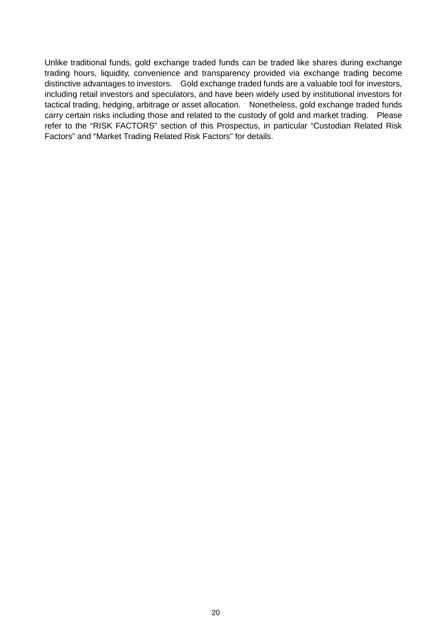Unlike traditional funds, gold exchange traded funds can be traded like shares during exchange trading hours, liquidity, convenience and transparency provided via exchange trading become distinctive advantages to investors. Gold exchange traded funds are a valuable tool for investors, including retail investors and speculators, and have been widely used by institutional investors for tactical trading, hedging, arbitrage or asset allocation. Nonetheless, gold exchange traded funds carry certain risks including those and related to the custody of gold and market trading. Please refer to the "RISK FACTORS" section of this Prospectus, in particular "Custodian Related Risk Factors" and "Market Trading Related Risk Factors" for details.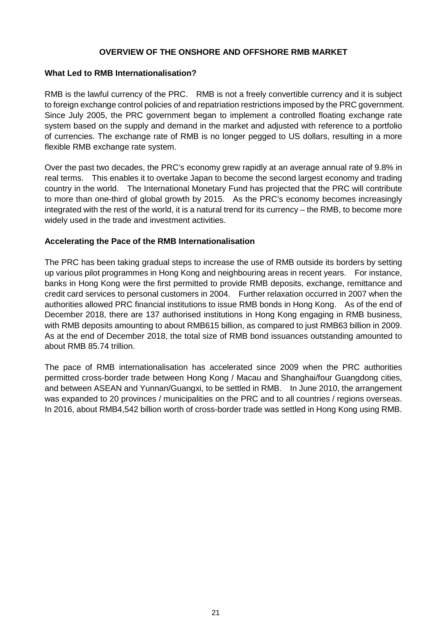## **OVERVIEW OF THE ONSHORE AND OFFSHORE RMB MARKET**

## **What Led to RMB Internationalisation?**

RMB is the lawful currency of the PRC. RMB is not a freely convertible currency and it is subject to foreign exchange control policies of and repatriation restrictions imposed by the PRC government. Since July 2005, the PRC government began to implement a controlled floating exchange rate system based on the supply and demand in the market and adjusted with reference to a portfolio of currencies. The exchange rate of RMB is no longer pegged to US dollars, resulting in a more flexible RMB exchange rate system.

Over the past two decades, the PRC's economy grew rapidly at an average annual rate of 9.8% in real terms. This enables it to overtake Japan to become the second largest economy and trading country in the world. The International Monetary Fund has projected that the PRC will contribute to more than one-third of global growth by 2015. As the PRC's economy becomes increasingly integrated with the rest of the world, it is a natural trend for its currency – the RMB, to become more widely used in the trade and investment activities.

# **Accelerating the Pace of the RMB Internationalisation**

The PRC has been taking gradual steps to increase the use of RMB outside its borders by setting up various pilot programmes in Hong Kong and neighbouring areas in recent years. For instance, banks in Hong Kong were the first permitted to provide RMB deposits, exchange, remittance and credit card services to personal customers in 2004. Further relaxation occurred in 2007 when the authorities allowed PRC financial institutions to issue RMB bonds in Hong Kong. As of the end of December 2018, there are 137 authorised institutions in Hong Kong engaging in RMB business, with RMB deposits amounting to about RMB615 billion, as compared to just RMB63 billion in 2009. As at the end of December 2018, the total size of RMB bond issuances outstanding amounted to about RMB 85.74 trillion.

The pace of RMB internationalisation has accelerated since 2009 when the PRC authorities permitted cross-border trade between Hong Kong / Macau and Shanghai/four Guangdong cities, and between ASEAN and Yunnan/Guangxi, to be settled in RMB. In June 2010, the arrangement was expanded to 20 provinces / municipalities on the PRC and to all countries / regions overseas. In 2016, about RMB4,542 billion worth of cross-border trade was settled in Hong Kong using RMB.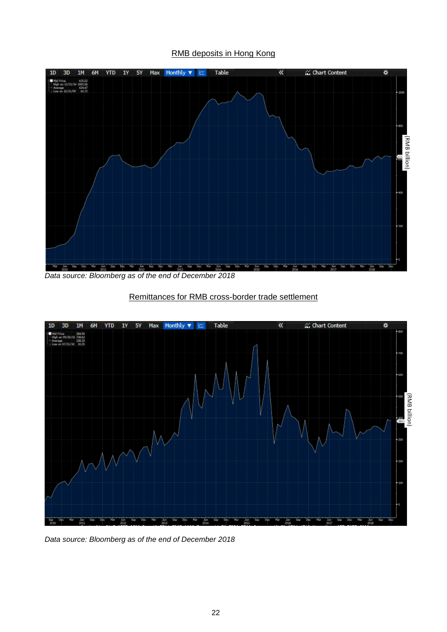## RMB deposits in Hong Kong



*Data source: Bloomberg as of the end of December 2018* 



## Remittances for RMB cross-border trade settlement

*Data source: Bloomberg as of the end of December 2018*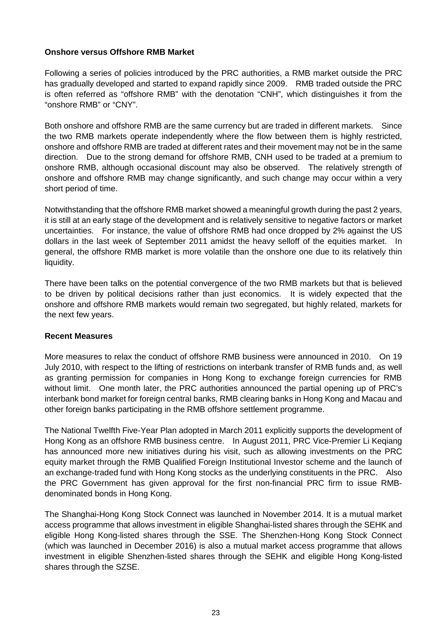## **Onshore versus Offshore RMB Market**

Following a series of policies introduced by the PRC authorities, a RMB market outside the PRC has gradually developed and started to expand rapidly since 2009. RMB traded outside the PRC is often referred as "offshore RMB" with the denotation "CNH", which distinguishes it from the "onshore RMB" or "CNY".

Both onshore and offshore RMB are the same currency but are traded in different markets. Since the two RMB markets operate independently where the flow between them is highly restricted, onshore and offshore RMB are traded at different rates and their movement may not be in the same direction. Due to the strong demand for offshore RMB, CNH used to be traded at a premium to onshore RMB, although occasional discount may also be observed. The relatively strength of onshore and offshore RMB may change significantly, and such change may occur within a very short period of time.

Notwithstanding that the offshore RMB market showed a meaningful growth during the past 2 years, it is still at an early stage of the development and is relatively sensitive to negative factors or market uncertainties. For instance, the value of offshore RMB had once dropped by 2% against the US dollars in the last week of September 2011 amidst the heavy selloff of the equities market. In general, the offshore RMB market is more volatile than the onshore one due to its relatively thin liquidity.

There have been talks on the potential convergence of the two RMB markets but that is believed to be driven by political decisions rather than just economics. It is widely expected that the onshore and offshore RMB markets would remain two segregated, but highly related, markets for the next few years.

## **Recent Measures**

More measures to relax the conduct of offshore RMB business were announced in 2010. On 19 July 2010, with respect to the lifting of restrictions on interbank transfer of RMB funds and, as well as granting permission for companies in Hong Kong to exchange foreign currencies for RMB without limit. One month later, the PRC authorities announced the partial opening up of PRC's interbank bond market for foreign central banks, RMB clearing banks in Hong Kong and Macau and other foreign banks participating in the RMB offshore settlement programme.

The National Twelfth Five-Year Plan adopted in March 2011 explicitly supports the development of Hong Kong as an offshore RMB business centre. In August 2011, PRC Vice-Premier Li Keqiang has announced more new initiatives during his visit, such as allowing investments on the PRC equity market through the RMB Qualified Foreign Institutional Investor scheme and the launch of an exchange-traded fund with Hong Kong stocks as the underlying constituents in the PRC. Also the PRC Government has given approval for the first non-financial PRC firm to issue RMBdenominated bonds in Hong Kong.

The Shanghai-Hong Kong Stock Connect was launched in November 2014. It is a mutual market access programme that allows investment in eligible Shanghai-listed shares through the SEHK and eligible Hong Kong-listed shares through the SSE. The Shenzhen-Hong Kong Stock Connect (which was launched in December 2016) is also a mutual market access programme that allows investment in eligible Shenzhen-listed shares through the SEHK and eligible Hong Kong-listed shares through the SZSE.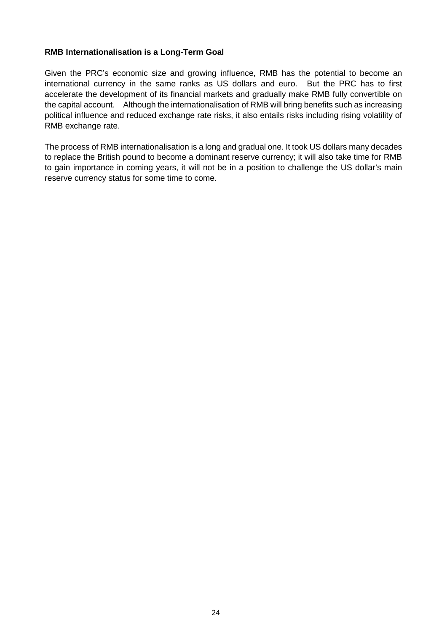## **RMB Internationalisation is a Long-Term Goal**

Given the PRC's economic size and growing influence, RMB has the potential to become an international currency in the same ranks as US dollars and euro. But the PRC has to first accelerate the development of its financial markets and gradually make RMB fully convertible on the capital account. Although the internationalisation of RMB will bring benefits such as increasing political influence and reduced exchange rate risks, it also entails risks including rising volatility of RMB exchange rate.

The process of RMB internationalisation is a long and gradual one. It took US dollars many decades to replace the British pound to become a dominant reserve currency; it will also take time for RMB to gain importance in coming years, it will not be in a position to challenge the US dollar's main reserve currency status for some time to come.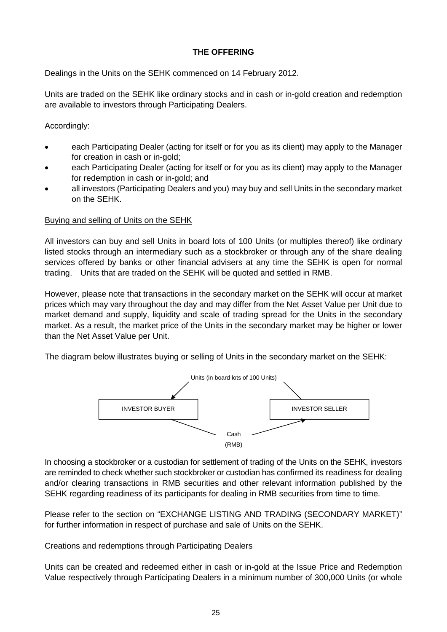# **THE OFFERING**

Dealings in the Units on the SEHK commenced on 14 February 2012.

Units are traded on the SEHK like ordinary stocks and in cash or in-gold creation and redemption are available to investors through Participating Dealers.

# Accordingly:

- each Participating Dealer (acting for itself or for you as its client) may apply to the Manager for creation in cash or in-gold;
- each Participating Dealer (acting for itself or for you as its client) may apply to the Manager for redemption in cash or in-gold; and
- all investors (Participating Dealers and you) may buy and sell Units in the secondary market on the SEHK.

# Buying and selling of Units on the SEHK

All investors can buy and sell Units in board lots of 100 Units (or multiples thereof) like ordinary listed stocks through an intermediary such as a stockbroker or through any of the share dealing services offered by banks or other financial advisers at any time the SEHK is open for normal trading. Units that are traded on the SEHK will be quoted and settled in RMB.

However, please note that transactions in the secondary market on the SEHK will occur at market prices which may vary throughout the day and may differ from the Net Asset Value per Unit due to market demand and supply, liquidity and scale of trading spread for the Units in the secondary market. As a result, the market price of the Units in the secondary market may be higher or lower than the Net Asset Value per Unit.

The diagram below illustrates buying or selling of Units in the secondary market on the SEHK:



In choosing a stockbroker or a custodian for settlement of trading of the Units on the SEHK, investors are reminded to check whether such stockbroker or custodian has confirmed its readiness for dealing and/or clearing transactions in RMB securities and other relevant information published by the SEHK regarding readiness of its participants for dealing in RMB securities from time to time.

Please refer to the section on "EXCHANGE LISTING AND TRADING (SECONDARY MARKET)" for further information in respect of purchase and sale of Units on the SEHK.

## Creations and redemptions through Participating Dealers

Units can be created and redeemed either in cash or in-gold at the Issue Price and Redemption Value respectively through Participating Dealers in a minimum number of 300,000 Units (or whole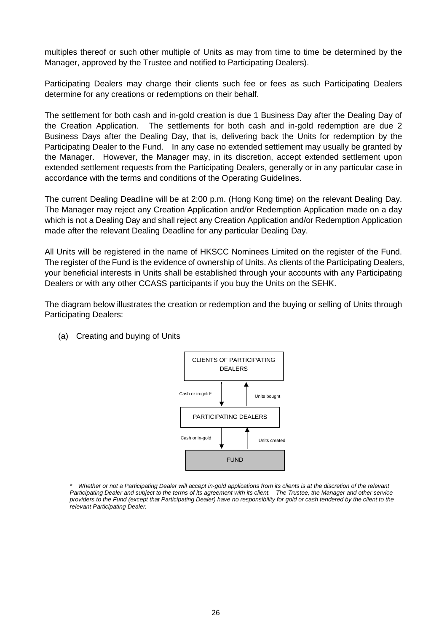multiples thereof or such other multiple of Units as may from time to time be determined by the Manager, approved by the Trustee and notified to Participating Dealers).

Participating Dealers may charge their clients such fee or fees as such Participating Dealers determine for any creations or redemptions on their behalf.

The settlement for both cash and in-gold creation is due 1 Business Day after the Dealing Day of the Creation Application. The settlements for both cash and in-gold redemption are due 2 Business Days after the Dealing Day, that is, delivering back the Units for redemption by the Participating Dealer to the Fund. In any case no extended settlement may usually be granted by the Manager. However, the Manager may, in its discretion, accept extended settlement upon extended settlement requests from the Participating Dealers, generally or in any particular case in accordance with the terms and conditions of the Operating Guidelines.

The current Dealing Deadline will be at 2:00 p.m. (Hong Kong time) on the relevant Dealing Day. The Manager may reject any Creation Application and/or Redemption Application made on a day which is not a Dealing Day and shall reject any Creation Application and/or Redemption Application made after the relevant Dealing Deadline for any particular Dealing Day.

All Units will be registered in the name of HKSCC Nominees Limited on the register of the Fund. The register of the Fund is the evidence of ownership of Units. As clients of the Participating Dealers, your beneficial interests in Units shall be established through your accounts with any Participating Dealers or with any other CCASS participants if you buy the Units on the SEHK.

The diagram below illustrates the creation or redemption and the buying or selling of Units through Participating Dealers:



(a) Creating and buying of Units

*\* Whether or not a Participating Dealer will accept in-gold applications from its clients is at the discretion of the relevant Participating Dealer and subject to the terms of its agreement with its client. The Trustee, the Manager and other service providers to the Fund (except that Participating Dealer) have no responsibility for gold or cash tendered by the client to the relevant Participating Dealer.*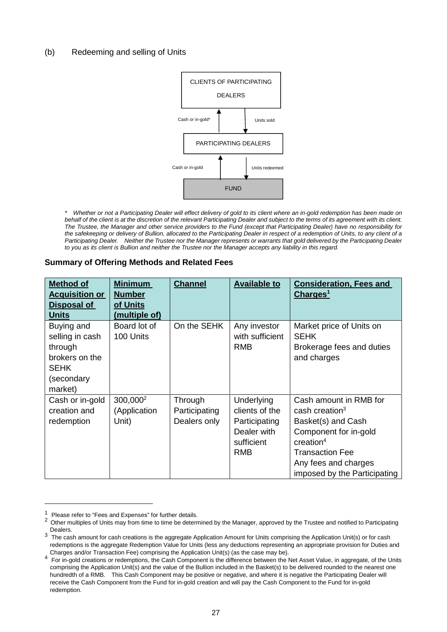## (b) Redeeming and selling of Units



*\* Whether or not a Participating Dealer will effect delivery of gold to its client where an in-gold redemption has been made on behalf of the client is at the discretion of the relevant Participating Dealer and subject to the terms of its agreement with its client. The Trustee, the Manager and other service providers to the Fund (except that Participating Dealer) have no responsibility for the safekeeping or delivery of Bullion, allocated to the Participating Dealer in respect of a redemption of Units, to any client of a Participating Dealer. Neither the Trustee nor the Manager represents or warrants that gold delivered by the Participating Dealer*  to you as its client is Bullion and neither the Trustee nor the Manager accepts any liability in this regard.

#### **Summary of Offering Methods and Related Fees**

| <b>Method of</b><br><b>Acquisition or</b><br><u>Disposal of</u><br><b>Units</b>                    | <b>Minimum</b><br><b>Number</b><br>of Units<br>(multiple of) | <b>Channel</b>                           | <b>Available to</b>                                                               | <b>Consideration, Fees and</b><br>Charges <sup>1</sup>                                                                                                                                                     |
|----------------------------------------------------------------------------------------------------|--------------------------------------------------------------|------------------------------------------|-----------------------------------------------------------------------------------|------------------------------------------------------------------------------------------------------------------------------------------------------------------------------------------------------------|
| Buying and<br>selling in cash<br>through<br>brokers on the<br><b>SEHK</b><br>(secondary<br>market) | Board lot of<br>100 Units                                    | On the SEHK                              | Any investor<br>with sufficient<br><b>RMB</b>                                     | Market price of Units on<br><b>SEHK</b><br>Brokerage fees and duties<br>and charges                                                                                                                        |
| Cash or in-gold<br>creation and<br>redemption                                                      | 300,000 <sup>2</sup><br>(Application<br>Unit)                | Through<br>Participating<br>Dealers only | Underlying<br>clients of the<br>Participating<br>Dealer with<br>sufficient<br>RMB | Cash amount in RMB for<br>cash creation <sup>3</sup><br>Basket(s) and Cash<br>Component for in-gold<br>$c$ reation <sup>4</sup><br>Transaction Fee<br>Any fees and charges<br>imposed by the Participating |

Please refer to "Fees and Expenses" for further details.

<sup>&</sup>lt;sup>2</sup> Other multiples of Units may from time to time be determined by the Manager, approved by the Trustee and notified to Participating Dealers.

<sup>&</sup>lt;sup>3</sup> The cash amount for cash creations is the aggregate Application Amount for Units comprising the Application Unit(s) or for cash redemptions is the aggregate Redemption Value for Units (less any deductions representing an appropriate provision for Duties and Charges and/or Transaction Fee) comprising the Application Unit(s) (as the case may be).

<sup>4</sup> For in-gold creations or redemptions, the Cash Component is the difference between the Net Asset Value, in aggregate, of the Units comprising the Application Unit(s) and the value of the Bullion included in the Basket(s) to be delivered rounded to the nearest one hundredth of a RMB. This Cash Component may be positive or negative, and where it is negative the Participating Dealer will receive the Cash Component from the Fund for in-gold creation and will pay the Cash Component to the Fund for in-gold redemption.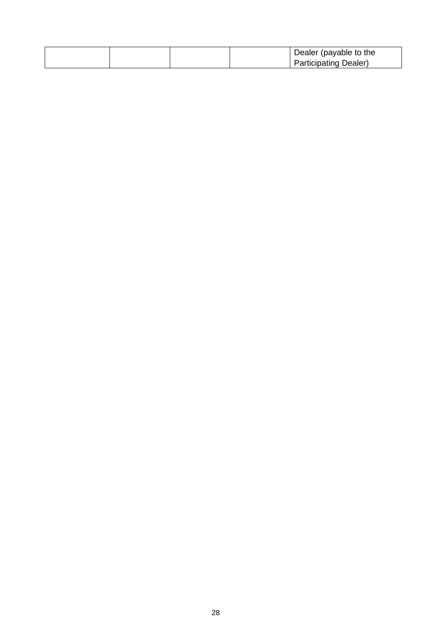|  | Dealer (payable to the<br><b>Participating Dealer)</b> |
|--|--------------------------------------------------------|
|--|--------------------------------------------------------|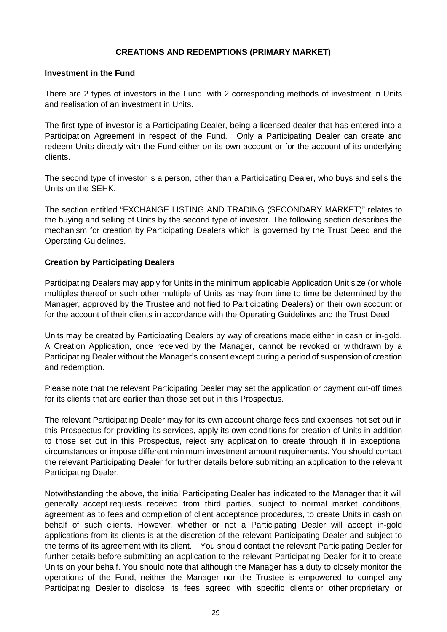## **CREATIONS AND REDEMPTIONS (PRIMARY MARKET)**

## **Investment in the Fund**

There are 2 types of investors in the Fund, with 2 corresponding methods of investment in Units and realisation of an investment in Units.

The first type of investor is a Participating Dealer, being a licensed dealer that has entered into a Participation Agreement in respect of the Fund. Only a Participating Dealer can create and redeem Units directly with the Fund either on its own account or for the account of its underlying clients.

The second type of investor is a person, other than a Participating Dealer, who buys and sells the Units on the SEHK.

The section entitled "EXCHANGE LISTING AND TRADING (SECONDARY MARKET)" relates to the buying and selling of Units by the second type of investor. The following section describes the mechanism for creation by Participating Dealers which is governed by the Trust Deed and the Operating Guidelines.

# **Creation by Participating Dealers**

Participating Dealers may apply for Units in the minimum applicable Application Unit size (or whole multiples thereof or such other multiple of Units as may from time to time be determined by the Manager, approved by the Trustee and notified to Participating Dealers) on their own account or for the account of their clients in accordance with the Operating Guidelines and the Trust Deed.

Units may be created by Participating Dealers by way of creations made either in cash or in-gold. A Creation Application, once received by the Manager, cannot be revoked or withdrawn by a Participating Dealer without the Manager's consent except during a period of suspension of creation and redemption.

Please note that the relevant Participating Dealer may set the application or payment cut-off times for its clients that are earlier than those set out in this Prospectus.

The relevant Participating Dealer may for its own account charge fees and expenses not set out in this Prospectus for providing its services, apply its own conditions for creation of Units in addition to those set out in this Prospectus, reject any application to create through it in exceptional circumstances or impose different minimum investment amount requirements. You should contact the relevant Participating Dealer for further details before submitting an application to the relevant Participating Dealer.

Notwithstanding the above, the initial Participating Dealer has indicated to the Manager that it will generally accept requests received from third parties, subject to normal market conditions, agreement as to fees and completion of client acceptance procedures, to create Units in cash on behalf of such clients. However, whether or not a Participating Dealer will accept in-gold applications from its clients is at the discretion of the relevant Participating Dealer and subject to the terms of its agreement with its client. You should contact the relevant Participating Dealer for further details before submitting an application to the relevant Participating Dealer for it to create Units on your behalf. You should note that although the Manager has a duty to closely monitor the operations of the Fund, neither the Manager nor the Trustee is empowered to compel any Participating Dealer to disclose its fees agreed with specific clients or other proprietary or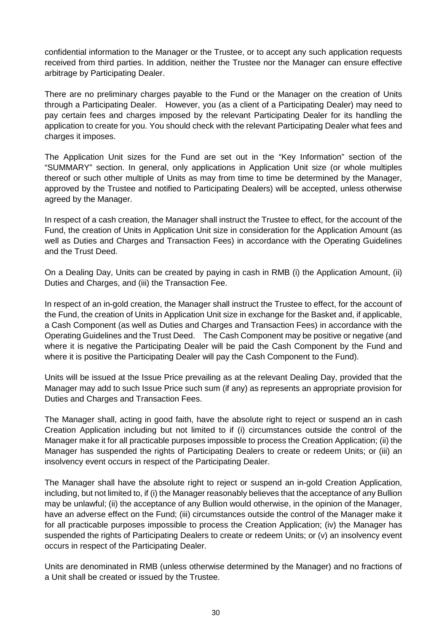confidential information to the Manager or the Trustee, or to accept any such application requests received from third parties. In addition, neither the Trustee nor the Manager can ensure effective arbitrage by Participating Dealer.

There are no preliminary charges payable to the Fund or the Manager on the creation of Units through a Participating Dealer. However, you (as a client of a Participating Dealer) may need to pay certain fees and charges imposed by the relevant Participating Dealer for its handling the application to create for you. You should check with the relevant Participating Dealer what fees and charges it imposes.

The Application Unit sizes for the Fund are set out in the "Key Information" section of the "SUMMARY" section. In general, only applications in Application Unit size (or whole multiples thereof or such other multiple of Units as may from time to time be determined by the Manager, approved by the Trustee and notified to Participating Dealers) will be accepted, unless otherwise agreed by the Manager.

In respect of a cash creation, the Manager shall instruct the Trustee to effect, for the account of the Fund, the creation of Units in Application Unit size in consideration for the Application Amount (as well as Duties and Charges and Transaction Fees) in accordance with the Operating Guidelines and the Trust Deed.

On a Dealing Day, Units can be created by paying in cash in RMB (i) the Application Amount, (ii) Duties and Charges, and (iii) the Transaction Fee.

In respect of an in-gold creation, the Manager shall instruct the Trustee to effect, for the account of the Fund, the creation of Units in Application Unit size in exchange for the Basket and, if applicable, a Cash Component (as well as Duties and Charges and Transaction Fees) in accordance with the Operating Guidelines and the Trust Deed. The Cash Component may be positive or negative (and where it is negative the Participating Dealer will be paid the Cash Component by the Fund and where it is positive the Participating Dealer will pay the Cash Component to the Fund).

Units will be issued at the Issue Price prevailing as at the relevant Dealing Day, provided that the Manager may add to such Issue Price such sum (if any) as represents an appropriate provision for Duties and Charges and Transaction Fees.

The Manager shall, acting in good faith, have the absolute right to reject or suspend an in cash Creation Application including but not limited to if (i) circumstances outside the control of the Manager make it for all practicable purposes impossible to process the Creation Application; (ii) the Manager has suspended the rights of Participating Dealers to create or redeem Units; or (iii) an insolvency event occurs in respect of the Participating Dealer.

The Manager shall have the absolute right to reject or suspend an in-gold Creation Application, including, but not limited to, if (i) the Manager reasonably believes that the acceptance of any Bullion may be unlawful; (ii) the acceptance of any Bullion would otherwise, in the opinion of the Manager, have an adverse effect on the Fund; (iii) circumstances outside the control of the Manager make it for all practicable purposes impossible to process the Creation Application; (iv) the Manager has suspended the rights of Participating Dealers to create or redeem Units; or (v) an insolvency event occurs in respect of the Participating Dealer.

Units are denominated in RMB (unless otherwise determined by the Manager) and no fractions of a Unit shall be created or issued by the Trustee.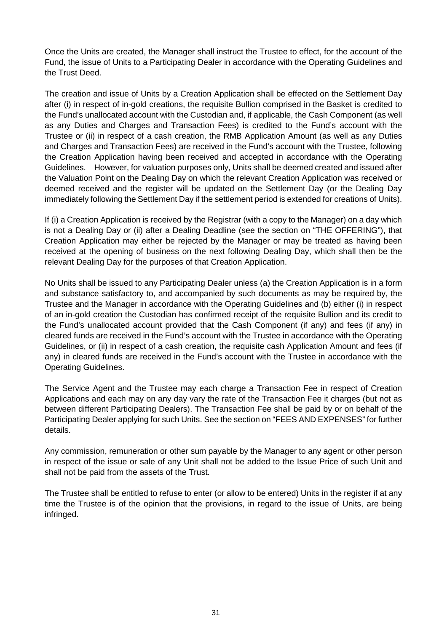Once the Units are created, the Manager shall instruct the Trustee to effect, for the account of the Fund, the issue of Units to a Participating Dealer in accordance with the Operating Guidelines and the Trust Deed.

The creation and issue of Units by a Creation Application shall be effected on the Settlement Day after (i) in respect of in-gold creations, the requisite Bullion comprised in the Basket is credited to the Fund's unallocated account with the Custodian and, if applicable, the Cash Component (as well as any Duties and Charges and Transaction Fees) is credited to the Fund's account with the Trustee or (ii) in respect of a cash creation, the RMB Application Amount (as well as any Duties and Charges and Transaction Fees) are received in the Fund's account with the Trustee, following the Creation Application having been received and accepted in accordance with the Operating Guidelines. However, for valuation purposes only, Units shall be deemed created and issued after the Valuation Point on the Dealing Day on which the relevant Creation Application was received or deemed received and the register will be updated on the Settlement Day (or the Dealing Day immediately following the Settlement Day if the settlement period is extended for creations of Units).

If (i) a Creation Application is received by the Registrar (with a copy to the Manager) on a day which is not a Dealing Day or (ii) after a Dealing Deadline (see the section on "THE OFFERING"), that Creation Application may either be rejected by the Manager or may be treated as having been received at the opening of business on the next following Dealing Day, which shall then be the relevant Dealing Day for the purposes of that Creation Application.

No Units shall be issued to any Participating Dealer unless (a) the Creation Application is in a form and substance satisfactory to, and accompanied by such documents as may be required by, the Trustee and the Manager in accordance with the Operating Guidelines and (b) either (i) in respect of an in-gold creation the Custodian has confirmed receipt of the requisite Bullion and its credit to the Fund's unallocated account provided that the Cash Component (if any) and fees (if any) in cleared funds are received in the Fund's account with the Trustee in accordance with the Operating Guidelines, or (ii) in respect of a cash creation, the requisite cash Application Amount and fees (if any) in cleared funds are received in the Fund's account with the Trustee in accordance with the Operating Guidelines.

The Service Agent and the Trustee may each charge a Transaction Fee in respect of Creation Applications and each may on any day vary the rate of the Transaction Fee it charges (but not as between different Participating Dealers). The Transaction Fee shall be paid by or on behalf of the Participating Dealer applying for such Units. See the section on "FEES AND EXPENSES" for further details.

Any commission, remuneration or other sum payable by the Manager to any agent or other person in respect of the issue or sale of any Unit shall not be added to the Issue Price of such Unit and shall not be paid from the assets of the Trust.

The Trustee shall be entitled to refuse to enter (or allow to be entered) Units in the register if at any time the Trustee is of the opinion that the provisions, in regard to the issue of Units, are being infringed.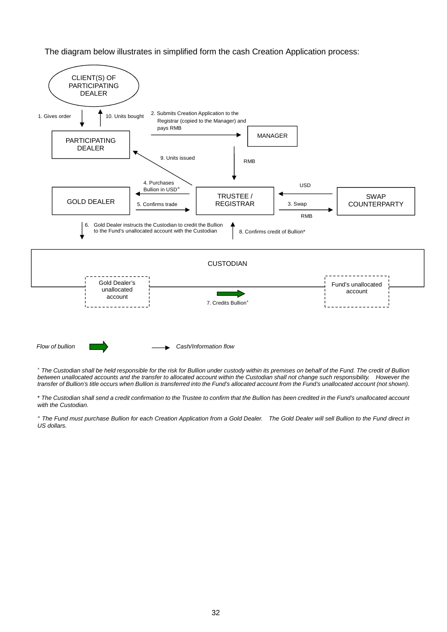The diagram below illustrates in simplified form the cash Creation Application process:



<sup>+</sup> *The Custodian shall be held responsible for the risk for Bullion under custody within its premises on behalf of the Fund. The credit of Bullion between unallocated accounts and the transfer to allocated account within the Custodian shall not change such responsibility. However the transfer of Bullion's title occurs when Bullion is transferred into the Fund's allocated account from the Fund's unallocated account (not shown).* 

\* *The Custodian shall send a credit confirmation to the Trustee to confirm that the Bullion has been credited in the Fund's unallocated account with the Custodian.* 

*° The Fund must purchase Bullion for each Creation Application from a Gold Dealer. The Gold Dealer will sell Bullion to the Fund direct in US dollars.*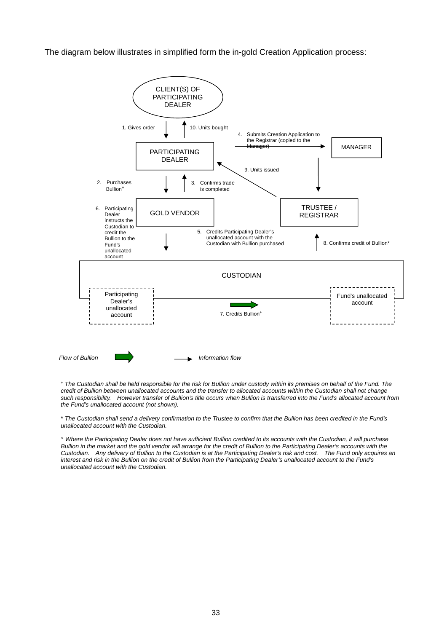The diagram below illustrates in simplified form the in-gold Creation Application process:



<sup>+</sup> *The Custodian shall be held responsible for the risk for Bullion under custody within its premises on behalf of the Fund. The credit of Bullion between unallocated accounts and the transfer to allocated accounts within the Custodian shall not change such responsibility. However transfer of Bullion's title occurs when Bullion is transferred into the Fund's allocated account from the Fund's unallocated account (not shown).* 

\* *The Custodian shall send a delivery confirmation to the Trustee to confirm that the Bullion has been credited in the Fund's unallocated account with the Custodian.* 

*° Where the Participating Dealer does not have sufficient Bullion credited to its accounts with the Custodian, it will purchase Bullion in the market and the gold vendor will arrange for the credit of Bullion to the Participating Dealer's accounts with the Custodian. Any delivery of Bullion to the Custodian is at the Participating Dealer's risk and cost. The Fund only acquires an interest and risk in the Bullion on the credit of Bullion from the Participating Dealer's unallocated account to the Fund's unallocated account with the Custodian.*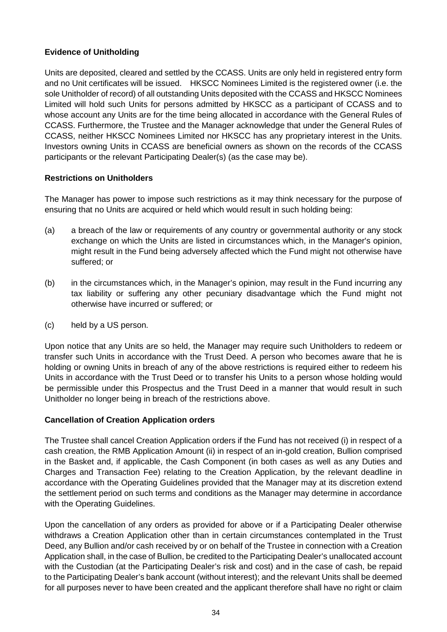# **Evidence of Unitholding**

Units are deposited, cleared and settled by the CCASS. Units are only held in registered entry form and no Unit certificates will be issued. HKSCC Nominees Limited is the registered owner (i.e. the sole Unitholder of record) of all outstanding Units deposited with the CCASS and HKSCC Nominees Limited will hold such Units for persons admitted by HKSCC as a participant of CCASS and to whose account any Units are for the time being allocated in accordance with the General Rules of CCASS. Furthermore, the Trustee and the Manager acknowledge that under the General Rules of CCASS, neither HKSCC Nominees Limited nor HKSCC has any proprietary interest in the Units. Investors owning Units in CCASS are beneficial owners as shown on the records of the CCASS participants or the relevant Participating Dealer(s) (as the case may be).

## **Restrictions on Unitholders**

The Manager has power to impose such restrictions as it may think necessary for the purpose of ensuring that no Units are acquired or held which would result in such holding being:

- (a) a breach of the law or requirements of any country or governmental authority or any stock exchange on which the Units are listed in circumstances which, in the Manager's opinion, might result in the Fund being adversely affected which the Fund might not otherwise have suffered; or
- (b) in the circumstances which, in the Manager's opinion, may result in the Fund incurring any tax liability or suffering any other pecuniary disadvantage which the Fund might not otherwise have incurred or suffered; or
- (c) held by a US person.

Upon notice that any Units are so held, the Manager may require such Unitholders to redeem or transfer such Units in accordance with the Trust Deed. A person who becomes aware that he is holding or owning Units in breach of any of the above restrictions is required either to redeem his Units in accordance with the Trust Deed or to transfer his Units to a person whose holding would be permissible under this Prospectus and the Trust Deed in a manner that would result in such Unitholder no longer being in breach of the restrictions above.

## **Cancellation of Creation Application orders**

The Trustee shall cancel Creation Application orders if the Fund has not received (i) in respect of a cash creation, the RMB Application Amount (ii) in respect of an in-gold creation, Bullion comprised in the Basket and, if applicable, the Cash Component (in both cases as well as any Duties and Charges and Transaction Fee) relating to the Creation Application, by the relevant deadline in accordance with the Operating Guidelines provided that the Manager may at its discretion extend the settlement period on such terms and conditions as the Manager may determine in accordance with the Operating Guidelines.

Upon the cancellation of any orders as provided for above or if a Participating Dealer otherwise withdraws a Creation Application other than in certain circumstances contemplated in the Trust Deed, any Bullion and/or cash received by or on behalf of the Trustee in connection with a Creation Application shall, in the case of Bullion, be credited to the Participating Dealer's unallocated account with the Custodian (at the Participating Dealer's risk and cost) and in the case of cash, be repaid to the Participating Dealer's bank account (without interest); and the relevant Units shall be deemed for all purposes never to have been created and the applicant therefore shall have no right or claim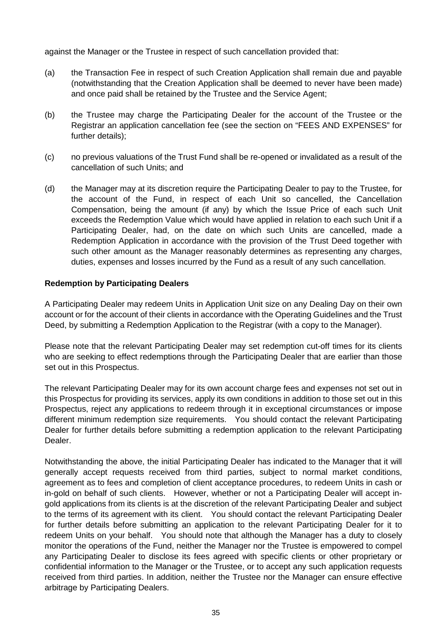against the Manager or the Trustee in respect of such cancellation provided that:

- (a) the Transaction Fee in respect of such Creation Application shall remain due and payable (notwithstanding that the Creation Application shall be deemed to never have been made) and once paid shall be retained by the Trustee and the Service Agent;
- (b) the Trustee may charge the Participating Dealer for the account of the Trustee or the Registrar an application cancellation fee (see the section on "FEES AND EXPENSES" for further details);
- (c) no previous valuations of the Trust Fund shall be re-opened or invalidated as a result of the cancellation of such Units; and
- (d) the Manager may at its discretion require the Participating Dealer to pay to the Trustee, for the account of the Fund, in respect of each Unit so cancelled, the Cancellation Compensation, being the amount (if any) by which the Issue Price of each such Unit exceeds the Redemption Value which would have applied in relation to each such Unit if a Participating Dealer, had, on the date on which such Units are cancelled, made a Redemption Application in accordance with the provision of the Trust Deed together with such other amount as the Manager reasonably determines as representing any charges, duties, expenses and losses incurred by the Fund as a result of any such cancellation.

## **Redemption by Participating Dealers**

A Participating Dealer may redeem Units in Application Unit size on any Dealing Day on their own account or for the account of their clients in accordance with the Operating Guidelines and the Trust Deed, by submitting a Redemption Application to the Registrar (with a copy to the Manager).

Please note that the relevant Participating Dealer may set redemption cut-off times for its clients who are seeking to effect redemptions through the Participating Dealer that are earlier than those set out in this Prospectus.

The relevant Participating Dealer may for its own account charge fees and expenses not set out in this Prospectus for providing its services, apply its own conditions in addition to those set out in this Prospectus, reject any applications to redeem through it in exceptional circumstances or impose different minimum redemption size requirements. You should contact the relevant Participating Dealer for further details before submitting a redemption application to the relevant Participating Dealer.

Notwithstanding the above, the initial Participating Dealer has indicated to the Manager that it will generally accept requests received from third parties, subject to normal market conditions, agreement as to fees and completion of client acceptance procedures, to redeem Units in cash or in-gold on behalf of such clients. However, whether or not a Participating Dealer will accept ingold applications from its clients is at the discretion of the relevant Participating Dealer and subject to the terms of its agreement with its client. You should contact the relevant Participating Dealer for further details before submitting an application to the relevant Participating Dealer for it to redeem Units on your behalf. You should note that although the Manager has a duty to closely monitor the operations of the Fund, neither the Manager nor the Trustee is empowered to compel any Participating Dealer to disclose its fees agreed with specific clients or other proprietary or confidential information to the Manager or the Trustee, or to accept any such application requests received from third parties. In addition, neither the Trustee nor the Manager can ensure effective arbitrage by Participating Dealers.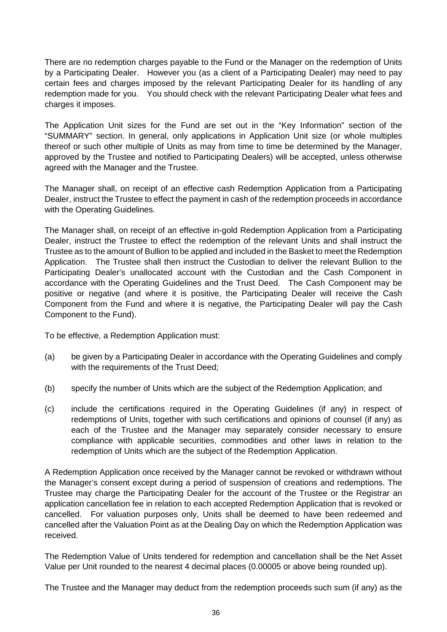There are no redemption charges payable to the Fund or the Manager on the redemption of Units by a Participating Dealer. However you (as a client of a Participating Dealer) may need to pay certain fees and charges imposed by the relevant Participating Dealer for its handling of any redemption made for you. You should check with the relevant Participating Dealer what fees and charges it imposes.

The Application Unit sizes for the Fund are set out in the "Key Information" section of the "SUMMARY" section. In general, only applications in Application Unit size (or whole multiples thereof or such other multiple of Units as may from time to time be determined by the Manager, approved by the Trustee and notified to Participating Dealers) will be accepted, unless otherwise agreed with the Manager and the Trustee.

The Manager shall, on receipt of an effective cash Redemption Application from a Participating Dealer, instruct the Trustee to effect the payment in cash of the redemption proceeds in accordance with the Operating Guidelines.

The Manager shall, on receipt of an effective in-gold Redemption Application from a Participating Dealer, instruct the Trustee to effect the redemption of the relevant Units and shall instruct the Trustee as to the amount of Bullion to be applied and included in the Basket to meet the Redemption Application. The Trustee shall then instruct the Custodian to deliver the relevant Bullion to the Participating Dealer's unallocated account with the Custodian and the Cash Component in accordance with the Operating Guidelines and the Trust Deed. The Cash Component may be positive or negative (and where it is positive, the Participating Dealer will receive the Cash Component from the Fund and where it is negative, the Participating Dealer will pay the Cash Component to the Fund).

To be effective, a Redemption Application must:

- (a) be given by a Participating Dealer in accordance with the Operating Guidelines and comply with the requirements of the Trust Deed:
- (b) specify the number of Units which are the subject of the Redemption Application; and
- (c) include the certifications required in the Operating Guidelines (if any) in respect of redemptions of Units, together with such certifications and opinions of counsel (if any) as each of the Trustee and the Manager may separately consider necessary to ensure compliance with applicable securities, commodities and other laws in relation to the redemption of Units which are the subject of the Redemption Application.

A Redemption Application once received by the Manager cannot be revoked or withdrawn without the Manager's consent except during a period of suspension of creations and redemptions. The Trustee may charge the Participating Dealer for the account of the Trustee or the Registrar an application cancellation fee in relation to each accepted Redemption Application that is revoked or cancelled. For valuation purposes only, Units shall be deemed to have been redeemed and cancelled after the Valuation Point as at the Dealing Day on which the Redemption Application was received.

The Redemption Value of Units tendered for redemption and cancellation shall be the Net Asset Value per Unit rounded to the nearest 4 decimal places (0.00005 or above being rounded up).

The Trustee and the Manager may deduct from the redemption proceeds such sum (if any) as the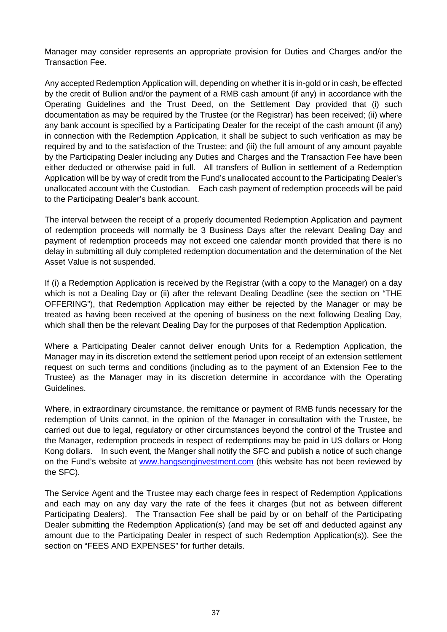Manager may consider represents an appropriate provision for Duties and Charges and/or the Transaction Fee.

Any accepted Redemption Application will, depending on whether it is in-gold or in cash, be effected by the credit of Bullion and/or the payment of a RMB cash amount (if any) in accordance with the Operating Guidelines and the Trust Deed, on the Settlement Day provided that (i) such documentation as may be required by the Trustee (or the Registrar) has been received; (ii) where any bank account is specified by a Participating Dealer for the receipt of the cash amount (if any) in connection with the Redemption Application, it shall be subject to such verification as may be required by and to the satisfaction of the Trustee; and (iii) the full amount of any amount payable by the Participating Dealer including any Duties and Charges and the Transaction Fee have been either deducted or otherwise paid in full. All transfers of Bullion in settlement of a Redemption Application will be by way of credit from the Fund's unallocated account to the Participating Dealer's unallocated account with the Custodian. Each cash payment of redemption proceeds will be paid to the Participating Dealer's bank account.

The interval between the receipt of a properly documented Redemption Application and payment of redemption proceeds will normally be 3 Business Days after the relevant Dealing Day and payment of redemption proceeds may not exceed one calendar month provided that there is no delay in submitting all duly completed redemption documentation and the determination of the Net Asset Value is not suspended.

If (i) a Redemption Application is received by the Registrar (with a copy to the Manager) on a day which is not a Dealing Day or (ii) after the relevant Dealing Deadline (see the section on "THE OFFERING"), that Redemption Application may either be rejected by the Manager or may be treated as having been received at the opening of business on the next following Dealing Day, which shall then be the relevant Dealing Day for the purposes of that Redemption Application.

Where a Participating Dealer cannot deliver enough Units for a Redemption Application, the Manager may in its discretion extend the settlement period upon receipt of an extension settlement request on such terms and conditions (including as to the payment of an Extension Fee to the Trustee) as the Manager may in its discretion determine in accordance with the Operating Guidelines.

Where, in extraordinary circumstance, the remittance or payment of RMB funds necessary for the redemption of Units cannot, in the opinion of the Manager in consultation with the Trustee, be carried out due to legal, regulatory or other circumstances beyond the control of the Trustee and the Manager, redemption proceeds in respect of redemptions may be paid in US dollars or Hong Kong dollars. In such event, the Manger shall notify the SFC and publish a notice of such change on the Fund's website at www.hangsenginvestment.com (this website has not been reviewed by the SFC).

The Service Agent and the Trustee may each charge fees in respect of Redemption Applications and each may on any day vary the rate of the fees it charges (but not as between different Participating Dealers). The Transaction Fee shall be paid by or on behalf of the Participating Dealer submitting the Redemption Application(s) (and may be set off and deducted against any amount due to the Participating Dealer in respect of such Redemption Application(s)). See the section on "FEES AND EXPENSES" for further details.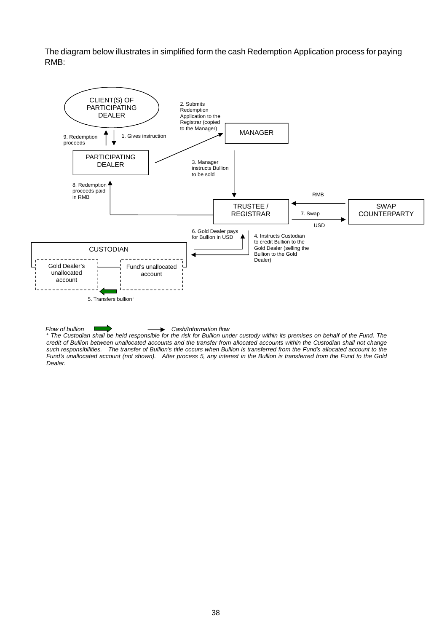The diagram below illustrates in simplified form the cash Redemption Application process for paying RMB:



#### *Flow of bullion* Cash/Information flow

+  *The Custodian shall be held responsible for the risk for Bullion under custody within its premises on behalf of the Fund. The credit of Bullion between unallocated accounts and the transfer from allocated accounts within the Custodian shall not change such responsibilities. The transfer of Bullion's title occurs when Bullion is transferred from the Fund's allocated account to the Fund's unallocated account (not shown). After process 5, any interest in the Bullion is transferred from the Fund to the Gold Dealer.*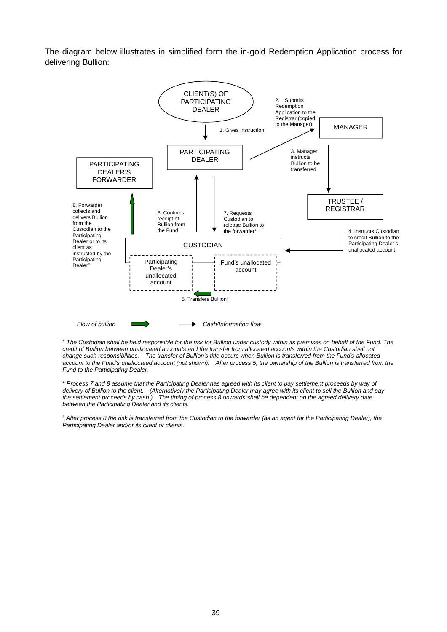The diagram below illustrates in simplified form the in-gold Redemption Application process for delivering Bullion:



+  *The Custodian shall be held responsible for the risk for Bullion under custody within its premises on behalf of the Fund. The credit of Bullion between unallocated accounts and the transfer from allocated accounts within the Custodian shall not change such responsibilities. The transfer of Bullion's title occurs when Bullion is transferred from the Fund's allocated account to the Fund's unallocated account (not shown). After process 5, the ownership of the Bullion is transferred from the Fund to the Participating Dealer.* 

\* *Process 7 and 8 assume that the Participating Dealer has agreed with its client to pay settlement proceeds by way of delivery of Bullion to the client. (Alternatively the Participating Dealer may agree with its client to sell the Bullion and pay the settlement proceeds by cash.) The timing of process 8 onwards shall be dependent on the agreed delivery date between the Participating Dealer and its clients.* 

*# After process 8 the risk is transferred from the Custodian to the forwarder (as an agent for the Participating Dealer), the Participating Dealer and/or its client or clients.*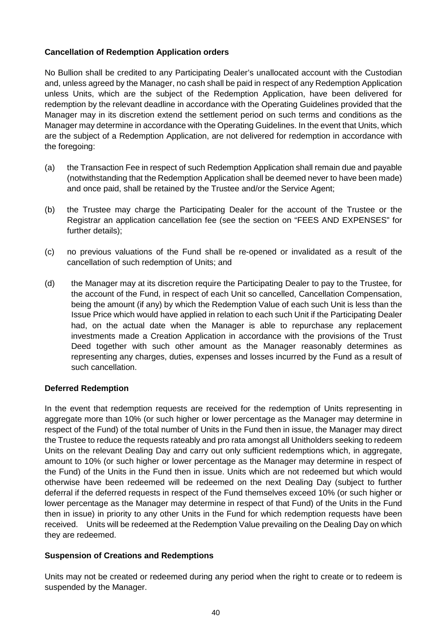# **Cancellation of Redemption Application orders**

No Bullion shall be credited to any Participating Dealer's unallocated account with the Custodian and, unless agreed by the Manager, no cash shall be paid in respect of any Redemption Application unless Units, which are the subject of the Redemption Application, have been delivered for redemption by the relevant deadline in accordance with the Operating Guidelines provided that the Manager may in its discretion extend the settlement period on such terms and conditions as the Manager may determine in accordance with the Operating Guidelines. In the event that Units, which are the subject of a Redemption Application, are not delivered for redemption in accordance with the foregoing:

- (a) the Transaction Fee in respect of such Redemption Application shall remain due and payable (notwithstanding that the Redemption Application shall be deemed never to have been made) and once paid, shall be retained by the Trustee and/or the Service Agent;
- (b) the Trustee may charge the Participating Dealer for the account of the Trustee or the Registrar an application cancellation fee (see the section on "FEES AND EXPENSES" for further details);
- (c) no previous valuations of the Fund shall be re-opened or invalidated as a result of the cancellation of such redemption of Units; and
- (d) the Manager may at its discretion require the Participating Dealer to pay to the Trustee, for the account of the Fund, in respect of each Unit so cancelled, Cancellation Compensation, being the amount (if any) by which the Redemption Value of each such Unit is less than the Issue Price which would have applied in relation to each such Unit if the Participating Dealer had, on the actual date when the Manager is able to repurchase any replacement investments made a Creation Application in accordance with the provisions of the Trust Deed together with such other amount as the Manager reasonably determines as representing any charges, duties, expenses and losses incurred by the Fund as a result of such cancellation.

## **Deferred Redemption**

In the event that redemption requests are received for the redemption of Units representing in aggregate more than 10% (or such higher or lower percentage as the Manager may determine in respect of the Fund) of the total number of Units in the Fund then in issue, the Manager may direct the Trustee to reduce the requests rateably and pro rata amongst all Unitholders seeking to redeem Units on the relevant Dealing Day and carry out only sufficient redemptions which, in aggregate, amount to 10% (or such higher or lower percentage as the Manager may determine in respect of the Fund) of the Units in the Fund then in issue. Units which are not redeemed but which would otherwise have been redeemed will be redeemed on the next Dealing Day (subject to further deferral if the deferred requests in respect of the Fund themselves exceed 10% (or such higher or lower percentage as the Manager may determine in respect of that Fund) of the Units in the Fund then in issue) in priority to any other Units in the Fund for which redemption requests have been received. Units will be redeemed at the Redemption Value prevailing on the Dealing Day on which they are redeemed.

## **Suspension of Creations and Redemptions**

Units may not be created or redeemed during any period when the right to create or to redeem is suspended by the Manager.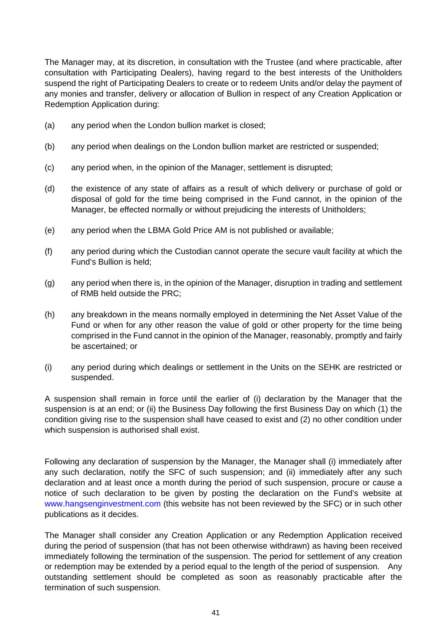The Manager may, at its discretion, in consultation with the Trustee (and where practicable, after consultation with Participating Dealers), having regard to the best interests of the Unitholders suspend the right of Participating Dealers to create or to redeem Units and/or delay the payment of any monies and transfer, delivery or allocation of Bullion in respect of any Creation Application or Redemption Application during:

- (a) any period when the London bullion market is closed;
- (b) any period when dealings on the London bullion market are restricted or suspended;
- (c) any period when, in the opinion of the Manager, settlement is disrupted;
- (d) the existence of any state of affairs as a result of which delivery or purchase of gold or disposal of gold for the time being comprised in the Fund cannot, in the opinion of the Manager, be effected normally or without prejudicing the interests of Unitholders;
- (e) any period when the LBMA Gold Price AM is not published or available;
- (f) any period during which the Custodian cannot operate the secure vault facility at which the Fund's Bullion is held;
- (g) any period when there is, in the opinion of the Manager, disruption in trading and settlement of RMB held outside the PRC;
- (h) any breakdown in the means normally employed in determining the Net Asset Value of the Fund or when for any other reason the value of gold or other property for the time being comprised in the Fund cannot in the opinion of the Manager, reasonably, promptly and fairly be ascertained; or
- (i) any period during which dealings or settlement in the Units on the SEHK are restricted or suspended.

A suspension shall remain in force until the earlier of (i) declaration by the Manager that the suspension is at an end; or (ii) the Business Day following the first Business Day on which (1) the condition giving rise to the suspension shall have ceased to exist and (2) no other condition under which suspension is authorised shall exist.

Following any declaration of suspension by the Manager, the Manager shall (i) immediately after any such declaration, notify the SFC of such suspension; and (ii) immediately after any such declaration and at least once a month during the period of such suspension, procure or cause a notice of such declaration to be given by posting the declaration on the Fund's website at www.hangsenginvestment.com (this website has not been reviewed by the SFC) or in such other publications as it decides.

The Manager shall consider any Creation Application or any Redemption Application received during the period of suspension (that has not been otherwise withdrawn) as having been received immediately following the termination of the suspension. The period for settlement of any creation or redemption may be extended by a period equal to the length of the period of suspension. Any outstanding settlement should be completed as soon as reasonably practicable after the termination of such suspension.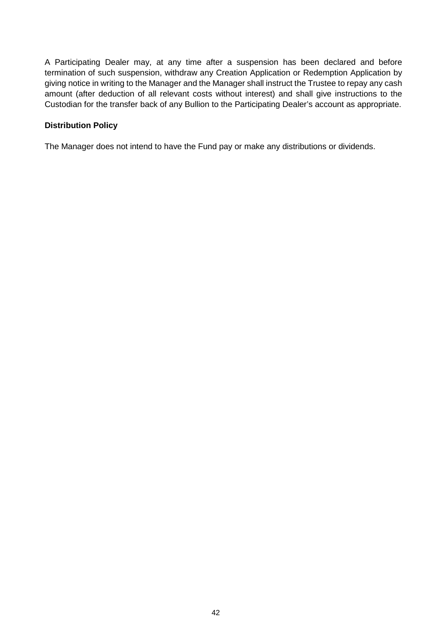A Participating Dealer may, at any time after a suspension has been declared and before termination of such suspension, withdraw any Creation Application or Redemption Application by giving notice in writing to the Manager and the Manager shall instruct the Trustee to repay any cash amount (after deduction of all relevant costs without interest) and shall give instructions to the Custodian for the transfer back of any Bullion to the Participating Dealer's account as appropriate.

# **Distribution Policy**

The Manager does not intend to have the Fund pay or make any distributions or dividends.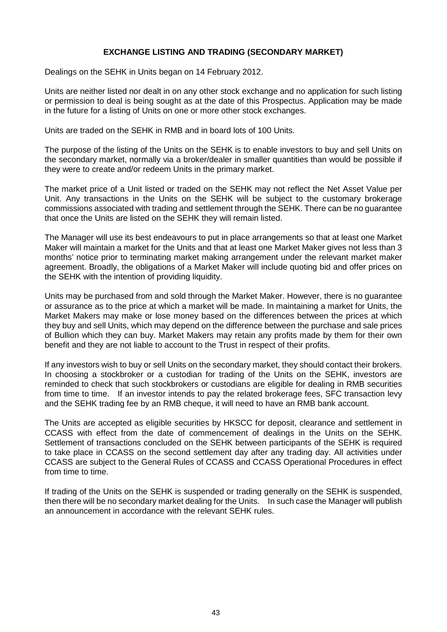# **EXCHANGE LISTING AND TRADING (SECONDARY MARKET)**

Dealings on the SEHK in Units began on 14 February 2012.

Units are neither listed nor dealt in on any other stock exchange and no application for such listing or permission to deal is being sought as at the date of this Prospectus. Application may be made in the future for a listing of Units on one or more other stock exchanges.

Units are traded on the SEHK in RMB and in board lots of 100 Units.

The purpose of the listing of the Units on the SEHK is to enable investors to buy and sell Units on the secondary market, normally via a broker/dealer in smaller quantities than would be possible if they were to create and/or redeem Units in the primary market.

The market price of a Unit listed or traded on the SEHK may not reflect the Net Asset Value per Unit. Any transactions in the Units on the SEHK will be subject to the customary brokerage commissions associated with trading and settlement through the SEHK. There can be no guarantee that once the Units are listed on the SEHK they will remain listed.

The Manager will use its best endeavours to put in place arrangements so that at least one Market Maker will maintain a market for the Units and that at least one Market Maker gives not less than 3 months' notice prior to terminating market making arrangement under the relevant market maker agreement. Broadly, the obligations of a Market Maker will include quoting bid and offer prices on the SEHK with the intention of providing liquidity.

Units may be purchased from and sold through the Market Maker. However, there is no guarantee or assurance as to the price at which a market will be made. In maintaining a market for Units, the Market Makers may make or lose money based on the differences between the prices at which they buy and sell Units, which may depend on the difference between the purchase and sale prices of Bullion which they can buy. Market Makers may retain any profits made by them for their own benefit and they are not liable to account to the Trust in respect of their profits.

If any investors wish to buy or sell Units on the secondary market, they should contact their brokers. In choosing a stockbroker or a custodian for trading of the Units on the SEHK, investors are reminded to check that such stockbrokers or custodians are eligible for dealing in RMB securities from time to time. If an investor intends to pay the related brokerage fees, SFC transaction levy and the SEHK trading fee by an RMB cheque, it will need to have an RMB bank account.

The Units are accepted as eligible securities by HKSCC for deposit, clearance and settlement in CCASS with effect from the date of commencement of dealings in the Units on the SEHK. Settlement of transactions concluded on the SEHK between participants of the SEHK is required to take place in CCASS on the second settlement day after any trading day. All activities under CCASS are subject to the General Rules of CCASS and CCASS Operational Procedures in effect from time to time.

If trading of the Units on the SEHK is suspended or trading generally on the SEHK is suspended, then there will be no secondary market dealing for the Units. In such case the Manager will publish an announcement in accordance with the relevant SEHK rules.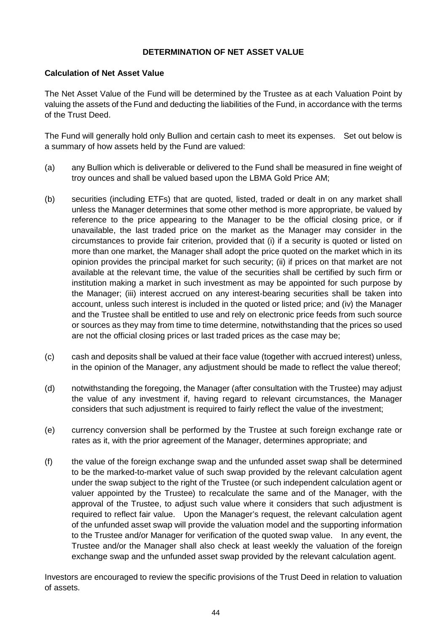# **DETERMINATION OF NET ASSET VALUE**

## **Calculation of Net Asset Value**

The Net Asset Value of the Fund will be determined by the Trustee as at each Valuation Point by valuing the assets of the Fund and deducting the liabilities of the Fund, in accordance with the terms of the Trust Deed.

The Fund will generally hold only Bullion and certain cash to meet its expenses. Set out below is a summary of how assets held by the Fund are valued:

- (a) any Bullion which is deliverable or delivered to the Fund shall be measured in fine weight of troy ounces and shall be valued based upon the LBMA Gold Price AM;
- (b) securities (including ETFs) that are quoted, listed, traded or dealt in on any market shall unless the Manager determines that some other method is more appropriate, be valued by reference to the price appearing to the Manager to be the official closing price, or if unavailable, the last traded price on the market as the Manager may consider in the circumstances to provide fair criterion, provided that (i) if a security is quoted or listed on more than one market, the Manager shall adopt the price quoted on the market which in its opinion provides the principal market for such security; (ii) if prices on that market are not available at the relevant time, the value of the securities shall be certified by such firm or institution making a market in such investment as may be appointed for such purpose by the Manager; (iii) interest accrued on any interest-bearing securities shall be taken into account, unless such interest is included in the quoted or listed price; and (iv) the Manager and the Trustee shall be entitled to use and rely on electronic price feeds from such source or sources as they may from time to time determine, notwithstanding that the prices so used are not the official closing prices or last traded prices as the case may be;
- (c) cash and deposits shall be valued at their face value (together with accrued interest) unless, in the opinion of the Manager, any adjustment should be made to reflect the value thereof;
- (d) notwithstanding the foregoing, the Manager (after consultation with the Trustee) may adjust the value of any investment if, having regard to relevant circumstances, the Manager considers that such adjustment is required to fairly reflect the value of the investment;
- (e) currency conversion shall be performed by the Trustee at such foreign exchange rate or rates as it, with the prior agreement of the Manager, determines appropriate; and
- (f) the value of the foreign exchange swap and the unfunded asset swap shall be determined to be the marked-to-market value of such swap provided by the relevant calculation agent under the swap subject to the right of the Trustee (or such independent calculation agent or valuer appointed by the Trustee) to recalculate the same and of the Manager, with the approval of the Trustee, to adjust such value where it considers that such adjustment is required to reflect fair value. Upon the Manager's request, the relevant calculation agent of the unfunded asset swap will provide the valuation model and the supporting information to the Trustee and/or Manager for verification of the quoted swap value. In any event, the Trustee and/or the Manager shall also check at least weekly the valuation of the foreign exchange swap and the unfunded asset swap provided by the relevant calculation agent.

Investors are encouraged to review the specific provisions of the Trust Deed in relation to valuation of assets.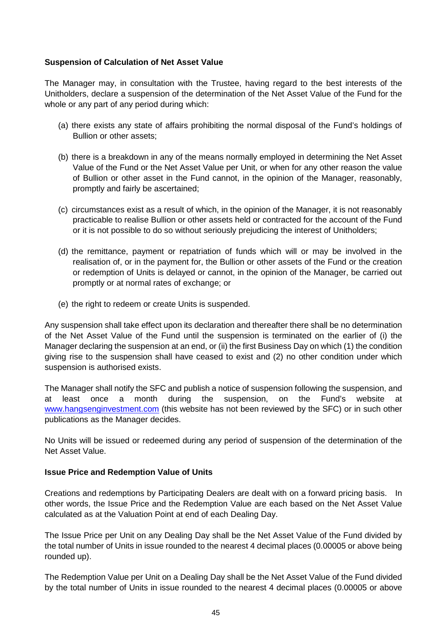## **Suspension of Calculation of Net Asset Value**

The Manager may, in consultation with the Trustee, having regard to the best interests of the Unitholders, declare a suspension of the determination of the Net Asset Value of the Fund for the whole or any part of any period during which:

- (a) there exists any state of affairs prohibiting the normal disposal of the Fund's holdings of Bullion or other assets;
- (b) there is a breakdown in any of the means normally employed in determining the Net Asset Value of the Fund or the Net Asset Value per Unit, or when for any other reason the value of Bullion or other asset in the Fund cannot, in the opinion of the Manager, reasonably, promptly and fairly be ascertained;
- (c) circumstances exist as a result of which, in the opinion of the Manager, it is not reasonably practicable to realise Bullion or other assets held or contracted for the account of the Fund or it is not possible to do so without seriously prejudicing the interest of Unitholders;
- (d) the remittance, payment or repatriation of funds which will or may be involved in the realisation of, or in the payment for, the Bullion or other assets of the Fund or the creation or redemption of Units is delayed or cannot, in the opinion of the Manager, be carried out promptly or at normal rates of exchange; or
- (e) the right to redeem or create Units is suspended.

Any suspension shall take effect upon its declaration and thereafter there shall be no determination of the Net Asset Value of the Fund until the suspension is terminated on the earlier of (i) the Manager declaring the suspension at an end, or (ii) the first Business Day on which (1) the condition giving rise to the suspension shall have ceased to exist and (2) no other condition under which suspension is authorised exists.

The Manager shall notify the SFC and publish a notice of suspension following the suspension, and at least once a month during the suspension, on the Fund's website at www.hangsenginvestment.com (this website has not been reviewed by the SFC) or in such other publications as the Manager decides.

No Units will be issued or redeemed during any period of suspension of the determination of the Net Asset Value.

## **Issue Price and Redemption Value of Units**

Creations and redemptions by Participating Dealers are dealt with on a forward pricing basis. In other words, the Issue Price and the Redemption Value are each based on the Net Asset Value calculated as at the Valuation Point at end of each Dealing Day.

The Issue Price per Unit on any Dealing Day shall be the Net Asset Value of the Fund divided by the total number of Units in issue rounded to the nearest 4 decimal places (0.00005 or above being rounded up).

The Redemption Value per Unit on a Dealing Day shall be the Net Asset Value of the Fund divided by the total number of Units in issue rounded to the nearest 4 decimal places (0.00005 or above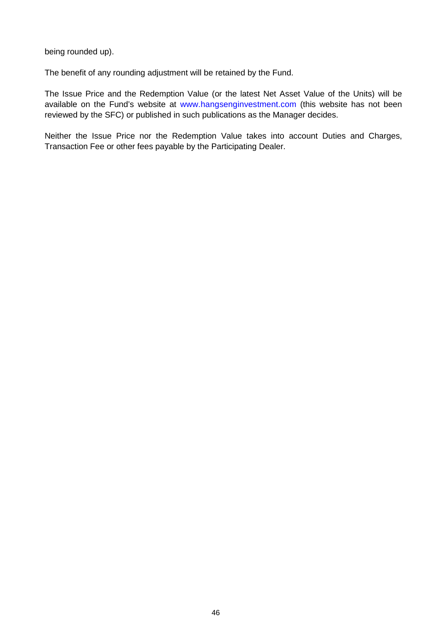being rounded up).

The benefit of any rounding adjustment will be retained by the Fund.

The Issue Price and the Redemption Value (or the latest Net Asset Value of the Units) will be available on the Fund's website at www.hangsenginvestment.com (this website has not been reviewed by the SFC) or published in such publications as the Manager decides.

Neither the Issue Price nor the Redemption Value takes into account Duties and Charges, Transaction Fee or other fees payable by the Participating Dealer.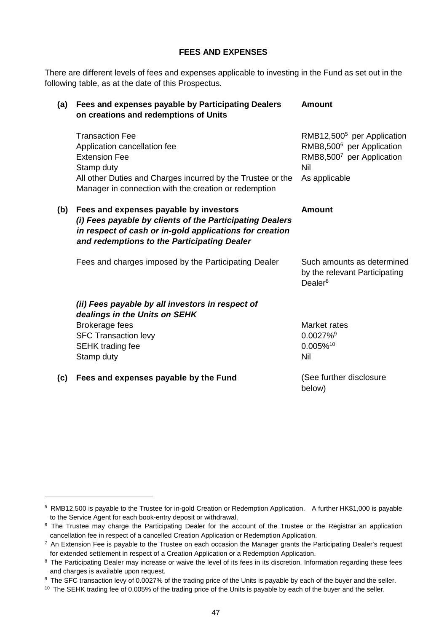#### **FEES AND EXPENSES**

There are different levels of fees and expenses applicable to investing in the Fund as set out in the following table, as at the date of this Prospectus.

| (a) | Fees and expenses payable by Participating Dealers<br>on creations and redemptions of Units                                                                                                                          | <b>Amount</b>                                                                                                                        |
|-----|----------------------------------------------------------------------------------------------------------------------------------------------------------------------------------------------------------------------|--------------------------------------------------------------------------------------------------------------------------------------|
|     | <b>Transaction Fee</b><br>Application cancellation fee<br><b>Extension Fee</b><br>Stamp duty<br>All other Duties and Charges incurred by the Trustee or the<br>Manager in connection with the creation or redemption | RMB12,500 <sup>5</sup> per Application<br>RMB8,500 <sup>6</sup> per Application<br>RMB8,5007 per Application<br>Nil<br>As applicable |
| (b) | Fees and expenses payable by investors<br>(i) Fees payable by clients of the Participating Dealers<br>in respect of cash or in-gold applications for creation<br>and redemptions to the Participating Dealer         | <b>Amount</b>                                                                                                                        |
|     | Fees and charges imposed by the Participating Dealer                                                                                                                                                                 | Such amounts as determined<br>by the relevant Participating<br>Dealer <sup>8</sup>                                                   |
|     | (ii) Fees payable by all investors in respect of<br>dealings in the Units on SEHK                                                                                                                                    |                                                                                                                                      |
|     | <b>Brokerage fees</b>                                                                                                                                                                                                | Market rates                                                                                                                         |
|     | <b>SFC Transaction levy</b>                                                                                                                                                                                          | $0.0027\%$ <sup>9</sup>                                                                                                              |
|     | <b>SEHK trading fee</b>                                                                                                                                                                                              | 0.005%10                                                                                                                             |
|     | Stamp duty                                                                                                                                                                                                           | <b>Nil</b>                                                                                                                           |
| (c) | Fees and expenses payable by the Fund                                                                                                                                                                                | (See further disclosure<br>below)                                                                                                    |

<sup>&</sup>lt;sup>5</sup> RMB12,500 is payable to the Trustee for in-gold Creation or Redemption Application. A further HK\$1,000 is payable to the Service Agent for each book-entry deposit or withdrawal.

<sup>&</sup>lt;sup>6</sup> The Trustee may charge the Participating Dealer for the account of the Trustee or the Registrar an application cancellation fee in respect of a cancelled Creation Application or Redemption Application.

<sup>&</sup>lt;sup>7</sup> An Extension Fee is payable to the Trustee on each occasion the Manager grants the Participating Dealer's request for extended settlement in respect of a Creation Application or a Redemption Application.

<sup>&</sup>lt;sup>8</sup> The Participating Dealer may increase or waive the level of its fees in its discretion. Information regarding these fees and charges is available upon request.

<sup>&</sup>lt;sup>9</sup> The SFC transaction levy of 0.0027% of the trading price of the Units is payable by each of the buyer and the seller.

<sup>&</sup>lt;sup>10</sup> The SEHK trading fee of 0.005% of the trading price of the Units is payable by each of the buyer and the seller.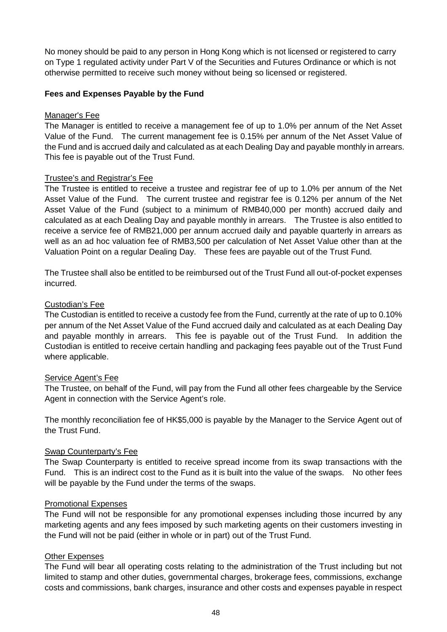No money should be paid to any person in Hong Kong which is not licensed or registered to carry on Type 1 regulated activity under Part V of the Securities and Futures Ordinance or which is not otherwise permitted to receive such money without being so licensed or registered.

### **Fees and Expenses Payable by the Fund**

### Manager's Fee

The Manager is entitled to receive a management fee of up to 1.0% per annum of the Net Asset Value of the Fund. The current management fee is 0.15% per annum of the Net Asset Value of the Fund and is accrued daily and calculated as at each Dealing Day and payable monthly in arrears. This fee is payable out of the Trust Fund.

### Trustee's and Registrar's Fee

The Trustee is entitled to receive a trustee and registrar fee of up to 1.0% per annum of the Net Asset Value of the Fund. The current trustee and registrar fee is 0.12% per annum of the Net Asset Value of the Fund (subject to a minimum of RMB40,000 per month) accrued daily and calculated as at each Dealing Day and payable monthly in arrears. The Trustee is also entitled to receive a service fee of RMB21,000 per annum accrued daily and payable quarterly in arrears as well as an ad hoc valuation fee of RMB3,500 per calculation of Net Asset Value other than at the Valuation Point on a regular Dealing Day. These fees are payable out of the Trust Fund.

The Trustee shall also be entitled to be reimbursed out of the Trust Fund all out-of-pocket expenses incurred.

### Custodian's Fee

The Custodian is entitled to receive a custody fee from the Fund, currently at the rate of up to 0.10% per annum of the Net Asset Value of the Fund accrued daily and calculated as at each Dealing Day and payable monthly in arrears. This fee is payable out of the Trust Fund. In addition the Custodian is entitled to receive certain handling and packaging fees payable out of the Trust Fund where applicable.

### Service Agent's Fee

The Trustee, on behalf of the Fund, will pay from the Fund all other fees chargeable by the Service Agent in connection with the Service Agent's role.

The monthly reconciliation fee of HK\$5,000 is payable by the Manager to the Service Agent out of the Trust Fund.

### Swap Counterparty's Fee

The Swap Counterparty is entitled to receive spread income from its swap transactions with the Fund. This is an indirect cost to the Fund as it is built into the value of the swaps. No other fees will be payable by the Fund under the terms of the swaps.

### Promotional Expenses

The Fund will not be responsible for any promotional expenses including those incurred by any marketing agents and any fees imposed by such marketing agents on their customers investing in the Fund will not be paid (either in whole or in part) out of the Trust Fund.

### Other Expenses

The Fund will bear all operating costs relating to the administration of the Trust including but not limited to stamp and other duties, governmental charges, brokerage fees, commissions, exchange costs and commissions, bank charges, insurance and other costs and expenses payable in respect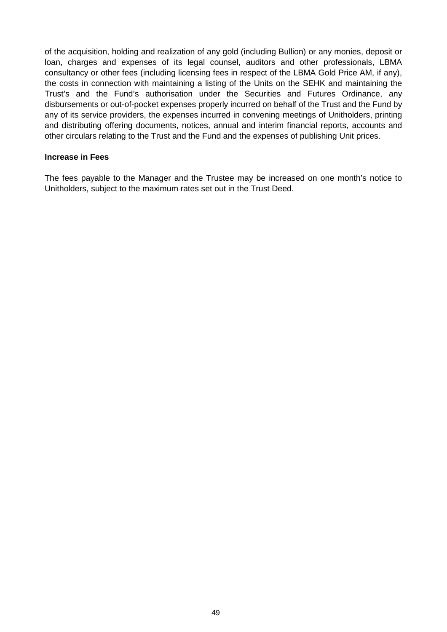of the acquisition, holding and realization of any gold (including Bullion) or any monies, deposit or loan, charges and expenses of its legal counsel, auditors and other professionals, LBMA consultancy or other fees (including licensing fees in respect of the LBMA Gold Price AM, if any), the costs in connection with maintaining a listing of the Units on the SEHK and maintaining the Trust's and the Fund's authorisation under the Securities and Futures Ordinance, any disbursements or out-of-pocket expenses properly incurred on behalf of the Trust and the Fund by any of its service providers, the expenses incurred in convening meetings of Unitholders, printing and distributing offering documents, notices, annual and interim financial reports, accounts and other circulars relating to the Trust and the Fund and the expenses of publishing Unit prices.

#### **Increase in Fees**

The fees payable to the Manager and the Trustee may be increased on one month's notice to Unitholders, subject to the maximum rates set out in the Trust Deed.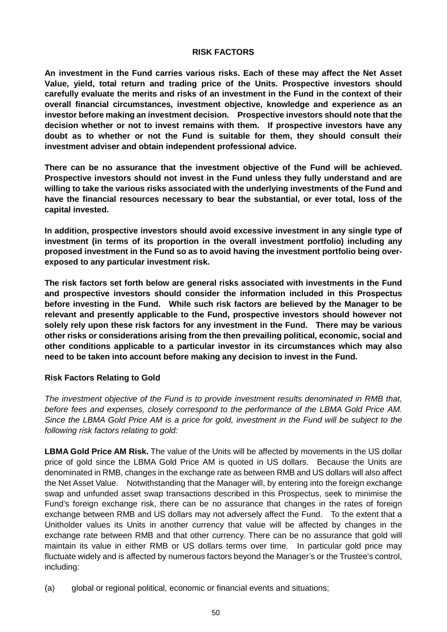#### **RISK FACTORS**

**An investment in the Fund carries various risks. Each of these may affect the Net Asset Value, yield, total return and trading price of the Units. Prospective investors should carefully evaluate the merits and risks of an investment in the Fund in the context of their overall financial circumstances, investment objective, knowledge and experience as an investor before making an investment decision. Prospective investors should note that the decision whether or not to invest remains with them. If prospective investors have any doubt as to whether or not the Fund is suitable for them, they should consult their investment adviser and obtain independent professional advice.** 

**There can be no assurance that the investment objective of the Fund will be achieved. Prospective investors should not invest in the Fund unless they fully understand and are willing to take the various risks associated with the underlying investments of the Fund and have the financial resources necessary to bear the substantial, or ever total, loss of the capital invested.** 

**In addition, prospective investors should avoid excessive investment in any single type of investment (in terms of its proportion in the overall investment portfolio) including any proposed investment in the Fund so as to avoid having the investment portfolio being overexposed to any particular investment risk.** 

**The risk factors set forth below are general risks associated with investments in the Fund and prospective investors should consider the information included in this Prospectus before investing in the Fund. While such risk factors are believed by the Manager to be relevant and presently applicable to the Fund, prospective investors should however not solely rely upon these risk factors for any investment in the Fund. There may be various other risks or considerations arising from the then prevailing political, economic, social and other conditions applicable to a particular investor in its circumstances which may also need to be taken into account before making any decision to invest in the Fund.** 

# **Risk Factors Relating to Gold**

*The investment objective of the Fund is to provide investment results denominated in RMB that, before fees and expenses, closely correspond to the performance of the LBMA Gold Price AM. Since the LBMA Gold Price AM is a price for gold, investment in the Fund will be subject to the following risk factors relating to gold:* 

**LBMA Gold Price AM Risk.** The value of the Units will be affected by movements in the US dollar price of gold since the LBMA Gold Price AM is quoted in US dollars. Because the Units are denominated in RMB, changes in the exchange rate as between RMB and US dollars will also affect the Net Asset Value. Notwithstanding that the Manager will, by entering into the foreign exchange swap and unfunded asset swap transactions described in this Prospectus, seek to minimise the Fund's foreign exchange risk, there can be no assurance that changes in the rates of foreign exchange between RMB and US dollars may not adversely affect the Fund. To the extent that a Unitholder values its Units in another currency that value will be affected by changes in the exchange rate between RMB and that other currency. There can be no assurance that gold will maintain its value in either RMB or US dollars terms over time. In particular gold price may fluctuate widely and is affected by numerous factors beyond the Manager's or the Trustee's control, including:

(a) global or regional political, economic or financial events and situations;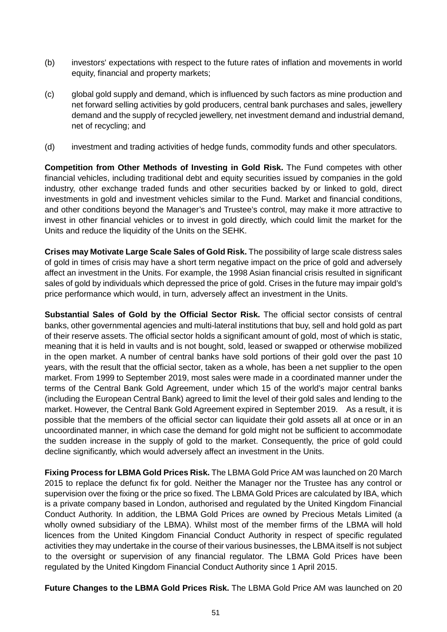- (b) investors' expectations with respect to the future rates of inflation and movements in world equity, financial and property markets;
- (c) global gold supply and demand, which is influenced by such factors as mine production and net forward selling activities by gold producers, central bank purchases and sales, jewellery demand and the supply of recycled jewellery, net investment demand and industrial demand, net of recycling; and
- (d) investment and trading activities of hedge funds, commodity funds and other speculators.

**Competition from Other Methods of Investing in Gold Risk.** The Fund competes with other financial vehicles, including traditional debt and equity securities issued by companies in the gold industry, other exchange traded funds and other securities backed by or linked to gold, direct investments in gold and investment vehicles similar to the Fund. Market and financial conditions, and other conditions beyond the Manager's and Trustee's control, may make it more attractive to invest in other financial vehicles or to invest in gold directly, which could limit the market for the Units and reduce the liquidity of the Units on the SEHK.

**Crises may Motivate Large Scale Sales of Gold Risk.** The possibility of large scale distress sales of gold in times of crisis may have a short term negative impact on the price of gold and adversely affect an investment in the Units. For example, the 1998 Asian financial crisis resulted in significant sales of gold by individuals which depressed the price of gold. Crises in the future may impair gold's price performance which would, in turn, adversely affect an investment in the Units.

**Substantial Sales of Gold by the Official Sector Risk.** The official sector consists of central banks, other governmental agencies and multi-lateral institutions that buy, sell and hold gold as part of their reserve assets. The official sector holds a significant amount of gold, most of which is static, meaning that it is held in vaults and is not bought, sold, leased or swapped or otherwise mobilized in the open market. A number of central banks have sold portions of their gold over the past 10 years, with the result that the official sector, taken as a whole, has been a net supplier to the open market. From 1999 to September 2019, most sales were made in a coordinated manner under the terms of the Central Bank Gold Agreement, under which 15 of the world's major central banks (including the European Central Bank) agreed to limit the level of their gold sales and lending to the market. However, the Central Bank Gold Agreement expired in September 2019. As a result, it is possible that the members of the official sector can liquidate their gold assets all at once or in an uncoordinated manner, in which case the demand for gold might not be sufficient to accommodate the sudden increase in the supply of gold to the market. Consequently, the price of gold could decline significantly, which would adversely affect an investment in the Units.

**Fixing Process for LBMA Gold Prices Risk.** The LBMA Gold Price AM was launched on 20 March 2015 to replace the defunct fix for gold. Neither the Manager nor the Trustee has any control or supervision over the fixing or the price so fixed. The LBMA Gold Prices are calculated by IBA, which is a private company based in London, authorised and regulated by the United Kingdom Financial Conduct Authority. In addition, the LBMA Gold Prices are owned by Precious Metals Limited (a wholly owned subsidiary of the LBMA). Whilst most of the member firms of the LBMA will hold licences from the United Kingdom Financial Conduct Authority in respect of specific regulated activities they may undertake in the course of their various businesses, the LBMA itself is not subject to the oversight or supervision of any financial regulator. The LBMA Gold Prices have been regulated by the United Kingdom Financial Conduct Authority since 1 April 2015.

**Future Changes to the LBMA Gold Prices Risk.** The LBMA Gold Price AM was launched on 20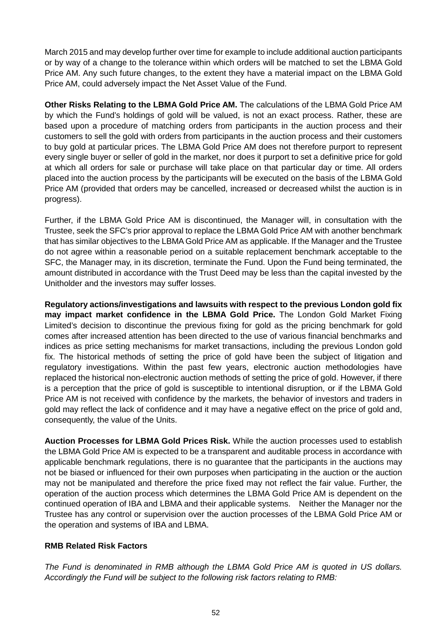March 2015 and may develop further over time for example to include additional auction participants or by way of a change to the tolerance within which orders will be matched to set the LBMA Gold Price AM. Any such future changes, to the extent they have a material impact on the LBMA Gold Price AM, could adversely impact the Net Asset Value of the Fund.

**Other Risks Relating to the LBMA Gold Price AM.** The calculations of the LBMA Gold Price AM by which the Fund's holdings of gold will be valued, is not an exact process. Rather, these are based upon a procedure of matching orders from participants in the auction process and their customers to sell the gold with orders from participants in the auction process and their customers to buy gold at particular prices. The LBMA Gold Price AM does not therefore purport to represent every single buyer or seller of gold in the market, nor does it purport to set a definitive price for gold at which all orders for sale or purchase will take place on that particular day or time. All orders placed into the auction process by the participants will be executed on the basis of the LBMA Gold Price AM (provided that orders may be cancelled, increased or decreased whilst the auction is in progress).

Further, if the LBMA Gold Price AM is discontinued, the Manager will, in consultation with the Trustee, seek the SFC's prior approval to replace the LBMA Gold Price AM with another benchmark that has similar objectives to the LBMA Gold Price AM as applicable. If the Manager and the Trustee do not agree within a reasonable period on a suitable replacement benchmark acceptable to the SFC, the Manager may, in its discretion, terminate the Fund. Upon the Fund being terminated, the amount distributed in accordance with the Trust Deed may be less than the capital invested by the Unitholder and the investors may suffer losses.

**Regulatory actions/investigations and lawsuits with respect to the previous London gold fix may impact market confidence in the LBMA Gold Price.** The London Gold Market Fixing Limited's decision to discontinue the previous fixing for gold as the pricing benchmark for gold comes after increased attention has been directed to the use of various financial benchmarks and indices as price setting mechanisms for market transactions, including the previous London gold fix. The historical methods of setting the price of gold have been the subject of litigation and regulatory investigations. Within the past few years, electronic auction methodologies have replaced the historical non-electronic auction methods of setting the price of gold. However, if there is a perception that the price of gold is susceptible to intentional disruption, or if the LBMA Gold Price AM is not received with confidence by the markets, the behavior of investors and traders in gold may reflect the lack of confidence and it may have a negative effect on the price of gold and, consequently, the value of the Units.

**Auction Processes for LBMA Gold Prices Risk.** While the auction processes used to establish the LBMA Gold Price AM is expected to be a transparent and auditable process in accordance with applicable benchmark regulations, there is no guarantee that the participants in the auctions may not be biased or influenced for their own purposes when participating in the auction or the auction may not be manipulated and therefore the price fixed may not reflect the fair value. Further, the operation of the auction process which determines the LBMA Gold Price AM is dependent on the continued operation of IBA and LBMA and their applicable systems. Neither the Manager nor the Trustee has any control or supervision over the auction processes of the LBMA Gold Price AM or the operation and systems of IBA and LBMA.

### **RMB Related Risk Factors**

*The Fund is denominated in RMB although the LBMA Gold Price AM is quoted in US dollars. Accordingly the Fund will be subject to the following risk factors relating to RMB:*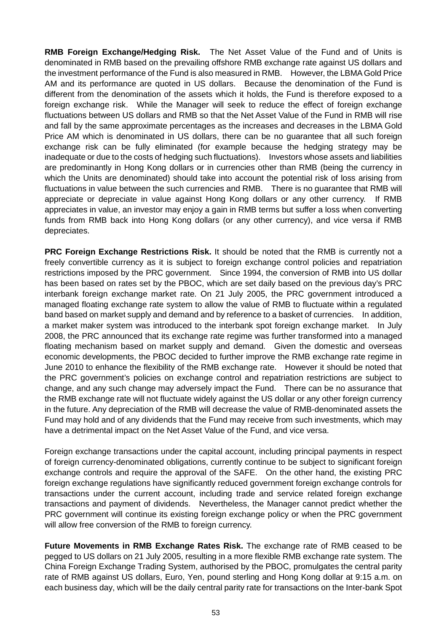**RMB Foreign Exchange/Hedging Risk.** The Net Asset Value of the Fund and of Units is denominated in RMB based on the prevailing offshore RMB exchange rate against US dollars and the investment performance of the Fund is also measured in RMB. However, the LBMA Gold Price AM and its performance are quoted in US dollars. Because the denomination of the Fund is different from the denomination of the assets which it holds, the Fund is therefore exposed to a foreign exchange risk. While the Manager will seek to reduce the effect of foreign exchange fluctuations between US dollars and RMB so that the Net Asset Value of the Fund in RMB will rise and fall by the same approximate percentages as the increases and decreases in the LBMA Gold Price AM which is denominated in US dollars, there can be no guarantee that all such foreign exchange risk can be fully eliminated (for example because the hedging strategy may be inadequate or due to the costs of hedging such fluctuations). Investors whose assets and liabilities are predominantly in Hong Kong dollars or in currencies other than RMB (being the currency in which the Units are denominated) should take into account the potential risk of loss arising from fluctuations in value between the such currencies and RMB. There is no guarantee that RMB will appreciate or depreciate in value against Hong Kong dollars or any other currency. If RMB appreciates in value, an investor may enjoy a gain in RMB terms but suffer a loss when converting funds from RMB back into Hong Kong dollars (or any other currency), and vice versa if RMB depreciates.

**PRC Foreign Exchange Restrictions Risk.** It should be noted that the RMB is currently not a freely convertible currency as it is subject to foreign exchange control policies and repatriation restrictions imposed by the PRC government. Since 1994, the conversion of RMB into US dollar has been based on rates set by the PBOC, which are set daily based on the previous day's PRC interbank foreign exchange market rate. On 21 July 2005, the PRC government introduced a managed floating exchange rate system to allow the value of RMB to fluctuate within a regulated band based on market supply and demand and by reference to a basket of currencies. In addition, a market maker system was introduced to the interbank spot foreign exchange market. In July 2008, the PRC announced that its exchange rate regime was further transformed into a managed floating mechanism based on market supply and demand. Given the domestic and overseas economic developments, the PBOC decided to further improve the RMB exchange rate regime in June 2010 to enhance the flexibility of the RMB exchange rate. However it should be noted that the PRC government's policies on exchange control and repatriation restrictions are subject to change, and any such change may adversely impact the Fund. There can be no assurance that the RMB exchange rate will not fluctuate widely against the US dollar or any other foreign currency in the future. Any depreciation of the RMB will decrease the value of RMB-denominated assets the Fund may hold and of any dividends that the Fund may receive from such investments, which may have a detrimental impact on the Net Asset Value of the Fund, and vice versa.

Foreign exchange transactions under the capital account, including principal payments in respect of foreign currency-denominated obligations, currently continue to be subject to significant foreign exchange controls and require the approval of the SAFE. On the other hand, the existing PRC foreign exchange regulations have significantly reduced government foreign exchange controls for transactions under the current account, including trade and service related foreign exchange transactions and payment of dividends. Nevertheless, the Manager cannot predict whether the PRC government will continue its existing foreign exchange policy or when the PRC government will allow free conversion of the RMB to foreign currency.

**Future Movements in RMB Exchange Rates Risk.** The exchange rate of RMB ceased to be pegged to US dollars on 21 July 2005, resulting in a more flexible RMB exchange rate system. The China Foreign Exchange Trading System, authorised by the PBOC, promulgates the central parity rate of RMB against US dollars, Euro, Yen, pound sterling and Hong Kong dollar at 9:15 a.m. on each business day, which will be the daily central parity rate for transactions on the Inter-bank Spot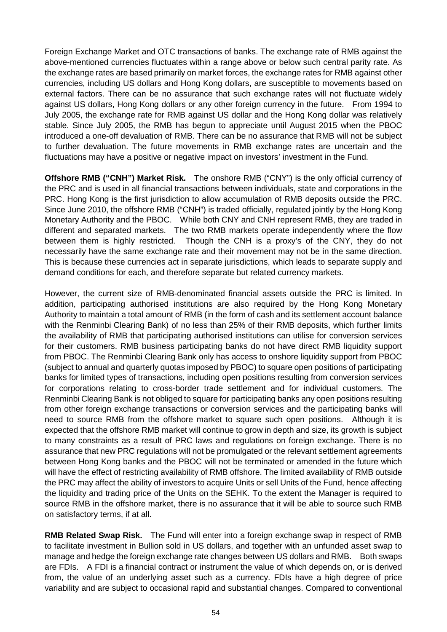Foreign Exchange Market and OTC transactions of banks. The exchange rate of RMB against the above-mentioned currencies fluctuates within a range above or below such central parity rate. As the exchange rates are based primarily on market forces, the exchange rates for RMB against other currencies, including US dollars and Hong Kong dollars, are susceptible to movements based on external factors. There can be no assurance that such exchange rates will not fluctuate widely against US dollars, Hong Kong dollars or any other foreign currency in the future. From 1994 to July 2005, the exchange rate for RMB against US dollar and the Hong Kong dollar was relatively stable. Since July 2005, the RMB has begun to appreciate until August 2015 when the PBOC introduced a one-off devaluation of RMB. There can be no assurance that RMB will not be subject to further devaluation. The future movements in RMB exchange rates are uncertain and the fluctuations may have a positive or negative impact on investors' investment in the Fund.

**Offshore RMB ("CNH") Market Risk.** The onshore RMB ("CNY") is the only official currency of the PRC and is used in all financial transactions between individuals, state and corporations in the PRC. Hong Kong is the first jurisdiction to allow accumulation of RMB deposits outside the PRC. Since June 2010, the offshore RMB ("CNH") is traded officially, regulated jointly by the Hong Kong Monetary Authority and the PBOC. While both CNY and CNH represent RMB, they are traded in different and separated markets. The two RMB markets operate independently where the flow between them is highly restricted. Though the CNH is a proxy's of the CNY, they do not necessarily have the same exchange rate and their movement may not be in the same direction. This is because these currencies act in separate jurisdictions, which leads to separate supply and demand conditions for each, and therefore separate but related currency markets.

However, the current size of RMB-denominated financial assets outside the PRC is limited. In addition, participating authorised institutions are also required by the Hong Kong Monetary Authority to maintain a total amount of RMB (in the form of cash and its settlement account balance with the Renminbi Clearing Bank) of no less than 25% of their RMB deposits, which further limits the availability of RMB that participating authorised institutions can utilise for conversion services for their customers. RMB business participating banks do not have direct RMB liquidity support from PBOC. The Renminbi Clearing Bank only has access to onshore liquidity support from PBOC (subject to annual and quarterly quotas imposed by PBOC) to square open positions of participating banks for limited types of transactions, including open positions resulting from conversion services for corporations relating to cross-border trade settlement and for individual customers. The Renminbi Clearing Bank is not obliged to square for participating banks any open positions resulting from other foreign exchange transactions or conversion services and the participating banks will need to source RMB from the offshore market to square such open positions. Although it is expected that the offshore RMB market will continue to grow in depth and size, its growth is subject to many constraints as a result of PRC laws and regulations on foreign exchange. There is no assurance that new PRC regulations will not be promulgated or the relevant settlement agreements between Hong Kong banks and the PBOC will not be terminated or amended in the future which will have the effect of restricting availability of RMB offshore. The limited availability of RMB outside the PRC may affect the ability of investors to acquire Units or sell Units of the Fund, hence affecting the liquidity and trading price of the Units on the SEHK. To the extent the Manager is required to source RMB in the offshore market, there is no assurance that it will be able to source such RMB on satisfactory terms, if at all.

**RMB Related Swap Risk.** The Fund will enter into a foreign exchange swap in respect of RMB to facilitate investment in Bullion sold in US dollars, and together with an unfunded asset swap to manage and hedge the foreign exchange rate changes between US dollars and RMB. Both swaps are FDIs. A FDI is a financial contract or instrument the value of which depends on, or is derived from, the value of an underlying asset such as a currency. FDIs have a high degree of price variability and are subject to occasional rapid and substantial changes. Compared to conventional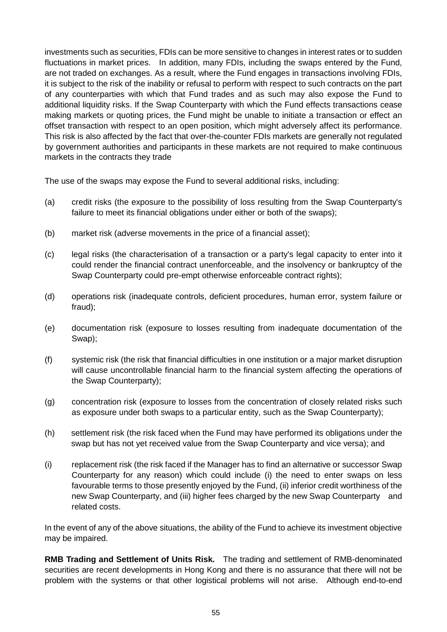investments such as securities, FDIs can be more sensitive to changes in interest rates or to sudden fluctuations in market prices. In addition, many FDIs, including the swaps entered by the Fund, are not traded on exchanges. As a result, where the Fund engages in transactions involving FDIs, it is subject to the risk of the inability or refusal to perform with respect to such contracts on the part of any counterparties with which that Fund trades and as such may also expose the Fund to additional liquidity risks. If the Swap Counterparty with which the Fund effects transactions cease making markets or quoting prices, the Fund might be unable to initiate a transaction or effect an offset transaction with respect to an open position, which might adversely affect its performance. This risk is also affected by the fact that over-the-counter FDIs markets are generally not regulated by government authorities and participants in these markets are not required to make continuous markets in the contracts they trade

The use of the swaps may expose the Fund to several additional risks, including:

- (a) credit risks (the exposure to the possibility of loss resulting from the Swap Counterparty's failure to meet its financial obligations under either or both of the swaps);
- (b) market risk (adverse movements in the price of a financial asset);
- (c) legal risks (the characterisation of a transaction or a party's legal capacity to enter into it could render the financial contract unenforceable, and the insolvency or bankruptcy of the Swap Counterparty could pre-empt otherwise enforceable contract rights);
- (d) operations risk (inadequate controls, deficient procedures, human error, system failure or fraud);
- (e) documentation risk (exposure to losses resulting from inadequate documentation of the Swap);
- (f) systemic risk (the risk that financial difficulties in one institution or a major market disruption will cause uncontrollable financial harm to the financial system affecting the operations of the Swap Counterparty);
- (g) concentration risk (exposure to losses from the concentration of closely related risks such as exposure under both swaps to a particular entity, such as the Swap Counterparty);
- (h) settlement risk (the risk faced when the Fund may have performed its obligations under the swap but has not yet received value from the Swap Counterparty and vice versa); and
- (i) replacement risk (the risk faced if the Manager has to find an alternative or successor Swap Counterparty for any reason) which could include (i) the need to enter swaps on less favourable terms to those presently enjoyed by the Fund, (ii) inferior credit worthiness of the new Swap Counterparty, and (iii) higher fees charged by the new Swap Counterparty and related costs.

In the event of any of the above situations, the ability of the Fund to achieve its investment objective may be impaired.

**RMB Trading and Settlement of Units Risk.** The trading and settlement of RMB-denominated securities are recent developments in Hong Kong and there is no assurance that there will not be problem with the systems or that other logistical problems will not arise. Although end-to-end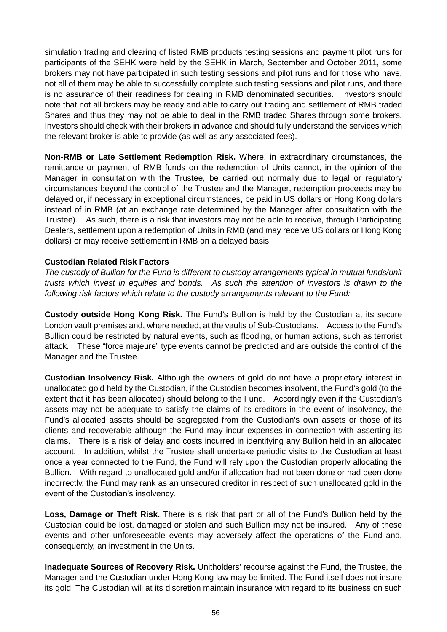simulation trading and clearing of listed RMB products testing sessions and payment pilot runs for participants of the SEHK were held by the SEHK in March, September and October 2011, some brokers may not have participated in such testing sessions and pilot runs and for those who have, not all of them may be able to successfully complete such testing sessions and pilot runs, and there is no assurance of their readiness for dealing in RMB denominated securities. Investors should note that not all brokers may be ready and able to carry out trading and settlement of RMB traded Shares and thus they may not be able to deal in the RMB traded Shares through some brokers. Investors should check with their brokers in advance and should fully understand the services which the relevant broker is able to provide (as well as any associated fees).

**Non-RMB or Late Settlement Redemption Risk.** Where, in extraordinary circumstances, the remittance or payment of RMB funds on the redemption of Units cannot, in the opinion of the Manager in consultation with the Trustee, be carried out normally due to legal or regulatory circumstances beyond the control of the Trustee and the Manager, redemption proceeds may be delayed or, if necessary in exceptional circumstances, be paid in US dollars or Hong Kong dollars instead of in RMB (at an exchange rate determined by the Manager after consultation with the Trustee). As such, there is a risk that investors may not be able to receive, through Participating Dealers, settlement upon a redemption of Units in RMB (and may receive US dollars or Hong Kong dollars) or may receive settlement in RMB on a delayed basis.

### **Custodian Related Risk Factors**

*The custody of Bullion for the Fund is different to custody arrangements typical in mutual funds/unit trusts which invest in equities and bonds. As such the attention of investors is drawn to the following risk factors which relate to the custody arrangements relevant to the Fund:* 

**Custody outside Hong Kong Risk.** The Fund's Bullion is held by the Custodian at its secure London vault premises and, where needed, at the vaults of Sub-Custodians. Access to the Fund's Bullion could be restricted by natural events, such as flooding, or human actions, such as terrorist attack. These "force majeure" type events cannot be predicted and are outside the control of the Manager and the Trustee.

**Custodian Insolvency Risk.** Although the owners of gold do not have a proprietary interest in unallocated gold held by the Custodian, if the Custodian becomes insolvent, the Fund's gold (to the extent that it has been allocated) should belong to the Fund. Accordingly even if the Custodian's assets may not be adequate to satisfy the claims of its creditors in the event of insolvency, the Fund's allocated assets should be segregated from the Custodian's own assets or those of its clients and recoverable although the Fund may incur expenses in connection with asserting its claims. There is a risk of delay and costs incurred in identifying any Bullion held in an allocated account. In addition, whilst the Trustee shall undertake periodic visits to the Custodian at least once a year connected to the Fund, the Fund will rely upon the Custodian properly allocating the Bullion. With regard to unallocated gold and/or if allocation had not been done or had been done incorrectly, the Fund may rank as an unsecured creditor in respect of such unallocated gold in the event of the Custodian's insolvency.

**Loss, Damage or Theft Risk.** There is a risk that part or all of the Fund's Bullion held by the Custodian could be lost, damaged or stolen and such Bullion may not be insured. Any of these events and other unforeseeable events may adversely affect the operations of the Fund and, consequently, an investment in the Units.

**Inadequate Sources of Recovery Risk.** Unitholders' recourse against the Fund, the Trustee, the Manager and the Custodian under Hong Kong law may be limited. The Fund itself does not insure its gold. The Custodian will at its discretion maintain insurance with regard to its business on such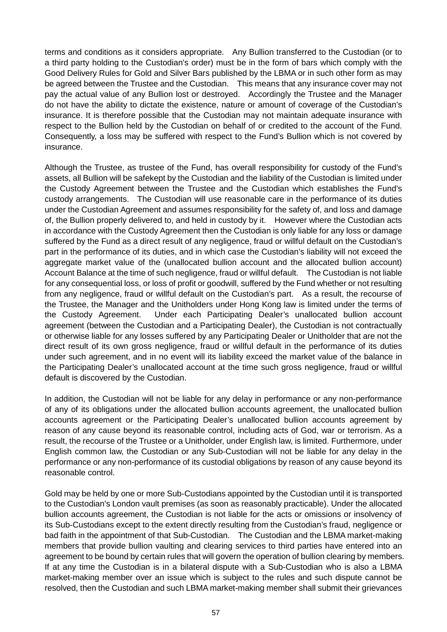terms and conditions as it considers appropriate. Any Bullion transferred to the Custodian (or to a third party holding to the Custodian's order) must be in the form of bars which comply with the Good Delivery Rules for Gold and Silver Bars published by the LBMA or in such other form as may be agreed between the Trustee and the Custodian. This means that any insurance cover may not pay the actual value of any Bullion lost or destroyed. Accordingly the Trustee and the Manager do not have the ability to dictate the existence, nature or amount of coverage of the Custodian's insurance. It is therefore possible that the Custodian may not maintain adequate insurance with respect to the Bullion held by the Custodian on behalf of or credited to the account of the Fund. Consequently, a loss may be suffered with respect to the Fund's Bullion which is not covered by insurance.

Although the Trustee, as trustee of the Fund, has overall responsibility for custody of the Fund's assets, all Bullion will be safekept by the Custodian and the liability of the Custodian is limited under the Custody Agreement between the Trustee and the Custodian which establishes the Fund's custody arrangements. The Custodian will use reasonable care in the performance of its duties under the Custodian Agreement and assumes responsibility for the safety of, and loss and damage of, the Bullion properly delivered to, and held in custody by it. However where the Custodian acts in accordance with the Custody Agreement then the Custodian is only liable for any loss or damage suffered by the Fund as a direct result of any negligence, fraud or willful default on the Custodian's part in the performance of its duties, and in which case the Custodian's liability will not exceed the aggregate market value of the (unallocated bullion account and the allocated bullion account) Account Balance at the time of such negligence, fraud or willful default. The Custodian is not liable for any consequential loss, or loss of profit or goodwill, suffered by the Fund whether or not resulting from any negligence, fraud or willful default on the Custodian's part. As a result, the recourse of the Trustee, the Manager and the Unitholders under Hong Kong law is limited under the terms of the Custody Agreement. Under each Participating Dealer's unallocated bullion account agreement (between the Custodian and a Participating Dealer), the Custodian is not contractually or otherwise liable for any losses suffered by any Participating Dealer or Unitholder that are not the direct result of its own gross negligence, fraud or willful default in the performance of its duties under such agreement, and in no event will its liability exceed the market value of the balance in the Participating Dealer's unallocated account at the time such gross negligence, fraud or willful default is discovered by the Custodian.

In addition, the Custodian will not be liable for any delay in performance or any non-performance of any of its obligations under the allocated bullion accounts agreement, the unallocated bullion accounts agreement or the Participating Dealer's unallocated bullion accounts agreement by reason of any cause beyond its reasonable control, including acts of God, war or terrorism. As a result, the recourse of the Trustee or a Unitholder, under English law, is limited. Furthermore, under English common law, the Custodian or any Sub-Custodian will not be liable for any delay in the performance or any non-performance of its custodial obligations by reason of any cause beyond its reasonable control.

Gold may be held by one or more Sub-Custodians appointed by the Custodian until it is transported to the Custodian's London vault premises (as soon as reasonably practicable). Under the allocated bullion accounts agreement, the Custodian is not liable for the acts or omissions or insolvency of its Sub-Custodians except to the extent directly resulting from the Custodian's fraud, negligence or bad faith in the appointment of that Sub-Custodian. The Custodian and the LBMA market-making members that provide bullion vaulting and clearing services to third parties have entered into an agreement to be bound by certain rules that will govern the operation of bullion clearing by members. If at any time the Custodian is in a bilateral dispute with a Sub-Custodian who is also a LBMA market-making member over an issue which is subject to the rules and such dispute cannot be resolved, then the Custodian and such LBMA market-making member shall submit their grievances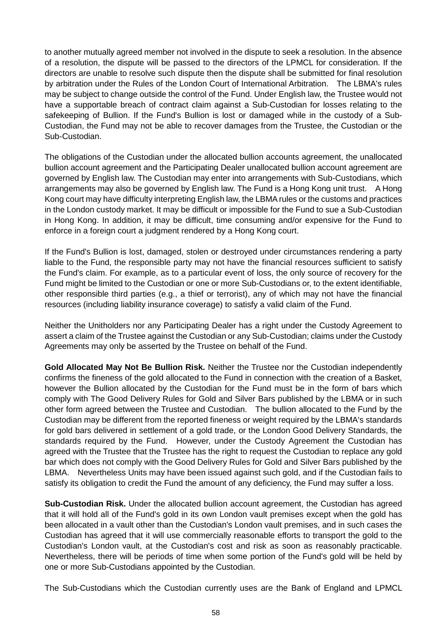to another mutually agreed member not involved in the dispute to seek a resolution. In the absence of a resolution, the dispute will be passed to the directors of the LPMCL for consideration. If the directors are unable to resolve such dispute then the dispute shall be submitted for final resolution by arbitration under the Rules of the London Court of International Arbitration. The LBMA's rules may be subject to change outside the control of the Fund. Under English law, the Trustee would not have a supportable breach of contract claim against a Sub-Custodian for losses relating to the safekeeping of Bullion. If the Fund's Bullion is lost or damaged while in the custody of a Sub-Custodian, the Fund may not be able to recover damages from the Trustee, the Custodian or the Sub-Custodian.

The obligations of the Custodian under the allocated bullion accounts agreement, the unallocated bullion account agreement and the Participating Dealer unallocated bullion account agreement are governed by English law. The Custodian may enter into arrangements with Sub-Custodians, which arrangements may also be governed by English law. The Fund is a Hong Kong unit trust. A Hong Kong court may have difficulty interpreting English law, the LBMA rules or the customs and practices in the London custody market. It may be difficult or impossible for the Fund to sue a Sub-Custodian in Hong Kong. In addition, it may be difficult, time consuming and/or expensive for the Fund to enforce in a foreign court a judgment rendered by a Hong Kong court.

If the Fund's Bullion is lost, damaged, stolen or destroyed under circumstances rendering a party liable to the Fund, the responsible party may not have the financial resources sufficient to satisfy the Fund's claim. For example, as to a particular event of loss, the only source of recovery for the Fund might be limited to the Custodian or one or more Sub-Custodians or, to the extent identifiable, other responsible third parties (e.g., a thief or terrorist), any of which may not have the financial resources (including liability insurance coverage) to satisfy a valid claim of the Fund.

Neither the Unitholders nor any Participating Dealer has a right under the Custody Agreement to assert a claim of the Trustee against the Custodian or any Sub-Custodian; claims under the Custody Agreements may only be asserted by the Trustee on behalf of the Fund.

**Gold Allocated May Not Be Bullion Risk.** Neither the Trustee nor the Custodian independently confirms the fineness of the gold allocated to the Fund in connection with the creation of a Basket, however the Bullion allocated by the Custodian for the Fund must be in the form of bars which comply with The Good Delivery Rules for Gold and Silver Bars published by the LBMA or in such other form agreed between the Trustee and Custodian. The bullion allocated to the Fund by the Custodian may be different from the reported fineness or weight required by the LBMA's standards for gold bars delivered in settlement of a gold trade, or the London Good Delivery Standards, the standards required by the Fund. However, under the Custody Agreement the Custodian has agreed with the Trustee that the Trustee has the right to request the Custodian to replace any gold bar which does not comply with the Good Delivery Rules for Gold and Silver Bars published by the LBMA. Nevertheless Units may have been issued against such gold, and if the Custodian fails to satisfy its obligation to credit the Fund the amount of any deficiency, the Fund may suffer a loss.

**Sub-Custodian Risk.** Under the allocated bullion account agreement, the Custodian has agreed that it will hold all of the Fund's gold in its own London vault premises except when the gold has been allocated in a vault other than the Custodian's London vault premises, and in such cases the Custodian has agreed that it will use commercially reasonable efforts to transport the gold to the Custodian's London vault, at the Custodian's cost and risk as soon as reasonably practicable. Nevertheless, there will be periods of time when some portion of the Fund's gold will be held by one or more Sub-Custodians appointed by the Custodian.

The Sub-Custodians which the Custodian currently uses are the Bank of England and LPMCL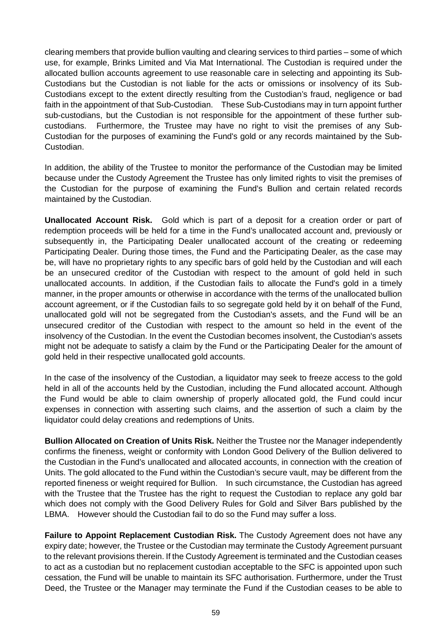clearing members that provide bullion vaulting and clearing services to third parties – some of which use, for example, Brinks Limited and Via Mat International. The Custodian is required under the allocated bullion accounts agreement to use reasonable care in selecting and appointing its Sub-Custodians but the Custodian is not liable for the acts or omissions or insolvency of its Sub-Custodians except to the extent directly resulting from the Custodian's fraud, negligence or bad faith in the appointment of that Sub-Custodian. These Sub-Custodians may in turn appoint further sub-custodians, but the Custodian is not responsible for the appointment of these further subcustodians. Furthermore, the Trustee may have no right to visit the premises of any Sub-Custodian for the purposes of examining the Fund's gold or any records maintained by the Sub-Custodian.

In addition, the ability of the Trustee to monitor the performance of the Custodian may be limited because under the Custody Agreement the Trustee has only limited rights to visit the premises of the Custodian for the purpose of examining the Fund's Bullion and certain related records maintained by the Custodian.

**Unallocated Account Risk.** Gold which is part of a deposit for a creation order or part of redemption proceeds will be held for a time in the Fund's unallocated account and, previously or subsequently in, the Participating Dealer unallocated account of the creating or redeeming Participating Dealer. During those times, the Fund and the Participating Dealer, as the case may be, will have no proprietary rights to any specific bars of gold held by the Custodian and will each be an unsecured creditor of the Custodian with respect to the amount of gold held in such unallocated accounts. In addition, if the Custodian fails to allocate the Fund's gold in a timely manner, in the proper amounts or otherwise in accordance with the terms of the unallocated bullion account agreement, or if the Custodian fails to so segregate gold held by it on behalf of the Fund, unallocated gold will not be segregated from the Custodian's assets, and the Fund will be an unsecured creditor of the Custodian with respect to the amount so held in the event of the insolvency of the Custodian. In the event the Custodian becomes insolvent, the Custodian's assets might not be adequate to satisfy a claim by the Fund or the Participating Dealer for the amount of gold held in their respective unallocated gold accounts.

In the case of the insolvency of the Custodian, a liquidator may seek to freeze access to the gold held in all of the accounts held by the Custodian, including the Fund allocated account. Although the Fund would be able to claim ownership of properly allocated gold, the Fund could incur expenses in connection with asserting such claims, and the assertion of such a claim by the liquidator could delay creations and redemptions of Units.

**Bullion Allocated on Creation of Units Risk.** Neither the Trustee nor the Manager independently confirms the fineness, weight or conformity with London Good Delivery of the Bullion delivered to the Custodian in the Fund's unallocated and allocated accounts, in connection with the creation of Units. The gold allocated to the Fund within the Custodian's secure vault, may be different from the reported fineness or weight required for Bullion. In such circumstance, the Custodian has agreed with the Trustee that the Trustee has the right to request the Custodian to replace any gold bar which does not comply with the Good Delivery Rules for Gold and Silver Bars published by the LBMA. However should the Custodian fail to do so the Fund may suffer a loss.

**Failure to Appoint Replacement Custodian Risk.** The Custody Agreement does not have any expiry date; however, the Trustee or the Custodian may terminate the Custody Agreement pursuant to the relevant provisions therein. If the Custody Agreement is terminated and the Custodian ceases to act as a custodian but no replacement custodian acceptable to the SFC is appointed upon such cessation, the Fund will be unable to maintain its SFC authorisation. Furthermore, under the Trust Deed, the Trustee or the Manager may terminate the Fund if the Custodian ceases to be able to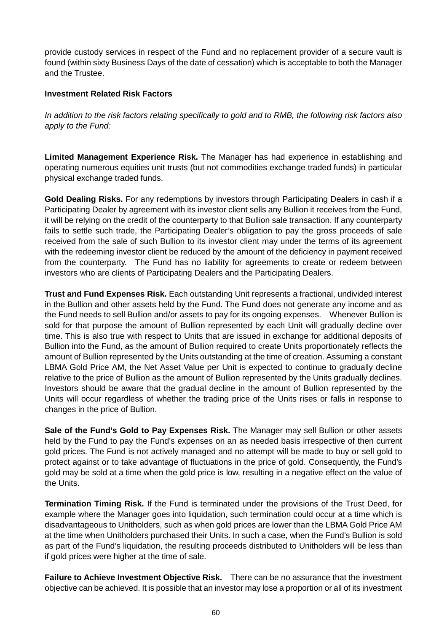provide custody services in respect of the Fund and no replacement provider of a secure vault is found (within sixty Business Days of the date of cessation) which is acceptable to both the Manager and the Trustee.

### **Investment Related Risk Factors**

*In addition to the risk factors relating specifically to gold and to RMB, the following risk factors also apply to the Fund:* 

**Limited Management Experience Risk.** The Manager has had experience in establishing and operating numerous equities unit trusts (but not commodities exchange traded funds) in particular physical exchange traded funds.

**Gold Dealing Risks.** For any redemptions by investors through Participating Dealers in cash if a Participating Dealer by agreement with its investor client sells any Bullion it receives from the Fund, it will be relying on the credit of the counterparty to that Bullion sale transaction. If any counterparty fails to settle such trade, the Participating Dealer's obligation to pay the gross proceeds of sale received from the sale of such Bullion to its investor client may under the terms of its agreement with the redeeming investor client be reduced by the amount of the deficiency in payment received from the counterparty. The Fund has no liability for agreements to create or redeem between investors who are clients of Participating Dealers and the Participating Dealers.

**Trust and Fund Expenses Risk.** Each outstanding Unit represents a fractional, undivided interest in the Bullion and other assets held by the Fund. The Fund does not generate any income and as the Fund needs to sell Bullion and/or assets to pay for its ongoing expenses. Whenever Bullion is sold for that purpose the amount of Bullion represented by each Unit will gradually decline over time. This is also true with respect to Units that are issued in exchange for additional deposits of Bullion into the Fund, as the amount of Bullion required to create Units proportionately reflects the amount of Bullion represented by the Units outstanding at the time of creation. Assuming a constant LBMA Gold Price AM, the Net Asset Value per Unit is expected to continue to gradually decline relative to the price of Bullion as the amount of Bullion represented by the Units gradually declines. Investors should be aware that the gradual decline in the amount of Bullion represented by the Units will occur regardless of whether the trading price of the Units rises or falls in response to changes in the price of Bullion.

**Sale of the Fund's Gold to Pay Expenses Risk.** The Manager may sell Bullion or other assets held by the Fund to pay the Fund's expenses on an as needed basis irrespective of then current gold prices. The Fund is not actively managed and no attempt will be made to buy or sell gold to protect against or to take advantage of fluctuations in the price of gold. Consequently, the Fund's gold may be sold at a time when the gold price is low, resulting in a negative effect on the value of the Units.

**Termination Timing Risk.** If the Fund is terminated under the provisions of the Trust Deed, for example where the Manager goes into liquidation, such termination could occur at a time which is disadvantageous to Unitholders, such as when gold prices are lower than the LBMA Gold Price AM at the time when Unitholders purchased their Units. In such a case, when the Fund's Bullion is sold as part of the Fund's liquidation, the resulting proceeds distributed to Unitholders will be less than if gold prices were higher at the time of sale.

**Failure to Achieve Investment Objective Risk.** There can be no assurance that the investment objective can be achieved. It is possible that an investor may lose a proportion or all of its investment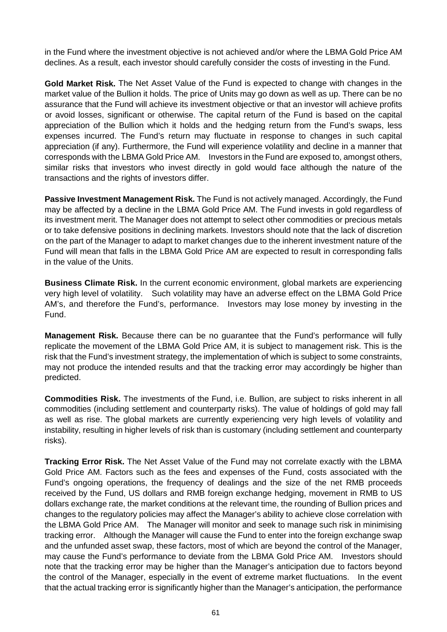in the Fund where the investment objective is not achieved and/or where the LBMA Gold Price AM declines. As a result, each investor should carefully consider the costs of investing in the Fund.

**Gold Market Risk.** The Net Asset Value of the Fund is expected to change with changes in the market value of the Bullion it holds. The price of Units may go down as well as up. There can be no assurance that the Fund will achieve its investment objective or that an investor will achieve profits or avoid losses, significant or otherwise. The capital return of the Fund is based on the capital appreciation of the Bullion which it holds and the hedging return from the Fund's swaps, less expenses incurred. The Fund's return may fluctuate in response to changes in such capital appreciation (if any). Furthermore, the Fund will experience volatility and decline in a manner that corresponds with the LBMA Gold Price AM. Investors in the Fund are exposed to, amongst others, similar risks that investors who invest directly in gold would face although the nature of the transactions and the rights of investors differ.

**Passive Investment Management Risk.** The Fund is not actively managed. Accordingly, the Fund may be affected by a decline in the LBMA Gold Price AM. The Fund invests in gold regardless of its investment merit. The Manager does not attempt to select other commodities or precious metals or to take defensive positions in declining markets. Investors should note that the lack of discretion on the part of the Manager to adapt to market changes due to the inherent investment nature of the Fund will mean that falls in the LBMA Gold Price AM are expected to result in corresponding falls in the value of the Units.

**Business Climate Risk.** In the current economic environment, global markets are experiencing very high level of volatility. Such volatility may have an adverse effect on the LBMA Gold Price AM's, and therefore the Fund's, performance. Investors may lose money by investing in the Fund.

**Management Risk.** Because there can be no guarantee that the Fund's performance will fully replicate the movement of the LBMA Gold Price AM, it is subject to management risk. This is the risk that the Fund's investment strategy, the implementation of which is subject to some constraints, may not produce the intended results and that the tracking error may accordingly be higher than predicted.

**Commodities Risk.** The investments of the Fund, i.e. Bullion, are subject to risks inherent in all commodities (including settlement and counterparty risks). The value of holdings of gold may fall as well as rise. The global markets are currently experiencing very high levels of volatility and instability, resulting in higher levels of risk than is customary (including settlement and counterparty risks).

**Tracking Error Risk.** The Net Asset Value of the Fund may not correlate exactly with the LBMA Gold Price AM. Factors such as the fees and expenses of the Fund, costs associated with the Fund's ongoing operations, the frequency of dealings and the size of the net RMB proceeds received by the Fund, US dollars and RMB foreign exchange hedging, movement in RMB to US dollars exchange rate, the market conditions at the relevant time, the rounding of Bullion prices and changes to the regulatory policies may affect the Manager's ability to achieve close correlation with the LBMA Gold Price AM. The Manager will monitor and seek to manage such risk in minimising tracking error. Although the Manager will cause the Fund to enter into the foreign exchange swap and the unfunded asset swap, these factors, most of which are beyond the control of the Manager, may cause the Fund's performance to deviate from the LBMA Gold Price AM. Investors should note that the tracking error may be higher than the Manager's anticipation due to factors beyond the control of the Manager, especially in the event of extreme market fluctuations. In the event that the actual tracking error is significantly higher than the Manager's anticipation, the performance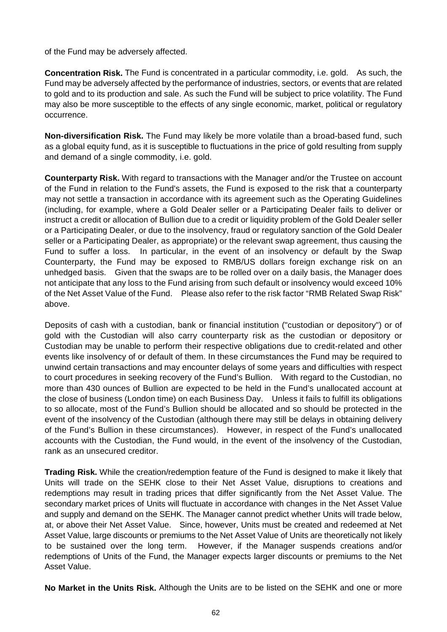of the Fund may be adversely affected.

**Concentration Risk.** The Fund is concentrated in a particular commodity, i.e. gold. As such, the Fund may be adversely affected by the performance of industries, sectors, or events that are related to gold and to its production and sale. As such the Fund will be subject to price volatility. The Fund may also be more susceptible to the effects of any single economic, market, political or regulatory occurrence.

**Non-diversification Risk.** The Fund may likely be more volatile than a broad-based fund, such as a global equity fund, as it is susceptible to fluctuations in the price of gold resulting from supply and demand of a single commodity, i.e. gold.

**Counterparty Risk.** With regard to transactions with the Manager and/or the Trustee on account of the Fund in relation to the Fund's assets, the Fund is exposed to the risk that a counterparty may not settle a transaction in accordance with its agreement such as the Operating Guidelines (including, for example, where a Gold Dealer seller or a Participating Dealer fails to deliver or instruct a credit or allocation of Bullion due to a credit or liquidity problem of the Gold Dealer seller or a Participating Dealer, or due to the insolvency, fraud or regulatory sanction of the Gold Dealer seller or a Participating Dealer, as appropriate) or the relevant swap agreement, thus causing the Fund to suffer a loss. In particular, in the event of an insolvency or default by the Swap Counterparty, the Fund may be exposed to RMB/US dollars foreign exchange risk on an unhedged basis. Given that the swaps are to be rolled over on a daily basis, the Manager does not anticipate that any loss to the Fund arising from such default or insolvency would exceed 10% of the Net Asset Value of the Fund. Please also refer to the risk factor "RMB Related Swap Risk" above.

Deposits of cash with a custodian, bank or financial institution ("custodian or depository") or of gold with the Custodian will also carry counterparty risk as the custodian or depository or Custodian may be unable to perform their respective obligations due to credit-related and other events like insolvency of or default of them. In these circumstances the Fund may be required to unwind certain transactions and may encounter delays of some years and difficulties with respect to court procedures in seeking recovery of the Fund's Bullion. With regard to the Custodian, no more than 430 ounces of Bullion are expected to be held in the Fund's unallocated account at the close of business (London time) on each Business Day. Unless it fails to fulfill its obligations to so allocate, most of the Fund's Bullion should be allocated and so should be protected in the event of the insolvency of the Custodian (although there may still be delays in obtaining delivery of the Fund's Bullion in these circumstances). However, in respect of the Fund's unallocated accounts with the Custodian, the Fund would, in the event of the insolvency of the Custodian, rank as an unsecured creditor.

**Trading Risk.** While the creation/redemption feature of the Fund is designed to make it likely that Units will trade on the SEHK close to their Net Asset Value, disruptions to creations and redemptions may result in trading prices that differ significantly from the Net Asset Value. The secondary market prices of Units will fluctuate in accordance with changes in the Net Asset Value and supply and demand on the SEHK. The Manager cannot predict whether Units will trade below, at, or above their Net Asset Value. Since, however, Units must be created and redeemed at Net Asset Value, large discounts or premiums to the Net Asset Value of Units are theoretically not likely to be sustained over the long term. However, if the Manager suspends creations and/or redemptions of Units of the Fund, the Manager expects larger discounts or premiums to the Net Asset Value.

**No Market in the Units Risk.** Although the Units are to be listed on the SEHK and one or more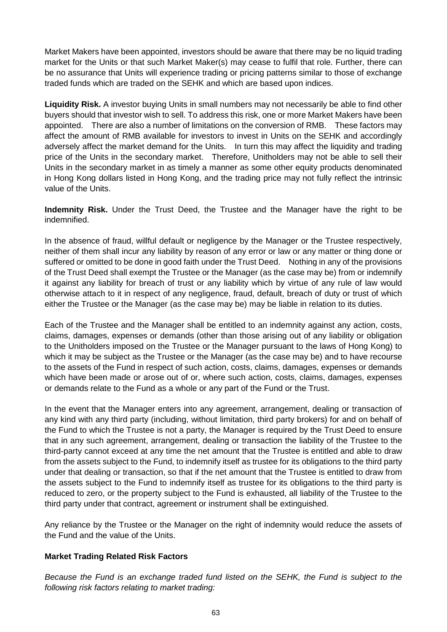Market Makers have been appointed, investors should be aware that there may be no liquid trading market for the Units or that such Market Maker(s) may cease to fulfil that role. Further, there can be no assurance that Units will experience trading or pricing patterns similar to those of exchange traded funds which are traded on the SEHK and which are based upon indices.

**Liquidity Risk.** A investor buying Units in small numbers may not necessarily be able to find other buyers should that investor wish to sell. To address this risk, one or more Market Makers have been appointed. There are also a number of limitations on the conversion of RMB. These factors may affect the amount of RMB available for investors to invest in Units on the SEHK and accordingly adversely affect the market demand for the Units. In turn this may affect the liquidity and trading price of the Units in the secondary market. Therefore, Unitholders may not be able to sell their Units in the secondary market in as timely a manner as some other equity products denominated in Hong Kong dollars listed in Hong Kong, and the trading price may not fully reflect the intrinsic value of the Units.

**Indemnity Risk.** Under the Trust Deed, the Trustee and the Manager have the right to be indemnified.

In the absence of fraud, willful default or negligence by the Manager or the Trustee respectively, neither of them shall incur any liability by reason of any error or law or any matter or thing done or suffered or omitted to be done in good faith under the Trust Deed. Nothing in any of the provisions of the Trust Deed shall exempt the Trustee or the Manager (as the case may be) from or indemnify it against any liability for breach of trust or any liability which by virtue of any rule of law would otherwise attach to it in respect of any negligence, fraud, default, breach of duty or trust of which either the Trustee or the Manager (as the case may be) may be liable in relation to its duties.

Each of the Trustee and the Manager shall be entitled to an indemnity against any action, costs, claims, damages, expenses or demands (other than those arising out of any liability or obligation to the Unitholders imposed on the Trustee or the Manager pursuant to the laws of Hong Kong) to which it may be subject as the Trustee or the Manager (as the case may be) and to have recourse to the assets of the Fund in respect of such action, costs, claims, damages, expenses or demands which have been made or arose out of or, where such action, costs, claims, damages, expenses or demands relate to the Fund as a whole or any part of the Fund or the Trust.

In the event that the Manager enters into any agreement, arrangement, dealing or transaction of any kind with any third party (including, without limitation, third party brokers) for and on behalf of the Fund to which the Trustee is not a party, the Manager is required by the Trust Deed to ensure that in any such agreement, arrangement, dealing or transaction the liability of the Trustee to the third-party cannot exceed at any time the net amount that the Trustee is entitled and able to draw from the assets subject to the Fund, to indemnify itself as trustee for its obligations to the third party under that dealing or transaction, so that if the net amount that the Trustee is entitled to draw from the assets subject to the Fund to indemnify itself as trustee for its obligations to the third party is reduced to zero, or the property subject to the Fund is exhausted, all liability of the Trustee to the third party under that contract, agreement or instrument shall be extinguished.

Any reliance by the Trustee or the Manager on the right of indemnity would reduce the assets of the Fund and the value of the Units.

# **Market Trading Related Risk Factors**

*Because the Fund is an exchange traded fund listed on the SEHK, the Fund is subject to the following risk factors relating to market trading:*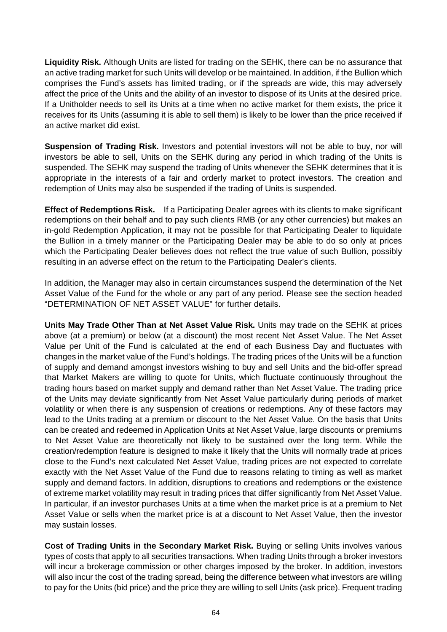**Liquidity Risk.** Although Units are listed for trading on the SEHK, there can be no assurance that an active trading market for such Units will develop or be maintained. In addition, if the Bullion which comprises the Fund's assets has limited trading, or if the spreads are wide, this may adversely affect the price of the Units and the ability of an investor to dispose of its Units at the desired price. If a Unitholder needs to sell its Units at a time when no active market for them exists, the price it receives for its Units (assuming it is able to sell them) is likely to be lower than the price received if an active market did exist.

**Suspension of Trading Risk.** Investors and potential investors will not be able to buy, nor will investors be able to sell, Units on the SEHK during any period in which trading of the Units is suspended. The SEHK may suspend the trading of Units whenever the SEHK determines that it is appropriate in the interests of a fair and orderly market to protect investors. The creation and redemption of Units may also be suspended if the trading of Units is suspended.

**Effect of Redemptions Risk.** If a Participating Dealer agrees with its clients to make significant redemptions on their behalf and to pay such clients RMB (or any other currencies) but makes an in-gold Redemption Application, it may not be possible for that Participating Dealer to liquidate the Bullion in a timely manner or the Participating Dealer may be able to do so only at prices which the Participating Dealer believes does not reflect the true value of such Bullion, possibly resulting in an adverse effect on the return to the Participating Dealer's clients.

In addition, the Manager may also in certain circumstances suspend the determination of the Net Asset Value of the Fund for the whole or any part of any period. Please see the section headed "DETERMINATION OF NET ASSET VALUE" for further details.

**Units May Trade Other Than at Net Asset Value Risk.** Units may trade on the SEHK at prices above (at a premium) or below (at a discount) the most recent Net Asset Value. The Net Asset Value per Unit of the Fund is calculated at the end of each Business Day and fluctuates with changes in the market value of the Fund's holdings. The trading prices of the Units will be a function of supply and demand amongst investors wishing to buy and sell Units and the bid-offer spread that Market Makers are willing to quote for Units, which fluctuate continuously throughout the trading hours based on market supply and demand rather than Net Asset Value. The trading price of the Units may deviate significantly from Net Asset Value particularly during periods of market volatility or when there is any suspension of creations or redemptions. Any of these factors may lead to the Units trading at a premium or discount to the Net Asset Value. On the basis that Units can be created and redeemed in Application Units at Net Asset Value, large discounts or premiums to Net Asset Value are theoretically not likely to be sustained over the long term. While the creation/redemption feature is designed to make it likely that the Units will normally trade at prices close to the Fund's next calculated Net Asset Value, trading prices are not expected to correlate exactly with the Net Asset Value of the Fund due to reasons relating to timing as well as market supply and demand factors. In addition, disruptions to creations and redemptions or the existence of extreme market volatility may result in trading prices that differ significantly from Net Asset Value. In particular, if an investor purchases Units at a time when the market price is at a premium to Net Asset Value or sells when the market price is at a discount to Net Asset Value, then the investor may sustain losses.

**Cost of Trading Units in the Secondary Market Risk.** Buying or selling Units involves various types of costs that apply to all securities transactions. When trading Units through a broker investors will incur a brokerage commission or other charges imposed by the broker. In addition, investors will also incur the cost of the trading spread, being the difference between what investors are willing to pay for the Units (bid price) and the price they are willing to sell Units (ask price). Frequent trading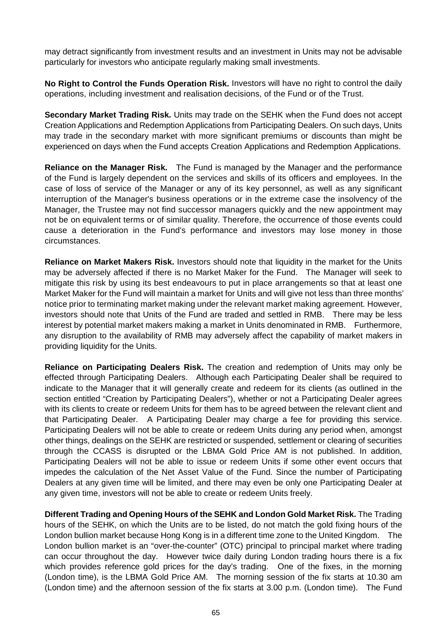may detract significantly from investment results and an investment in Units may not be advisable particularly for investors who anticipate regularly making small investments.

**No Right to Control the Funds Operation Risk.** Investors will have no right to control the daily operations, including investment and realisation decisions, of the Fund or of the Trust.

**Secondary Market Trading Risk.** Units may trade on the SEHK when the Fund does not accept Creation Applications and Redemption Applications from Participating Dealers. On such days, Units may trade in the secondary market with more significant premiums or discounts than might be experienced on days when the Fund accepts Creation Applications and Redemption Applications.

**Reliance on the Manager Risk.** The Fund is managed by the Manager and the performance of the Fund is largely dependent on the services and skills of its officers and employees. In the case of loss of service of the Manager or any of its key personnel, as well as any significant interruption of the Manager's business operations or in the extreme case the insolvency of the Manager, the Trustee may not find successor managers quickly and the new appointment may not be on equivalent terms or of similar quality. Therefore, the occurrence of those events could cause a deterioration in the Fund's performance and investors may lose money in those circumstances.

**Reliance on Market Makers Risk.** Investors should note that liquidity in the market for the Units may be adversely affected if there is no Market Maker for the Fund. The Manager will seek to mitigate this risk by using its best endeavours to put in place arrangements so that at least one Market Maker for the Fund will maintain a market for Units and will give not less than three months' notice prior to terminating market making under the relevant market making agreement*.* However, investors should note that Units of the Fund are traded and settled in RMB. There may be less interest by potential market makers making a market in Units denominated in RMB. Furthermore, any disruption to the availability of RMB may adversely affect the capability of market makers in providing liquidity for the Units.

**Reliance on Participating Dealers Risk.** The creation and redemption of Units may only be effected through Participating Dealers. Although each Participating Dealer shall be required to indicate to the Manager that it will generally create and redeem for its clients (as outlined in the section entitled "Creation by Participating Dealers"), whether or not a Participating Dealer agrees with its clients to create or redeem Units for them has to be agreed between the relevant client and that Participating Dealer. A Participating Dealer may charge a fee for providing this service. Participating Dealers will not be able to create or redeem Units during any period when, amongst other things, dealings on the SEHK are restricted or suspended, settlement or clearing of securities through the CCASS is disrupted or the LBMA Gold Price AM is not published. In addition, Participating Dealers will not be able to issue or redeem Units if some other event occurs that impedes the calculation of the Net Asset Value of the Fund. Since the number of Participating Dealers at any given time will be limited, and there may even be only one Participating Dealer at any given time, investors will not be able to create or redeem Units freely.

**Different Trading and Opening Hours of the SEHK and London Gold Market Risk.** The Trading hours of the SEHK, on which the Units are to be listed, do not match the gold fixing hours of the London bullion market because Hong Kong is in a different time zone to the United Kingdom. The London bullion market is an "over-the-counter" (OTC) principal to principal market where trading can occur throughout the day. However twice daily during London trading hours there is a fix which provides reference gold prices for the day's trading. One of the fixes, in the morning (London time), is the LBMA Gold Price AM. The morning session of the fix starts at 10.30 am (London time) and the afternoon session of the fix starts at 3.00 p.m. (London time). The Fund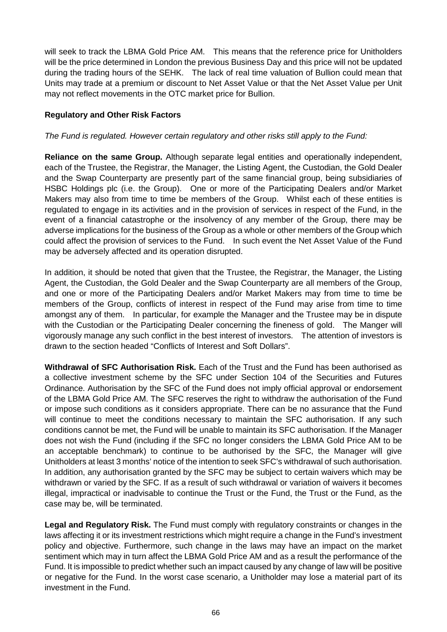will seek to track the LBMA Gold Price AM. This means that the reference price for Unitholders will be the price determined in London the previous Business Day and this price will not be updated during the trading hours of the SEHK. The lack of real time valuation of Bullion could mean that Units may trade at a premium or discount to Net Asset Value or that the Net Asset Value per Unit may not reflect movements in the OTC market price for Bullion.

## **Regulatory and Other Risk Factors**

### *The Fund is regulated. However certain regulatory and other risks still apply to the Fund:*

**Reliance on the same Group.** Although separate legal entities and operationally independent, each of the Trustee, the Registrar, the Manager, the Listing Agent, the Custodian, the Gold Dealer and the Swap Counterparty are presently part of the same financial group, being subsidiaries of HSBC Holdings plc (i.e. the Group). One or more of the Participating Dealers and/or Market Makers may also from time to time be members of the Group. Whilst each of these entities is regulated to engage in its activities and in the provision of services in respect of the Fund, in the event of a financial catastrophe or the insolvency of any member of the Group, there may be adverse implications for the business of the Group as a whole or other members of the Group which could affect the provision of services to the Fund. In such event the Net Asset Value of the Fund may be adversely affected and its operation disrupted.

In addition, it should be noted that given that the Trustee, the Registrar, the Manager, the Listing Agent, the Custodian, the Gold Dealer and the Swap Counterparty are all members of the Group, and one or more of the Participating Dealers and/or Market Makers may from time to time be members of the Group, conflicts of interest in respect of the Fund may arise from time to time amongst any of them. In particular, for example the Manager and the Trustee may be in dispute with the Custodian or the Participating Dealer concerning the fineness of gold. The Manger will vigorously manage any such conflict in the best interest of investors. The attention of investors is drawn to the section headed "Conflicts of Interest and Soft Dollars".

**Withdrawal of SFC Authorisation Risk.** Each of the Trust and the Fund has been authorised as a collective investment scheme by the SFC under Section 104 of the Securities and Futures Ordinance. Authorisation by the SFC of the Fund does not imply official approval or endorsement of the LBMA Gold Price AM. The SFC reserves the right to withdraw the authorisation of the Fund or impose such conditions as it considers appropriate. There can be no assurance that the Fund will continue to meet the conditions necessary to maintain the SFC authorisation. If any such conditions cannot be met, the Fund will be unable to maintain its SFC authorisation. If the Manager does not wish the Fund (including if the SFC no longer considers the LBMA Gold Price AM to be an acceptable benchmark) to continue to be authorised by the SFC, the Manager will give Unitholders at least 3 months' notice of the intention to seek SFC's withdrawal of such authorisation. In addition, any authorisation granted by the SFC may be subject to certain waivers which may be withdrawn or varied by the SFC. If as a result of such withdrawal or variation of waivers it becomes illegal, impractical or inadvisable to continue the Trust or the Fund, the Trust or the Fund, as the case may be, will be terminated.

**Legal and Regulatory Risk.** The Fund must comply with regulatory constraints or changes in the laws affecting it or its investment restrictions which might require a change in the Fund's investment policy and objective. Furthermore, such change in the laws may have an impact on the market sentiment which may in turn affect the LBMA Gold Price AM and as a result the performance of the Fund. It is impossible to predict whether such an impact caused by any change of law will be positive or negative for the Fund. In the worst case scenario, a Unitholder may lose a material part of its investment in the Fund.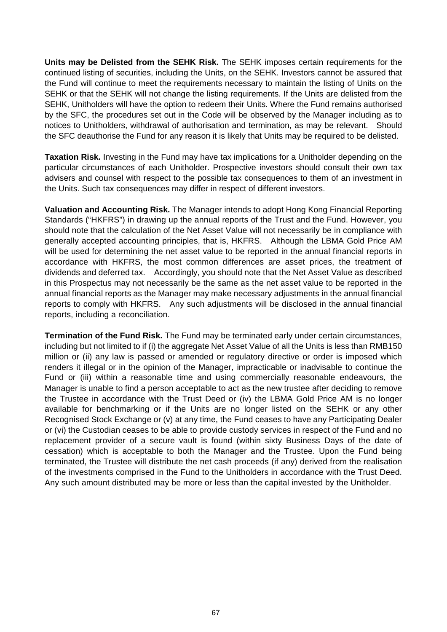**Units may be Delisted from the SEHK Risk.** The SEHK imposes certain requirements for the continued listing of securities, including the Units, on the SEHK. Investors cannot be assured that the Fund will continue to meet the requirements necessary to maintain the listing of Units on the SEHK or that the SEHK will not change the listing requirements. If the Units are delisted from the SEHK, Unitholders will have the option to redeem their Units. Where the Fund remains authorised by the SFC, the procedures set out in the Code will be observed by the Manager including as to notices to Unitholders, withdrawal of authorisation and termination, as may be relevant. Should the SFC deauthorise the Fund for any reason it is likely that Units may be required to be delisted.

**Taxation Risk.** Investing in the Fund may have tax implications for a Unitholder depending on the particular circumstances of each Unitholder. Prospective investors should consult their own tax advisers and counsel with respect to the possible tax consequences to them of an investment in the Units. Such tax consequences may differ in respect of different investors.

**Valuation and Accounting Risk.** The Manager intends to adopt Hong Kong Financial Reporting Standards ("HKFRS") in drawing up the annual reports of the Trust and the Fund. However, you should note that the calculation of the Net Asset Value will not necessarily be in compliance with generally accepted accounting principles, that is, HKFRS. Although the LBMA Gold Price AM will be used for determining the net asset value to be reported in the annual financial reports in accordance with HKFRS, the most common differences are asset prices, the treatment of dividends and deferred tax. Accordingly, you should note that the Net Asset Value as described in this Prospectus may not necessarily be the same as the net asset value to be reported in the annual financial reports as the Manager may make necessary adjustments in the annual financial reports to comply with HKFRS. Any such adjustments will be disclosed in the annual financial reports, including a reconciliation.

**Termination of the Fund Risk.** The Fund may be terminated early under certain circumstances, including but not limited to if (i) the aggregate Net Asset Value of all the Units is less than RMB150 million or (ii) any law is passed or amended or regulatory directive or order is imposed which renders it illegal or in the opinion of the Manager, impracticable or inadvisable to continue the Fund or (iii) within a reasonable time and using commercially reasonable endeavours, the Manager is unable to find a person acceptable to act as the new trustee after deciding to remove the Trustee in accordance with the Trust Deed or (iv) the LBMA Gold Price AM is no longer available for benchmarking or if the Units are no longer listed on the SEHK or any other Recognised Stock Exchange or (v) at any time, the Fund ceases to have any Participating Dealer or (vi) the Custodian ceases to be able to provide custody services in respect of the Fund and no replacement provider of a secure vault is found (within sixty Business Days of the date of cessation) which is acceptable to both the Manager and the Trustee. Upon the Fund being terminated, the Trustee will distribute the net cash proceeds (if any) derived from the realisation of the investments comprised in the Fund to the Unitholders in accordance with the Trust Deed. Any such amount distributed may be more or less than the capital invested by the Unitholder.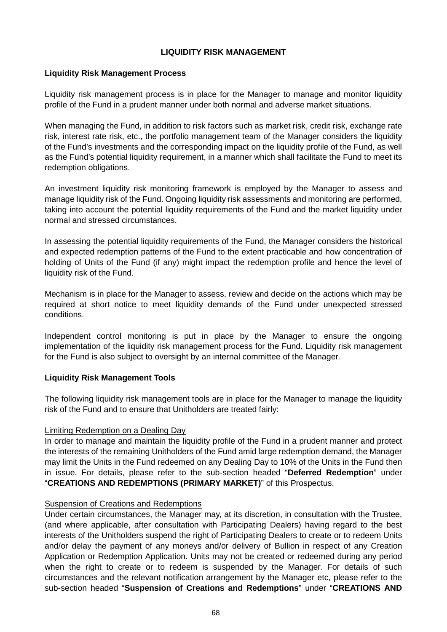## **LIQUIDITY RISK MANAGEMENT**

### **Liquidity Risk Management Process**

Liquidity risk management process is in place for the Manager to manage and monitor liquidity profile of the Fund in a prudent manner under both normal and adverse market situations.

When managing the Fund, in addition to risk factors such as market risk, credit risk, exchange rate risk, interest rate risk, etc., the portfolio management team of the Manager considers the liquidity of the Fund's investments and the corresponding impact on the liquidity profile of the Fund, as well as the Fund's potential liquidity requirement, in a manner which shall facilitate the Fund to meet its redemption obligations.

An investment liquidity risk monitoring framework is employed by the Manager to assess and manage liquidity risk of the Fund. Ongoing liquidity risk assessments and monitoring are performed, taking into account the potential liquidity requirements of the Fund and the market liquidity under normal and stressed circumstances.

In assessing the potential liquidity requirements of the Fund, the Manager considers the historical and expected redemption patterns of the Fund to the extent practicable and how concentration of holding of Units of the Fund (if any) might impact the redemption profile and hence the level of liquidity risk of the Fund.

Mechanism is in place for the Manager to assess, review and decide on the actions which may be required at short notice to meet liquidity demands of the Fund under unexpected stressed conditions.

Independent control monitoring is put in place by the Manager to ensure the ongoing implementation of the liquidity risk management process for the Fund. Liquidity risk management for the Fund is also subject to oversight by an internal committee of the Manager.

### **Liquidity Risk Management Tools**

The following liquidity risk management tools are in place for the Manager to manage the liquidity risk of the Fund and to ensure that Unitholders are treated fairly:

### Limiting Redemption on a Dealing Day

In order to manage and maintain the liquidity profile of the Fund in a prudent manner and protect the interests of the remaining Unitholders of the Fund amid large redemption demand, the Manager may limit the Units in the Fund redeemed on any Dealing Day to 10% of the Units in the Fund then in issue. For details, please refer to the sub-section headed "**Deferred Redemption**" under "**CREATIONS AND REDEMPTIONS (PRIMARY MARKET)**" of this Prospectus.

#### Suspension of Creations and Redemptions

Under certain circumstances, the Manager may, at its discretion, in consultation with the Trustee, (and where applicable, after consultation with Participating Dealers) having regard to the best interests of the Unitholders suspend the right of Participating Dealers to create or to redeem Units and/or delay the payment of any moneys and/or delivery of Bullion in respect of any Creation Application or Redemption Application. Units may not be created or redeemed during any period when the right to create or to redeem is suspended by the Manager. For details of such circumstances and the relevant notification arrangement by the Manager etc, please refer to the sub-section headed "**Suspension of Creations and Redemptions**" under "**CREATIONS AND**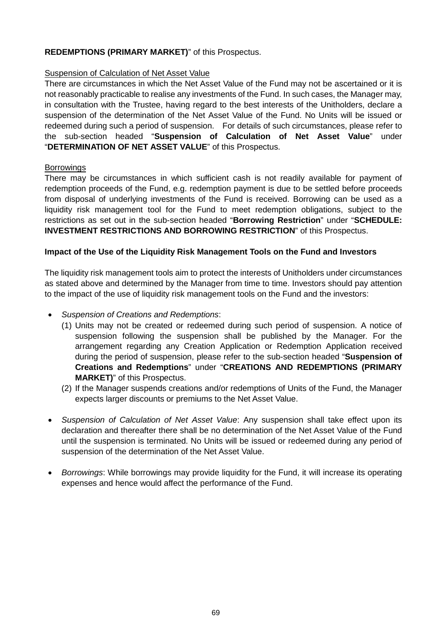## **REDEMPTIONS (PRIMARY MARKET)**" of this Prospectus.

### Suspension of Calculation of Net Asset Value

There are circumstances in which the Net Asset Value of the Fund may not be ascertained or it is not reasonably practicable to realise any investments of the Fund. In such cases, the Manager may, in consultation with the Trustee, having regard to the best interests of the Unitholders, declare a suspension of the determination of the Net Asset Value of the Fund. No Units will be issued or redeemed during such a period of suspension. For details of such circumstances, please refer to the sub-section headed "**Suspension of Calculation of Net Asset Value**" under "**DETERMINATION OF NET ASSET VALUE**" of this Prospectus.

### **Borrowings**

There may be circumstances in which sufficient cash is not readily available for payment of redemption proceeds of the Fund, e.g. redemption payment is due to be settled before proceeds from disposal of underlying investments of the Fund is received. Borrowing can be used as a liquidity risk management tool for the Fund to meet redemption obligations, subject to the restrictions as set out in the sub-section headed "**Borrowing Restriction**" under "**SCHEDULE: INVESTMENT RESTRICTIONS AND BORROWING RESTRICTION**" of this Prospectus.

### **Impact of the Use of the Liquidity Risk Management Tools on the Fund and Investors**

The liquidity risk management tools aim to protect the interests of Unitholders under circumstances as stated above and determined by the Manager from time to time. Investors should pay attention to the impact of the use of liquidity risk management tools on the Fund and the investors:

- *Suspension of Creations and Redemptions*:
	- (1) Units may not be created or redeemed during such period of suspension. A notice of suspension following the suspension shall be published by the Manager. For the arrangement regarding any Creation Application or Redemption Application received during the period of suspension, please refer to the sub-section headed "**Suspension of Creations and Redemptions**" under "**CREATIONS AND REDEMPTIONS (PRIMARY MARKET)**" of this Prospectus.
	- (2) If the Manager suspends creations and/or redemptions of Units of the Fund, the Manager expects larger discounts or premiums to the Net Asset Value.
- *Suspension of Calculation of Net Asset Value*: Any suspension shall take effect upon its declaration and thereafter there shall be no determination of the Net Asset Value of the Fund until the suspension is terminated. No Units will be issued or redeemed during any period of suspension of the determination of the Net Asset Value.
- *Borrowings*: While borrowings may provide liquidity for the Fund, it will increase its operating expenses and hence would affect the performance of the Fund.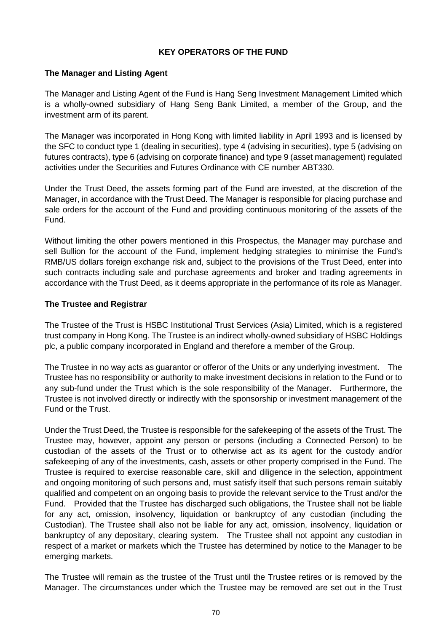### **KEY OPERATORS OF THE FUND**

### **The Manager and Listing Agent**

The Manager and Listing Agent of the Fund is Hang Seng Investment Management Limited which is a wholly-owned subsidiary of Hang Seng Bank Limited, a member of the Group, and the investment arm of its parent.

The Manager was incorporated in Hong Kong with limited liability in April 1993 and is licensed by the SFC to conduct type 1 (dealing in securities), type 4 (advising in securities), type 5 (advising on futures contracts), type 6 (advising on corporate finance) and type 9 (asset management) regulated activities under the Securities and Futures Ordinance with CE number ABT330.

Under the Trust Deed, the assets forming part of the Fund are invested, at the discretion of the Manager, in accordance with the Trust Deed. The Manager is responsible for placing purchase and sale orders for the account of the Fund and providing continuous monitoring of the assets of the Fund.

Without limiting the other powers mentioned in this Prospectus, the Manager may purchase and sell Bullion for the account of the Fund, implement hedging strategies to minimise the Fund's RMB/US dollars foreign exchange risk and, subject to the provisions of the Trust Deed, enter into such contracts including sale and purchase agreements and broker and trading agreements in accordance with the Trust Deed, as it deems appropriate in the performance of its role as Manager.

### **The Trustee and Registrar**

The Trustee of the Trust is HSBC Institutional Trust Services (Asia) Limited, which is a registered trust company in Hong Kong. The Trustee is an indirect wholly-owned subsidiary of HSBC Holdings plc, a public company incorporated in England and therefore a member of the Group.

The Trustee in no way acts as guarantor or offeror of the Units or any underlying investment. The Trustee has no responsibility or authority to make investment decisions in relation to the Fund or to any sub-fund under the Trust which is the sole responsibility of the Manager. Furthermore, the Trustee is not involved directly or indirectly with the sponsorship or investment management of the Fund or the Trust.

Under the Trust Deed, the Trustee is responsible for the safekeeping of the assets of the Trust. The Trustee may, however, appoint any person or persons (including a Connected Person) to be custodian of the assets of the Trust or to otherwise act as its agent for the custody and/or safekeeping of any of the investments, cash, assets or other property comprised in the Fund. The Trustee is required to exercise reasonable care, skill and diligence in the selection, appointment and ongoing monitoring of such persons and, must satisfy itself that such persons remain suitably qualified and competent on an ongoing basis to provide the relevant service to the Trust and/or the Fund. Provided that the Trustee has discharged such obligations, the Trustee shall not be liable for any act, omission, insolvency, liquidation or bankruptcy of any custodian (including the Custodian). The Trustee shall also not be liable for any act, omission, insolvency, liquidation or bankruptcy of any depositary, clearing system. The Trustee shall not appoint any custodian in respect of a market or markets which the Trustee has determined by notice to the Manager to be emerging markets.

The Trustee will remain as the trustee of the Trust until the Trustee retires or is removed by the Manager. The circumstances under which the Trustee may be removed are set out in the Trust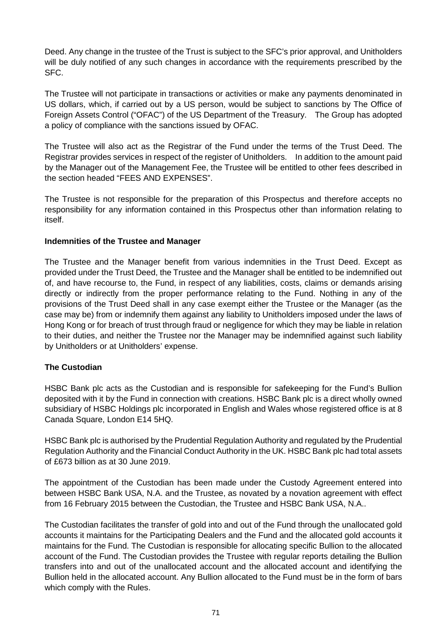Deed. Any change in the trustee of the Trust is subject to the SFC's prior approval, and Unitholders will be duly notified of any such changes in accordance with the requirements prescribed by the SFC.

The Trustee will not participate in transactions or activities or make any payments denominated in US dollars, which, if carried out by a US person, would be subject to sanctions by The Office of Foreign Assets Control ("OFAC") of the US Department of the Treasury. The Group has adopted a policy of compliance with the sanctions issued by OFAC.

The Trustee will also act as the Registrar of the Fund under the terms of the Trust Deed. The Registrar provides services in respect of the register of Unitholders. In addition to the amount paid by the Manager out of the Management Fee, the Trustee will be entitled to other fees described in the section headed "FEES AND EXPENSES".

The Trustee is not responsible for the preparation of this Prospectus and therefore accepts no responsibility for any information contained in this Prospectus other than information relating to itself.

### **Indemnities of the Trustee and Manager**

The Trustee and the Manager benefit from various indemnities in the Trust Deed. Except as provided under the Trust Deed, the Trustee and the Manager shall be entitled to be indemnified out of, and have recourse to, the Fund, in respect of any liabilities, costs, claims or demands arising directly or indirectly from the proper performance relating to the Fund. Nothing in any of the provisions of the Trust Deed shall in any case exempt either the Trustee or the Manager (as the case may be) from or indemnify them against any liability to Unitholders imposed under the laws of Hong Kong or for breach of trust through fraud or negligence for which they may be liable in relation to their duties, and neither the Trustee nor the Manager may be indemnified against such liability by Unitholders or at Unitholders' expense.

# **The Custodian**

HSBC Bank plc acts as the Custodian and is responsible for safekeeping for the Fund's Bullion deposited with it by the Fund in connection with creations. HSBC Bank plc is a direct wholly owned subsidiary of HSBC Holdings plc incorporated in English and Wales whose registered office is at 8 Canada Square, London E14 5HQ.

HSBC Bank plc is authorised by the Prudential Regulation Authority and regulated by the Prudential Regulation Authority and the Financial Conduct Authority in the UK. HSBC Bank plc had total assets of £673 billion as at 30 June 2019.

The appointment of the Custodian has been made under the Custody Agreement entered into between HSBC Bank USA, N.A. and the Trustee, as novated by a novation agreement with effect from 16 February 2015 between the Custodian, the Trustee and HSBC Bank USA, N.A..

The Custodian facilitates the transfer of gold into and out of the Fund through the unallocated gold accounts it maintains for the Participating Dealers and the Fund and the allocated gold accounts it maintains for the Fund. The Custodian is responsible for allocating specific Bullion to the allocated account of the Fund. The Custodian provides the Trustee with regular reports detailing the Bullion transfers into and out of the unallocated account and the allocated account and identifying the Bullion held in the allocated account. Any Bullion allocated to the Fund must be in the form of bars which comply with the Rules.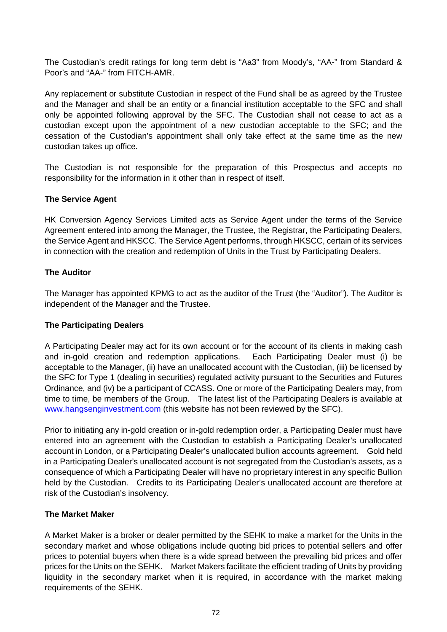The Custodian's credit ratings for long term debt is "Aa3" from Moody's, "AA-" from Standard & Poor's and "AA-" from FITCH-AMR.

Any replacement or substitute Custodian in respect of the Fund shall be as agreed by the Trustee and the Manager and shall be an entity or a financial institution acceptable to the SFC and shall only be appointed following approval by the SFC. The Custodian shall not cease to act as a custodian except upon the appointment of a new custodian acceptable to the SFC; and the cessation of the Custodian's appointment shall only take effect at the same time as the new custodian takes up office.

The Custodian is not responsible for the preparation of this Prospectus and accepts no responsibility for the information in it other than in respect of itself.

# **The Service Agent**

HK Conversion Agency Services Limited acts as Service Agent under the terms of the Service Agreement entered into among the Manager, the Trustee, the Registrar, the Participating Dealers, the Service Agent and HKSCC. The Service Agent performs, through HKSCC, certain of its services in connection with the creation and redemption of Units in the Trust by Participating Dealers.

# **The Auditor**

The Manager has appointed KPMG to act as the auditor of the Trust (the "Auditor"). The Auditor is independent of the Manager and the Trustee.

# **The Participating Dealers**

A Participating Dealer may act for its own account or for the account of its clients in making cash and in-gold creation and redemption applications. Each Participating Dealer must (i) be acceptable to the Manager, (ii) have an unallocated account with the Custodian, (iii) be licensed by the SFC for Type 1 (dealing in securities) regulated activity pursuant to the Securities and Futures Ordinance, and (iv) be a participant of CCASS. One or more of the Participating Dealers may, from time to time, be members of the Group. The latest list of the Participating Dealers is available at www.hangsenginvestment.com (this website has not been reviewed by the SFC).

Prior to initiating any in-gold creation or in-gold redemption order, a Participating Dealer must have entered into an agreement with the Custodian to establish a Participating Dealer's unallocated account in London, or a Participating Dealer's unallocated bullion accounts agreement. Gold held in a Participating Dealer's unallocated account is not segregated from the Custodian's assets, as a consequence of which a Participating Dealer will have no proprietary interest in any specific Bullion held by the Custodian. Credits to its Participating Dealer's unallocated account are therefore at risk of the Custodian's insolvency.

# **The Market Maker**

A Market Maker is a broker or dealer permitted by the SEHK to make a market for the Units in the secondary market and whose obligations include quoting bid prices to potential sellers and offer prices to potential buyers when there is a wide spread between the prevailing bid prices and offer prices for the Units on the SEHK. Market Makers facilitate the efficient trading of Units by providing liquidity in the secondary market when it is required, in accordance with the market making requirements of the SEHK.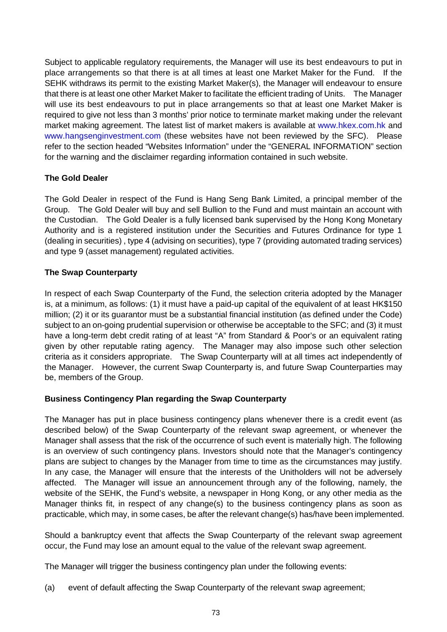Subject to applicable regulatory requirements, the Manager will use its best endeavours to put in place arrangements so that there is at all times at least one Market Maker for the Fund. If the SEHK withdraws its permit to the existing Market Maker(s), the Manager will endeavour to ensure that there is at least one other Market Maker to facilitate the efficient trading of Units. The Manager will use its best endeavours to put in place arrangements so that at least one Market Maker is required to give not less than 3 months' prior notice to terminate market making under the relevant market making agreement. The latest list of market makers is available at www.hkex.com.hk and www.hangsenginvestment.com (these websites have not been reviewed by the SFC). Please refer to the section headed "Websites Information" under the "GENERAL INFORMATION" section for the warning and the disclaimer regarding information contained in such website.

# **The Gold Dealer**

The Gold Dealer in respect of the Fund is Hang Seng Bank Limited, a principal member of the Group. The Gold Dealer will buy and sell Bullion to the Fund and must maintain an account with the Custodian. The Gold Dealer is a fully licensed bank supervised by the Hong Kong Monetary Authority and is a registered institution under the Securities and Futures Ordinance for type 1 (dealing in securities) , type 4 (advising on securities), type 7 (providing automated trading services) and type 9 (asset management) regulated activities.

### **The Swap Counterparty**

In respect of each Swap Counterparty of the Fund, the selection criteria adopted by the Manager is, at a minimum, as follows: (1) it must have a paid-up capital of the equivalent of at least HK\$150 million; (2) it or its guarantor must be a substantial financial institution (as defined under the Code) subject to an on-going prudential supervision or otherwise be acceptable to the SFC; and (3) it must have a long-term debt credit rating of at least "A" from Standard & Poor's or an equivalent rating given by other reputable rating agency. The Manager may also impose such other selection criteria as it considers appropriate. The Swap Counterparty will at all times act independently of the Manager. However, the current Swap Counterparty is, and future Swap Counterparties may be, members of the Group.

# **Business Contingency Plan regarding the Swap Counterparty**

The Manager has put in place business contingency plans whenever there is a credit event (as described below) of the Swap Counterparty of the relevant swap agreement, or whenever the Manager shall assess that the risk of the occurrence of such event is materially high. The following is an overview of such contingency plans. Investors should note that the Manager's contingency plans are subject to changes by the Manager from time to time as the circumstances may justify. In any case, the Manager will ensure that the interests of the Unitholders will not be adversely affected. The Manager will issue an announcement through any of the following, namely, the website of the SEHK, the Fund's website, a newspaper in Hong Kong, or any other media as the Manager thinks fit, in respect of any change(s) to the business contingency plans as soon as practicable, which may, in some cases, be after the relevant change(s) has/have been implemented.

Should a bankruptcy event that affects the Swap Counterparty of the relevant swap agreement occur, the Fund may lose an amount equal to the value of the relevant swap agreement.

The Manager will trigger the business contingency plan under the following events:

(a) event of default affecting the Swap Counterparty of the relevant swap agreement;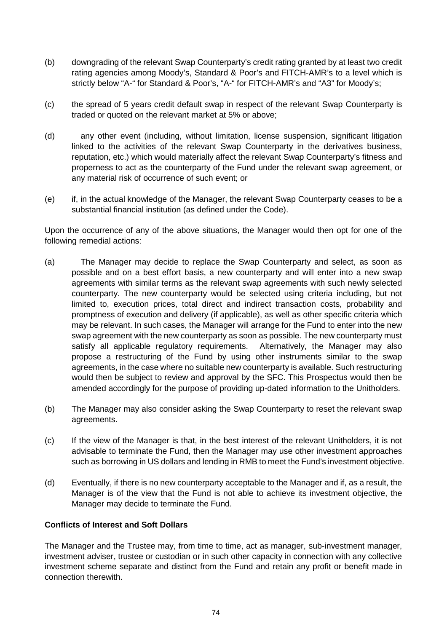- (b) downgrading of the relevant Swap Counterparty's credit rating granted by at least two credit rating agencies among Moody's, Standard & Poor's and FITCH-AMR's to a level which is strictly below "A-" for Standard & Poor's, "A-" for FITCH-AMR's and "A3" for Moody's;
- (c) the spread of 5 years credit default swap in respect of the relevant Swap Counterparty is traded or quoted on the relevant market at 5% or above;
- (d) any other event (including, without limitation, license suspension, significant litigation linked to the activities of the relevant Swap Counterparty in the derivatives business, reputation, etc.) which would materially affect the relevant Swap Counterparty's fitness and properness to act as the counterparty of the Fund under the relevant swap agreement, or any material risk of occurrence of such event; or
- (e) if, in the actual knowledge of the Manager, the relevant Swap Counterparty ceases to be a substantial financial institution (as defined under the Code).

Upon the occurrence of any of the above situations, the Manager would then opt for one of the following remedial actions:

- (a) The Manager may decide to replace the Swap Counterparty and select, as soon as possible and on a best effort basis, a new counterparty and will enter into a new swap agreements with similar terms as the relevant swap agreements with such newly selected counterparty. The new counterparty would be selected using criteria including, but not limited to, execution prices, total direct and indirect transaction costs, probability and promptness of execution and delivery (if applicable), as well as other specific criteria which may be relevant. In such cases, the Manager will arrange for the Fund to enter into the new swap agreement with the new counterparty as soon as possible. The new counterparty must satisfy all applicable regulatory requirements. Alternatively, the Manager may also propose a restructuring of the Fund by using other instruments similar to the swap agreements, in the case where no suitable new counterparty is available. Such restructuring would then be subject to review and approval by the SFC. This Prospectus would then be amended accordingly for the purpose of providing up-dated information to the Unitholders.
- (b) The Manager may also consider asking the Swap Counterparty to reset the relevant swap agreements.
- (c) If the view of the Manager is that, in the best interest of the relevant Unitholders, it is not advisable to terminate the Fund, then the Manager may use other investment approaches such as borrowing in US dollars and lending in RMB to meet the Fund's investment objective.
- (d) Eventually, if there is no new counterparty acceptable to the Manager and if, as a result, the Manager is of the view that the Fund is not able to achieve its investment objective, the Manager may decide to terminate the Fund.

### **Conflicts of Interest and Soft Dollars**

The Manager and the Trustee may, from time to time, act as manager, sub-investment manager, investment adviser, trustee or custodian or in such other capacity in connection with any collective investment scheme separate and distinct from the Fund and retain any profit or benefit made in connection therewith.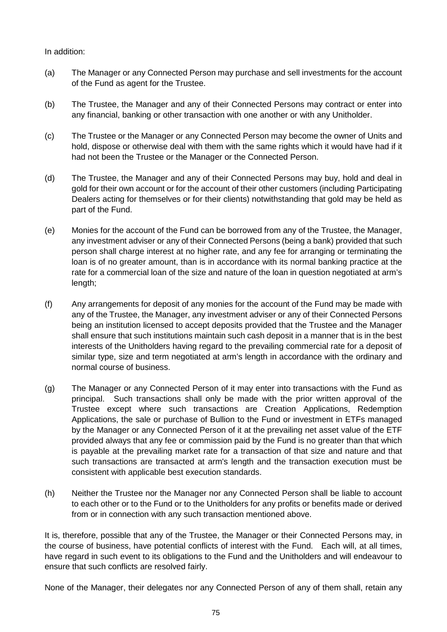#### In addition:

- (a) The Manager or any Connected Person may purchase and sell investments for the account of the Fund as agent for the Trustee.
- (b) The Trustee, the Manager and any of their Connected Persons may contract or enter into any financial, banking or other transaction with one another or with any Unitholder.
- (c) The Trustee or the Manager or any Connected Person may become the owner of Units and hold, dispose or otherwise deal with them with the same rights which it would have had if it had not been the Trustee or the Manager or the Connected Person.
- (d) The Trustee, the Manager and any of their Connected Persons may buy, hold and deal in gold for their own account or for the account of their other customers (including Participating Dealers acting for themselves or for their clients) notwithstanding that gold may be held as part of the Fund.
- (e) Monies for the account of the Fund can be borrowed from any of the Trustee, the Manager, any investment adviser or any of their Connected Persons (being a bank) provided that such person shall charge interest at no higher rate, and any fee for arranging or terminating the loan is of no greater amount, than is in accordance with its normal banking practice at the rate for a commercial loan of the size and nature of the loan in question negotiated at arm's length;
- (f) Any arrangements for deposit of any monies for the account of the Fund may be made with any of the Trustee, the Manager, any investment adviser or any of their Connected Persons being an institution licensed to accept deposits provided that the Trustee and the Manager shall ensure that such institutions maintain such cash deposit in a manner that is in the best interests of the Unitholders having regard to the prevailing commercial rate for a deposit of similar type, size and term negotiated at arm's length in accordance with the ordinary and normal course of business.
- (g) The Manager or any Connected Person of it may enter into transactions with the Fund as principal. Such transactions shall only be made with the prior written approval of the Trustee except where such transactions are Creation Applications, Redemption Applications, the sale or purchase of Bullion to the Fund or investment in ETFs managed by the Manager or any Connected Person of it at the prevailing net asset value of the ETF provided always that any fee or commission paid by the Fund is no greater than that which is payable at the prevailing market rate for a transaction of that size and nature and that such transactions are transacted at arm's length and the transaction execution must be consistent with applicable best execution standards.
- (h) Neither the Trustee nor the Manager nor any Connected Person shall be liable to account to each other or to the Fund or to the Unitholders for any profits or benefits made or derived from or in connection with any such transaction mentioned above.

It is, therefore, possible that any of the Trustee, the Manager or their Connected Persons may, in the course of business, have potential conflicts of interest with the Fund. Each will, at all times, have regard in such event to its obligations to the Fund and the Unitholders and will endeavour to ensure that such conflicts are resolved fairly.

None of the Manager, their delegates nor any Connected Person of any of them shall, retain any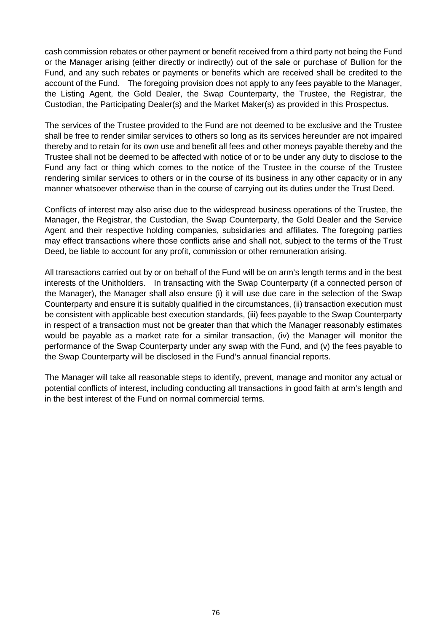cash commission rebates or other payment or benefit received from a third party not being the Fund or the Manager arising (either directly or indirectly) out of the sale or purchase of Bullion for the Fund, and any such rebates or payments or benefits which are received shall be credited to the account of the Fund. The foregoing provision does not apply to any fees payable to the Manager, the Listing Agent, the Gold Dealer, the Swap Counterparty, the Trustee, the Registrar, the Custodian, the Participating Dealer(s) and the Market Maker(s) as provided in this Prospectus.

The services of the Trustee provided to the Fund are not deemed to be exclusive and the Trustee shall be free to render similar services to others so long as its services hereunder are not impaired thereby and to retain for its own use and benefit all fees and other moneys payable thereby and the Trustee shall not be deemed to be affected with notice of or to be under any duty to disclose to the Fund any fact or thing which comes to the notice of the Trustee in the course of the Trustee rendering similar services to others or in the course of its business in any other capacity or in any manner whatsoever otherwise than in the course of carrying out its duties under the Trust Deed.

Conflicts of interest may also arise due to the widespread business operations of the Trustee, the Manager, the Registrar, the Custodian, the Swap Counterparty, the Gold Dealer and the Service Agent and their respective holding companies, subsidiaries and affiliates. The foregoing parties may effect transactions where those conflicts arise and shall not, subject to the terms of the Trust Deed, be liable to account for any profit, commission or other remuneration arising.

All transactions carried out by or on behalf of the Fund will be on arm's length terms and in the best interests of the Unitholders. In transacting with the Swap Counterparty (if a connected person of the Manager), the Manager shall also ensure (i) it will use due care in the selection of the Swap Counterparty and ensure it is suitably qualified in the circumstances, (ii) transaction execution must be consistent with applicable best execution standards, (iii) fees payable to the Swap Counterparty in respect of a transaction must not be greater than that which the Manager reasonably estimates would be payable as a market rate for a similar transaction, (iv) the Manager will monitor the performance of the Swap Counterparty under any swap with the Fund, and (v) the fees payable to the Swap Counterparty will be disclosed in the Fund's annual financial reports.

The Manager will take all reasonable steps to identify, prevent, manage and monitor any actual or potential conflicts of interest, including conducting all transactions in good faith at arm's length and in the best interest of the Fund on normal commercial terms.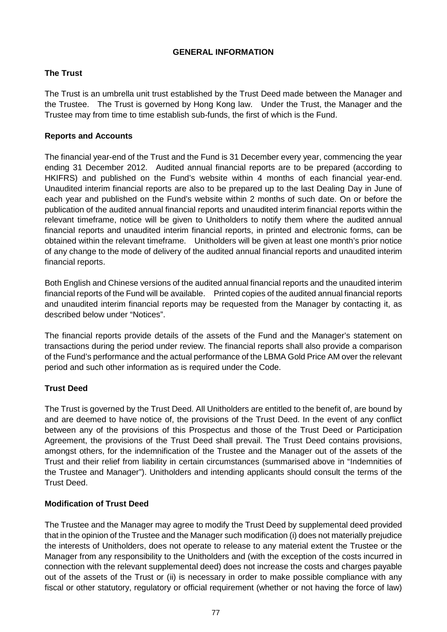### **GENERAL INFORMATION**

# **The Trust**

The Trust is an umbrella unit trust established by the Trust Deed made between the Manager and the Trustee. The Trust is governed by Hong Kong law. Under the Trust, the Manager and the Trustee may from time to time establish sub-funds, the first of which is the Fund.

# **Reports and Accounts**

The financial year-end of the Trust and the Fund is 31 December every year, commencing the year ending 31 December 2012. Audited annual financial reports are to be prepared (according to HKIFRS) and published on the Fund's website within 4 months of each financial year-end. Unaudited interim financial reports are also to be prepared up to the last Dealing Day in June of each year and published on the Fund's website within 2 months of such date. On or before the publication of the audited annual financial reports and unaudited interim financial reports within the relevant timeframe, notice will be given to Unitholders to notify them where the audited annual financial reports and unaudited interim financial reports, in printed and electronic forms, can be obtained within the relevant timeframe. Unitholders will be given at least one month's prior notice of any change to the mode of delivery of the audited annual financial reports and unaudited interim financial reports.

Both English and Chinese versions of the audited annual financial reports and the unaudited interim financial reports of the Fund will be available. Printed copies of the audited annual financial reports and unaudited interim financial reports may be requested from the Manager by contacting it, as described below under "Notices".

The financial reports provide details of the assets of the Fund and the Manager's statement on transactions during the period under review. The financial reports shall also provide a comparison of the Fund's performance and the actual performance of the LBMA Gold Price AM over the relevant period and such other information as is required under the Code.

# **Trust Deed**

The Trust is governed by the Trust Deed. All Unitholders are entitled to the benefit of, are bound by and are deemed to have notice of, the provisions of the Trust Deed. In the event of any conflict between any of the provisions of this Prospectus and those of the Trust Deed or Participation Agreement, the provisions of the Trust Deed shall prevail. The Trust Deed contains provisions, amongst others, for the indemnification of the Trustee and the Manager out of the assets of the Trust and their relief from liability in certain circumstances (summarised above in "Indemnities of the Trustee and Manager"). Unitholders and intending applicants should consult the terms of the Trust Deed.

# **Modification of Trust Deed**

The Trustee and the Manager may agree to modify the Trust Deed by supplemental deed provided that in the opinion of the Trustee and the Manager such modification (i) does not materially prejudice the interests of Unitholders, does not operate to release to any material extent the Trustee or the Manager from any responsibility to the Unitholders and (with the exception of the costs incurred in connection with the relevant supplemental deed) does not increase the costs and charges payable out of the assets of the Trust or (ii) is necessary in order to make possible compliance with any fiscal or other statutory, regulatory or official requirement (whether or not having the force of law)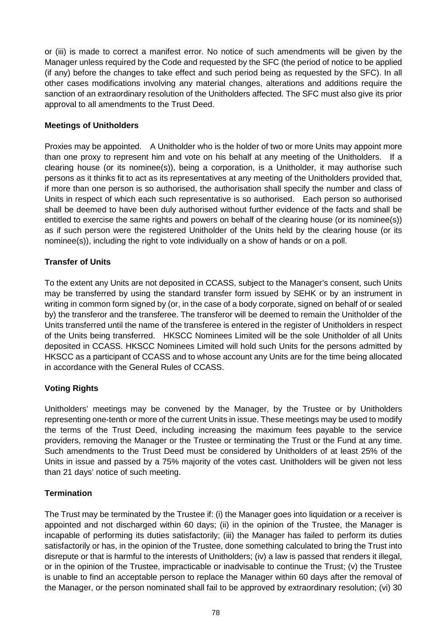or (iii) is made to correct a manifest error. No notice of such amendments will be given by the Manager unless required by the Code and requested by the SFC (the period of notice to be applied (if any) before the changes to take effect and such period being as requested by the SFC). In all other cases modifications involving any material changes, alterations and additions require the sanction of an extraordinary resolution of the Unitholders affected. The SFC must also give its prior approval to all amendments to the Trust Deed.

## **Meetings of Unitholders**

Proxies may be appointed. A Unitholder who is the holder of two or more Units may appoint more than one proxy to represent him and vote on his behalf at any meeting of the Unitholders. If a clearing house (or its nominee(s)), being a corporation, is a Unitholder, it may authorise such persons as it thinks fit to act as its representatives at any meeting of the Unitholders provided that, if more than one person is so authorised, the authorisation shall specify the number and class of Units in respect of which each such representative is so authorised. Each person so authorised shall be deemed to have been duly authorised without further evidence of the facts and shall be entitled to exercise the same rights and powers on behalf of the clearing house (or its nominee(s)) as if such person were the registered Unitholder of the Units held by the clearing house (or its nominee(s)), including the right to vote individually on a show of hands or on a poll.

# **Transfer of Units**

To the extent any Units are not deposited in CCASS, subject to the Manager's consent, such Units may be transferred by using the standard transfer form issued by SEHK or by an instrument in writing in common form signed by (or, in the case of a body corporate, signed on behalf of or sealed by) the transferor and the transferee. The transferor will be deemed to remain the Unitholder of the Units transferred until the name of the transferee is entered in the register of Unitholders in respect of the Units being transferred. HKSCC Nominees Limited will be the sole Unitholder of all Units deposited in CCASS. HKSCC Nominees Limited will hold such Units for the persons admitted by HKSCC as a participant of CCASS and to whose account any Units are for the time being allocated in accordance with the General Rules of CCASS.

# **Voting Rights**

Unitholders' meetings may be convened by the Manager, by the Trustee or by Unitholders representing one-tenth or more of the current Units in issue. These meetings may be used to modify the terms of the Trust Deed, including increasing the maximum fees payable to the service providers, removing the Manager or the Trustee or terminating the Trust or the Fund at any time. Such amendments to the Trust Deed must be considered by Unitholders of at least 25% of the Units in issue and passed by a 75% majority of the votes cast. Unitholders will be given not less than 21 days' notice of such meeting.

### **Termination**

The Trust may be terminated by the Trustee if: (i) the Manager goes into liquidation or a receiver is appointed and not discharged within 60 days; (ii) in the opinion of the Trustee, the Manager is incapable of performing its duties satisfactorily; (iii) the Manager has failed to perform its duties satisfactorily or has, in the opinion of the Trustee, done something calculated to bring the Trust into disrepute or that is harmful to the interests of Unitholders; (iv) a law is passed that renders it illegal, or in the opinion of the Trustee, impracticable or inadvisable to continue the Trust; (v) the Trustee is unable to find an acceptable person to replace the Manager within 60 days after the removal of the Manager, or the person nominated shall fail to be approved by extraordinary resolution; (vi) 30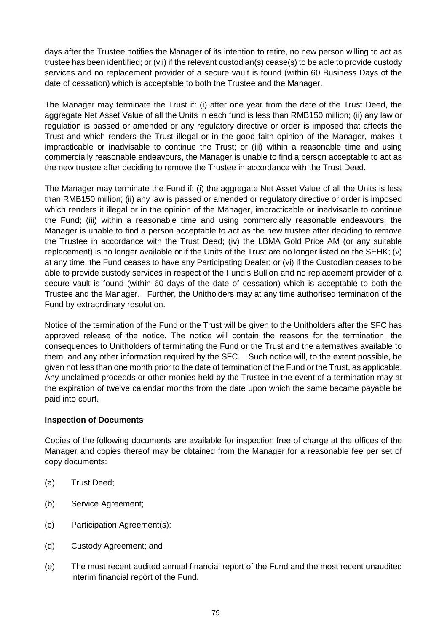days after the Trustee notifies the Manager of its intention to retire, no new person willing to act as trustee has been identified; or (vii) if the relevant custodian(s) cease(s) to be able to provide custody services and no replacement provider of a secure vault is found (within 60 Business Days of the date of cessation) which is acceptable to both the Trustee and the Manager.

The Manager may terminate the Trust if: (i) after one year from the date of the Trust Deed, the aggregate Net Asset Value of all the Units in each fund is less than RMB150 million; (ii) any law or regulation is passed or amended or any regulatory directive or order is imposed that affects the Trust and which renders the Trust illegal or in the good faith opinion of the Manager, makes it impracticable or inadvisable to continue the Trust; or (iii) within a reasonable time and using commercially reasonable endeavours, the Manager is unable to find a person acceptable to act as the new trustee after deciding to remove the Trustee in accordance with the Trust Deed.

The Manager may terminate the Fund if: (i) the aggregate Net Asset Value of all the Units is less than RMB150 million; (ii) any law is passed or amended or regulatory directive or order is imposed which renders it illegal or in the opinion of the Manager, impracticable or inadvisable to continue the Fund; (iii) within a reasonable time and using commercially reasonable endeavours, the Manager is unable to find a person acceptable to act as the new trustee after deciding to remove the Trustee in accordance with the Trust Deed; (iv) the LBMA Gold Price AM (or any suitable replacement) is no longer available or if the Units of the Trust are no longer listed on the SEHK; (v) at any time, the Fund ceases to have any Participating Dealer; or (vi) if the Custodian ceases to be able to provide custody services in respect of the Fund's Bullion and no replacement provider of a secure vault is found (within 60 days of the date of cessation) which is acceptable to both the Trustee and the Manager. Further, the Unitholders may at any time authorised termination of the Fund by extraordinary resolution.

Notice of the termination of the Fund or the Trust will be given to the Unitholders after the SFC has approved release of the notice. The notice will contain the reasons for the termination, the consequences to Unitholders of terminating the Fund or the Trust and the alternatives available to them, and any other information required by the SFC. Such notice will, to the extent possible, be given not less than one month prior to the date of termination of the Fund or the Trust, as applicable. Any unclaimed proceeds or other monies held by the Trustee in the event of a termination may at the expiration of twelve calendar months from the date upon which the same became payable be paid into court.

### **Inspection of Documents**

Copies of the following documents are available for inspection free of charge at the offices of the Manager and copies thereof may be obtained from the Manager for a reasonable fee per set of copy documents:

- (a) Trust Deed;
- (b) Service Agreement;
- (c) Participation Agreement(s);
- (d) Custody Agreement; and
- (e) The most recent audited annual financial report of the Fund and the most recent unaudited interim financial report of the Fund.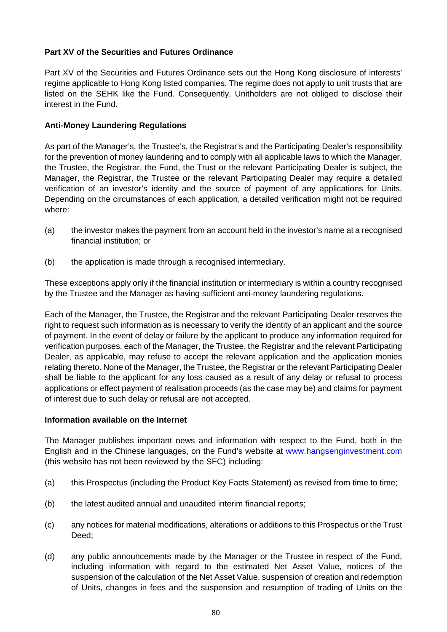## **Part XV of the Securities and Futures Ordinance**

Part XV of the Securities and Futures Ordinance sets out the Hong Kong disclosure of interests' regime applicable to Hong Kong listed companies. The regime does not apply to unit trusts that are listed on the SEHK like the Fund. Consequently, Unitholders are not obliged to disclose their interest in the Fund.

### **Anti-Money Laundering Regulations**

As part of the Manager's, the Trustee's, the Registrar's and the Participating Dealer's responsibility for the prevention of money laundering and to comply with all applicable laws to which the Manager, the Trustee, the Registrar, the Fund, the Trust or the relevant Participating Dealer is subject, the Manager, the Registrar, the Trustee or the relevant Participating Dealer may require a detailed verification of an investor's identity and the source of payment of any applications for Units. Depending on the circumstances of each application, a detailed verification might not be required where:

- (a) the investor makes the payment from an account held in the investor's name at a recognised financial institution; or
- (b) the application is made through a recognised intermediary.

These exceptions apply only if the financial institution or intermediary is within a country recognised by the Trustee and the Manager as having sufficient anti-money laundering regulations.

Each of the Manager, the Trustee, the Registrar and the relevant Participating Dealer reserves the right to request such information as is necessary to verify the identity of an applicant and the source of payment. In the event of delay or failure by the applicant to produce any information required for verification purposes, each of the Manager, the Trustee, the Registrar and the relevant Participating Dealer, as applicable, may refuse to accept the relevant application and the application monies relating thereto. None of the Manager, the Trustee, the Registrar or the relevant Participating Dealer shall be liable to the applicant for any loss caused as a result of any delay or refusal to process applications or effect payment of realisation proceeds (as the case may be) and claims for payment of interest due to such delay or refusal are not accepted.

### **Information available on the Internet**

The Manager publishes important news and information with respect to the Fund, both in the English and in the Chinese languages, on the Fund's website at www.hangsenginvestment.com (this website has not been reviewed by the SFC) including:

- (a) this Prospectus (including the Product Key Facts Statement) as revised from time to time;
- (b) the latest audited annual and unaudited interim financial reports;
- (c) any notices for material modifications, alterations or additions to this Prospectus or the Trust Deed;
- (d) any public announcements made by the Manager or the Trustee in respect of the Fund, including information with regard to the estimated Net Asset Value, notices of the suspension of the calculation of the Net Asset Value, suspension of creation and redemption of Units, changes in fees and the suspension and resumption of trading of Units on the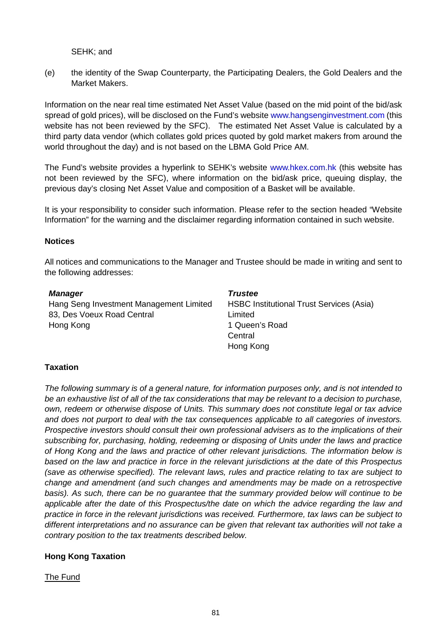SEHK; and

(e) the identity of the Swap Counterparty, the Participating Dealers, the Gold Dealers and the Market Makers.

Information on the near real time estimated Net Asset Value (based on the mid point of the bid/ask spread of gold prices), will be disclosed on the Fund's website www.hangsenginvestment.com (this website has not been reviewed by the SFC). The estimated Net Asset Value is calculated by a third party data vendor (which collates gold prices quoted by gold market makers from around the world throughout the day) and is not based on the LBMA Gold Price AM.

The Fund's website provides a hyperlink to SEHK's website www.hkex.com.hk (this website has not been reviewed by the SFC), where information on the bid/ask price, queuing display, the previous day's closing Net Asset Value and composition of a Basket will be available.

It is your responsibility to consider such information. Please refer to the section headed "Website Information" for the warning and the disclaimer regarding information contained in such website.

#### **Notices**

All notices and communications to the Manager and Trustee should be made in writing and sent to the following addresses:

*Trustee* 

#### *Manager*

Hang Seng Investment Management Limited 83, Des Voeux Road Central Hong Kong

HSBC Institutional Trust Services (Asia) Limited 1 Queen's Road Central Hong Kong

### **Taxation**

*The following summary is of a general nature, for information purposes only, and is not intended to be an exhaustive list of all of the tax considerations that may be relevant to a decision to purchase, own, redeem or otherwise dispose of Units. This summary does not constitute legal or tax advice and does not purport to deal with the tax consequences applicable to all categories of investors. Prospective investors should consult their own professional advisers as to the implications of their subscribing for, purchasing, holding, redeeming or disposing of Units under the laws and practice of Hong Kong and the laws and practice of other relevant jurisdictions. The information below is based on the law and practice in force in the relevant jurisdictions at the date of this Prospectus (save as otherwise specified). The relevant laws, rules and practice relating to tax are subject to change and amendment (and such changes and amendments may be made on a retrospective basis). As such, there can be no guarantee that the summary provided below will continue to be applicable after the date of this Prospectus/the date on which the advice regarding the law and practice in force in the relevant jurisdictions was received. Furthermore, tax laws can be subject to different interpretations and no assurance can be given that relevant tax authorities will not take a contrary position to the tax treatments described below.* 

### **Hong Kong Taxation**

The Fund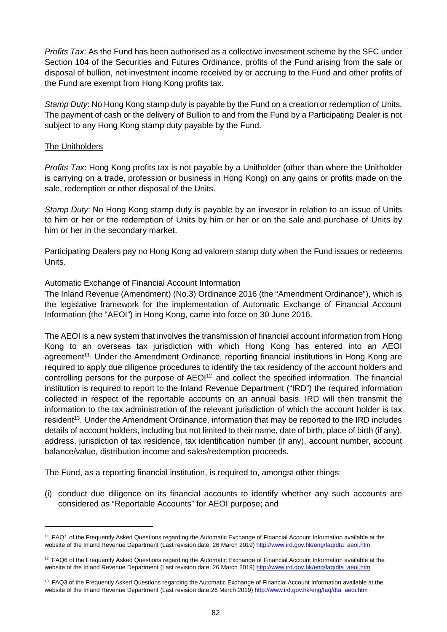*Profits Tax*: As the Fund has been authorised as a collective investment scheme by the SFC under Section 104 of the Securities and Futures Ordinance, profits of the Fund arising from the sale or disposal of bullion, net investment income received by or accruing to the Fund and other profits of the Fund are exempt from Hong Kong profits tax.

*Stamp Duty*: No Hong Kong stamp duty is payable by the Fund on a creation or redemption of Units. The payment of cash or the delivery of Bullion to and from the Fund by a Participating Dealer is not subject to any Hong Kong stamp duty payable by the Fund.

#### The Unitholders

*Profits Tax*: Hong Kong profits tax is not payable by a Unitholder (other than where the Unitholder is carrying on a trade, profession or business in Hong Kong) on any gains or profits made on the sale, redemption or other disposal of the Units.

*Stamp Duty*: No Hong Kong stamp duty is payable by an investor in relation to an issue of Units to him or her or the redemption of Units by him or her or on the sale and purchase of Units by him or her in the secondary market.

Participating Dealers pay no Hong Kong ad valorem stamp duty when the Fund issues or redeems Units.

### Automatic Exchange of Financial Account Information

The Inland Revenue (Amendment) (No.3) Ordinance 2016 (the "Amendment Ordinance"), which is the legislative framework for the implementation of Automatic Exchange of Financial Account Information (the "AEOI") in Hong Kong, came into force on 30 June 2016.

The AEOI is a new system that involves the transmission of financial account information from Hong Kong to an overseas tax jurisdiction with which Hong Kong has entered into an AEOI agreement<sup>11</sup>. Under the Amendment Ordinance, reporting financial institutions in Hong Kong are required to apply due diligence procedures to identify the tax residency of the account holders and controlling persons for the purpose of AEOI<sup>12</sup> and collect the specified information. The financial institution is required to report to the Inland Revenue Department ("IRD") the required information collected in respect of the reportable accounts on an annual basis. IRD will then transmit the information to the tax administration of the relevant jurisdiction of which the account holder is tax resident<sup>13</sup>. Under the Amendment Ordinance, information that may be reported to the IRD includes details of account holders, including but not limited to their name, date of birth, place of birth (if any), address, jurisdiction of tax residence, tax identification number (if any), account number, account balance/value, distribution income and sales/redemption proceeds.

The Fund, as a reporting financial institution, is required to, amongst other things:

(i) conduct due diligence on its financial accounts to identify whether any such accounts are considered as "Reportable Accounts" for AEOI purpose; and

<sup>&</sup>lt;sup>11</sup> FAQ1 of the Frequently Asked Questions regarding the Automatic Exchange of Financial Account Information available at the website of the Inland Revenue Department (Last revision date: 26 March 2019) http://www.ird.gov.hk/eng/faq/dta\_aeoi.htm

 $12$  FAQ6 of the Frequently Asked Questions regarding the Automatic Exchange of Financial Account Information available at the website of the Inland Revenue Department (Last revision date: 26 March 2019) http://www.ird.gov.hk/eng/faq/dta\_aeoi.htm

<sup>&</sup>lt;sup>13</sup> FAQ3 of the Frequently Asked Questions regarding the Automatic Exchange of Financial Account Information available at the website of the Inland Revenue Department (Last revision date:26 March 2019) http://www.ird.gov.hk/eng/faq/dta\_aeoi.htm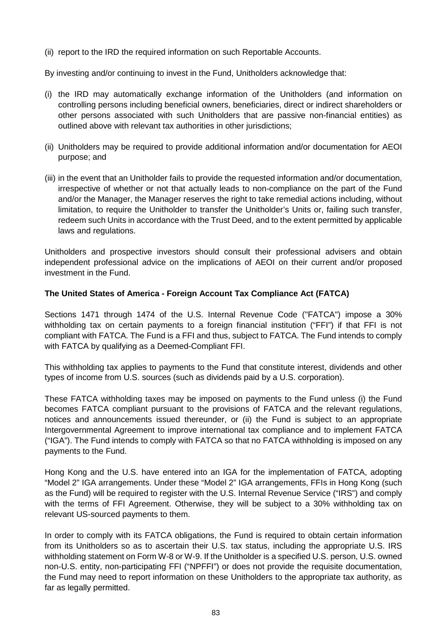(ii) report to the IRD the required information on such Reportable Accounts.

By investing and/or continuing to invest in the Fund, Unitholders acknowledge that:

- (i) the IRD may automatically exchange information of the Unitholders (and information on controlling persons including beneficial owners, beneficiaries, direct or indirect shareholders or other persons associated with such Unitholders that are passive non-financial entities) as outlined above with relevant tax authorities in other jurisdictions;
- (ii) Unitholders may be required to provide additional information and/or documentation for AEOI purpose; and
- (iii) in the event that an Unitholder fails to provide the requested information and/or documentation, irrespective of whether or not that actually leads to non-compliance on the part of the Fund and/or the Manager, the Manager reserves the right to take remedial actions including, without limitation, to require the Unitholder to transfer the Unitholder's Units or, failing such transfer, redeem such Units in accordance with the Trust Deed, and to the extent permitted by applicable laws and regulations.

Unitholders and prospective investors should consult their professional advisers and obtain independent professional advice on the implications of AEOI on their current and/or proposed investment in the Fund.

# **The United States of America - Foreign Account Tax Compliance Act (FATCA)**

Sections 1471 through 1474 of the U.S. Internal Revenue Code ("FATCA") impose a 30% withholding tax on certain payments to a foreign financial institution ("FFI") if that FFI is not compliant with FATCA. The Fund is a FFI and thus, subject to FATCA. The Fund intends to comply with FATCA by qualifying as a Deemed-Compliant FFI.

This withholding tax applies to payments to the Fund that constitute interest, dividends and other types of income from U.S. sources (such as dividends paid by a U.S. corporation).

These FATCA withholding taxes may be imposed on payments to the Fund unless (i) the Fund becomes FATCA compliant pursuant to the provisions of FATCA and the relevant regulations, notices and announcements issued thereunder, or (ii) the Fund is subject to an appropriate Intergovernmental Agreement to improve international tax compliance and to implement FATCA ("IGA"). The Fund intends to comply with FATCA so that no FATCA withholding is imposed on any payments to the Fund.

Hong Kong and the U.S. have entered into an IGA for the implementation of FATCA, adopting "Model 2" IGA arrangements. Under these "Model 2" IGA arrangements, FFIs in Hong Kong (such as the Fund) will be required to register with the U.S. Internal Revenue Service ("IRS") and comply with the terms of FFI Agreement. Otherwise, they will be subject to a 30% withholding tax on relevant US-sourced payments to them.

In order to comply with its FATCA obligations, the Fund is required to obtain certain information from its Unitholders so as to ascertain their U.S. tax status, including the appropriate U.S. IRS withholding statement on Form W-8 or W-9. If the Unitholder is a specified U.S. person, U.S. owned non-U.S. entity, non-participating FFI ("NPFFI") or does not provide the requisite documentation, the Fund may need to report information on these Unitholders to the appropriate tax authority, as far as legally permitted.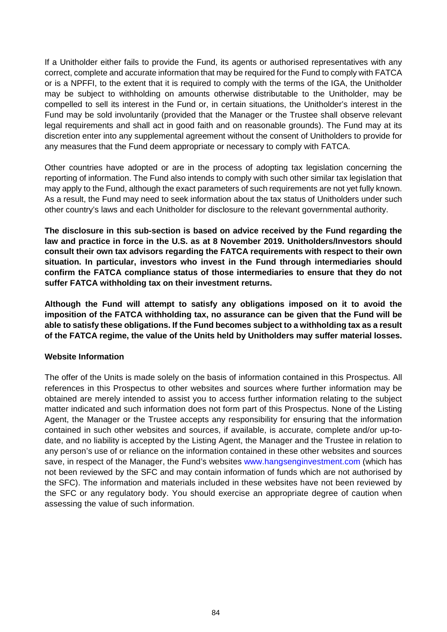If a Unitholder either fails to provide the Fund, its agents or authorised representatives with any correct, complete and accurate information that may be required for the Fund to comply with FATCA or is a NPFFI, to the extent that it is required to comply with the terms of the IGA, the Unitholder may be subject to withholding on amounts otherwise distributable to the Unitholder, may be compelled to sell its interest in the Fund or, in certain situations, the Unitholder's interest in the Fund may be sold involuntarily (provided that the Manager or the Trustee shall observe relevant legal requirements and shall act in good faith and on reasonable grounds). The Fund may at its discretion enter into any supplemental agreement without the consent of Unitholders to provide for any measures that the Fund deem appropriate or necessary to comply with FATCA.

Other countries have adopted or are in the process of adopting tax legislation concerning the reporting of information. The Fund also intends to comply with such other similar tax legislation that may apply to the Fund, although the exact parameters of such requirements are not yet fully known. As a result, the Fund may need to seek information about the tax status of Unitholders under such other country's laws and each Unitholder for disclosure to the relevant governmental authority.

**The disclosure in this sub-section is based on advice received by the Fund regarding the law and practice in force in the U.S. as at 8 November 2019. Unitholders/Investors should consult their own tax advisors regarding the FATCA requirements with respect to their own situation. In particular, investors who invest in the Fund through intermediaries should confirm the FATCA compliance status of those intermediaries to ensure that they do not suffer FATCA withholding tax on their investment returns.** 

**Although the Fund will attempt to satisfy any obligations imposed on it to avoid the imposition of the FATCA withholding tax, no assurance can be given that the Fund will be able to satisfy these obligations. If the Fund becomes subject to a withholding tax as a result of the FATCA regime, the value of the Units held by Unitholders may suffer material losses.** 

# **Website Information**

The offer of the Units is made solely on the basis of information contained in this Prospectus. All references in this Prospectus to other websites and sources where further information may be obtained are merely intended to assist you to access further information relating to the subject matter indicated and such information does not form part of this Prospectus. None of the Listing Agent, the Manager or the Trustee accepts any responsibility for ensuring that the information contained in such other websites and sources, if available, is accurate, complete and/or up-todate, and no liability is accepted by the Listing Agent, the Manager and the Trustee in relation to any person's use of or reliance on the information contained in these other websites and sources save, in respect of the Manager, the Fund's websites www.hangsenginvestment.com (which has not been reviewed by the SFC and may contain information of funds which are not authorised by the SFC). The information and materials included in these websites have not been reviewed by the SFC or any regulatory body. You should exercise an appropriate degree of caution when assessing the value of such information.